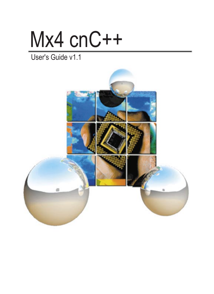# Mx4 cnC++

User's Guide v1.1

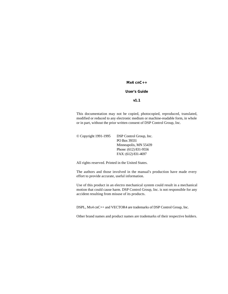**Mx4 cnC++ User's Guide**

**v1.1**

This documentation may not be copied, photocopied, reproduced, translated, modified or reduced to any electronic medium or machine-readable form, in whole or in part, without the prior written consent of DSP Control Group, Inc.

| © Copyright 1991-1995 | DSP Control Group, Inc. |
|-----------------------|-------------------------|
|                       | PO Box 39331            |
|                       | Minneapolis, MN 55439   |
|                       | Phone: (612) 831-9556   |
|                       | FAX: (612) 831-4697     |
|                       |                         |

All rights reserved. Printed in the United States.

The authors and those involved in the manual's production have made every effort to provide accurate, useful information.

Use of this product in an electro mechanical system could result in a mechanical motion that could cause harm. DSP Control Group, Inc. is not responsible for any accident resulting from misuse of its products.

DSPL, Mx4 cnC++ and VECTOR4 are trademarks of DSP Control Group, Inc.

Other brand names and product names are trademarks of their respective holders.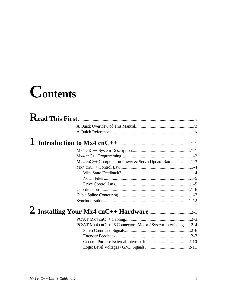| <b>Read This First</b>                                    |  |
|-----------------------------------------------------------|--|
|                                                           |  |
|                                                           |  |
|                                                           |  |
|                                                           |  |
|                                                           |  |
| Mx4 cnC++ Computation Power & Servo Update Rate 1-3       |  |
|                                                           |  |
|                                                           |  |
|                                                           |  |
|                                                           |  |
|                                                           |  |
|                                                           |  |
|                                                           |  |
|                                                           |  |
|                                                           |  |
| PC/AT Mx4 cnC++ J6 ConnectorMotor / System Interfacing2-4 |  |
|                                                           |  |
|                                                           |  |
|                                                           |  |
|                                                           |  |
|                                                           |  |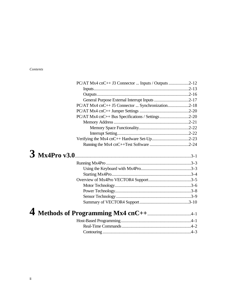| PC/AT Mx4 cnC++ J3 Connector  Inputs / Outputs 2-12 |                |
|-----------------------------------------------------|----------------|
|                                                     | $.2 - 13$      |
|                                                     | $.2 - 16$      |
| General Purpose External Interrupt Inputs 2-17      |                |
| PC/AT Mx4 cnC++ J5 Connector  Synchronization2-18   |                |
|                                                     |                |
| PC/AT Mx4 cnC++ Bus Specifications / Settings 2-20  |                |
|                                                     | $.2 - 21$      |
|                                                     |                |
|                                                     |                |
|                                                     |                |
|                                                     |                |
|                                                     |                |
|                                                     | $2^{\prime}$ 1 |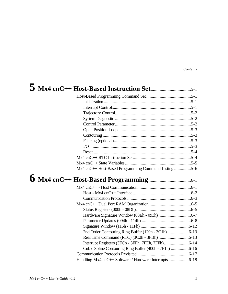| Mx4 cnC++ Host-Based Programming Command Listing 5-6 |
|------------------------------------------------------|
|                                                      |
|                                                      |
|                                                      |
|                                                      |
|                                                      |
|                                                      |
|                                                      |
|                                                      |
|                                                      |
| 2nd Order Contouring Ring Buffer (120h - 3C1h) 6-13  |
|                                                      |
|                                                      |
|                                                      |
|                                                      |
|                                                      |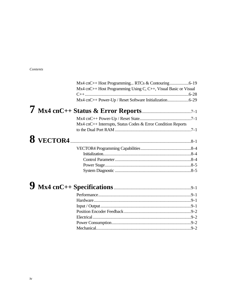| Mx4 cnC++ Host Programming Using C, C++, Visual Basic or Visual |
|-----------------------------------------------------------------|
|                                                                 |
| Mx4 cnC++ Power-Up / Reset Software Initialization6-29          |
|                                                                 |
|                                                                 |
|                                                                 |
| Mx4 cnC++ Interrupts, Status Codes & Error Condition Reports    |
|                                                                 |
|                                                                 |
| $8$ VECTOR4 $***$                                               |
|                                                                 |
|                                                                 |
|                                                                 |
|                                                                 |
|                                                                 |
|                                                                 |
|                                                                 |
|                                                                 |
|                                                                 |
|                                                                 |
|                                                                 |
|                                                                 |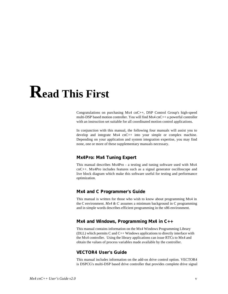Congratulations on purchasing Mx4 cnC++, DSP Control Group's high-speed multi-DSP based motion controller. You will find Mx4 cnC++ a powerful controller with an instruction set suitable for all coordinated motion control applications.

In conjunction with this manual, the following four manuals will assist you to develop and integrate Mx4 cnC++ into your simple or complex machine. Depending on your application and system integration expertise, you may find none, one or more of these supplementary manuals necessary.

#### **Mx4Pro: Mx4 Tuning Expert**

This manual describes Mx4Pro - a testing and tuning software used with Mx4 cnC++. Mx4Pro includes features such as a signal generator oscilloscope and live block diagram which make this software useful for testing and performance optimization.

#### **Mx4 and C Programmer's Guide**

This manual is written for those who wish to know about programming Mx4 in the C environment. *Mx4 & C* assumes a minimum background in C programming and in simple words describes efficient programming in the x86 environment.

#### **Mx4 and Windows, Programming Mx4 in C++**

This manual contains information on the Mx4 Windows Programming Library (DLL) which permits C and C++ Windows applications to directly interface with the Mx4 controller. Using the library applications can issue RTCs to Mx4 and obtain the values of process variables made available by the controller.

#### **VECTOR4 User's Guide**

This manual includes information on the add-on drive control option. VECTOR4 is DSPCG's multi-DSP based drive controller that provides complete drive signal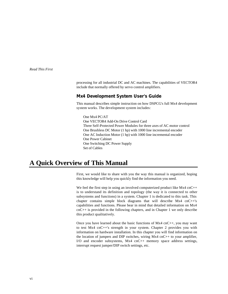processing for all industrial DC and AC machines. The capabilities of VECTOR4 include that normally offered by servo control amplifiers.

#### **Mx4 Development System User's Guide**

This manual describes simple instruction on how DSPCG's full Mx4 development system works. The development system includes:

One Mx4 PC/AT One VECTOR4 Add-On Drive Control Card Three Self-Protected Power Modules for three axes of AC motor control One Brushless DC Motor (1 hp) with 1000 line incremental encoder One AC Induction Motor (1 hp) with 1000 line incremental encoder One Power Cabinet One Switching DC Power Supply Set of Cables

### **A Quick Overview of This Manual**

First, we would like to share with you the way this manual is organized, hoping this knowledge will help you quickly find the information you need.

We feel the first step in using an involved computerized product like Mx4 cnC++ is to understand its definition and topology (the way it is connected to other subsystems and functions) in a system. Chapter 1 is dedicated to this task. This chapter contains simple block diagrams that will describe Mx4 cnC++'s capabilities and functions. Please bear in mind that detailed information on Mx4 cnC++ is provided in the following chapters, and in Chapter 1 we only describe this product qualitatively.

Once you have learned about the basic functions of  $Mx4$  cnC++, you may want to test Mx4 cnC++'s strength in your system. Chapter 2 provides you with information on hardware installation. In this chapter you will find information on the location of jumpers and DIP switches, wiring Mx4 cnC++ to your amplifier, I/O and encoder subsystems, Mx4 cnC++ memory space address settings, interrupt request jumper/DIP switch settings, etc.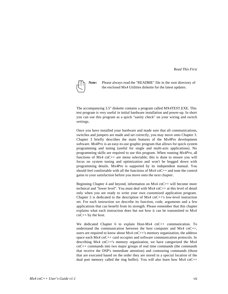

*Note:* Please always read the "README" file in the root directory of the enclosed Mx4 Utilities diskette for the latest updates.

The accompanying 3.5" diskette contains a program called MX4TEST.EXE. This test program is very useful in initial hardware installation and power-up. In short you can use this program as a quick "sanity check" on your wiring and switch settings.

Once you have installed your hardware and made sure that all communications, switches and jumpers are made and set correctly, you may move onto Chapter 3. Chapter 3 briefly describes the main features of the Mx4Pro development software. *Mx4Pro* is an easy-to-use graphic program that allows for quick system programming and tuning (useful for single and multi-axis applications). No programming skills are required to use this program. When running *Mx4Pro,* all functions of Mx4 cnC++ are menu selectable; this is done to ensure you will focus on system tuning and optimization and won't be bogged down with programming details. Mx4Pro is supported by its independent manual. You should feel comfortable with all the functions of Mx4 cnC++ and tune the control gains to your satisfaction before you move onto the next chapter.

Beginning Chapter 4 and beyond, information on Mx4 cnC++ will become more technical and "lower level". You must deal with Mx4 cnC++ at this level of detail only when you are ready to write your own customized application program. Chapter 5 is dedicated to the description of Mx4 cnC++'s low-level instruction set. For each instruction we describe its function, code, arguments and a few applications that can benefit from its strength. Please remember that this chapter explains what each instruction does but not how it can be transmitted to Mx4 cnC++ by the host.

We dedicated Chapter 6 to explain Host-Mx4 cnC++ communication. To understand the communication between the host computer and Mx4 cnC++, users are required to know about Mx4 cnC++'s memory organization, the address space each Mx4 cnC++ card occupies and software communication protocols. In describing Mx4 cnC++'s memory organization, we have categorized the Mx4 cnC++ commands into two major groups of real time commands (the commands that receive the DSP's immediate attention) and contouring commands (those that are executed based on the order they are stored in a special location of the dual port memory called the ring buffer). You will also learn how Mx4 cnC++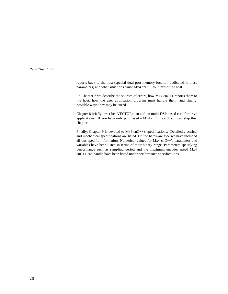reports back to the host (special dual port memory location dedicated to these parameters) and what situations cause Mx4 cnC++ to interrupt the host.

 In Chapter 7 we describe the sources of errors, how Mx4 cnC++ reports them to the host, how the user application program must handle them, and finally, possible ways they may be cured.

Chapter 8 briefly describes VECTOR4, an add-on multi-DSP based card for drive applications. If you have only purchased a Mx4 cnC++ card, you can skip this chapter.

Finally, Chapter 9 is devoted to Mx4 cnC++'s specifications. Detailed electrical and mechanical specifications are listed. On the hardware side we have included all bus specific information. Numerical values for Mx4 cnC++'s parameters and variables have been listed in terms of their binary range. Parameters specifying performance such as sampling period and the maximum encoder speed Mx4 cnC++ can handle have been listed under performance specifications.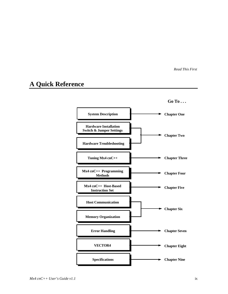## **A Quick Reference**

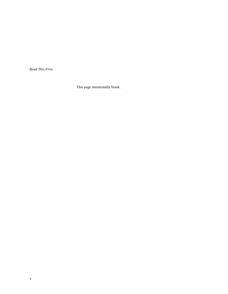This page intentionally blank.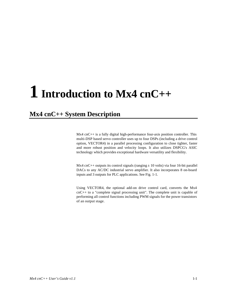## **Mx4 cnC++ System Description**

Mx4 cnC++ is a fully digital high-performance four-axis position controller. This multi-DSP based servo controller uses up to four DSPs (including a drive control option, VECTOR4) in a parallel processing configuration to close tighter, faster and more robust position and velocity loops. It also utilizes DSPCG's ASIC technology which provides exceptional hardware versatility and flexibility.

Mx4 cnC++ outputs its control signals (ranging  $\pm$  10 volts) via four 16-bit parallel DACs to any AC/DC industrial servo amplifier. It also incorporates 8 on-board inputs and 3 outputs for PLC applications. See Fig. 1-1.

Using VECTOR4, the optional add-on drive control card, converts the Mx4 cnC++ to a "complete signal processing unit". The complete unit is capable of performing all control functions including PWM signals for the power transistors of an output stage.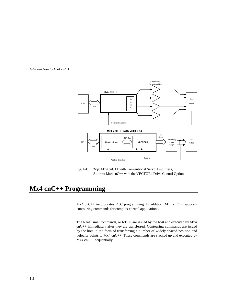

Fig. 1-1: *Top*: Mx4 cnC++ with Conventional Servo Amplifiers, *Bottom*: Mx4 cnC++ with the VECTOR4 Drive Control Option

## **Mx4 cnC++ Programming**

Mx4 cnC++ incorporates RTC programming. In addition, Mx4 cnC++ supports contouring commands for complex control applications.

The Real Time Commands, or RTCs, are issued by the host and executed by Mx4 cnC++ immediately after they are transferred. Contouring commands are issued by the host in the form of transferring a number of widely spaced position and velocity points to Mx4 cnC++. These commands are stacked up and executed by Mx4 cnC++ sequentially.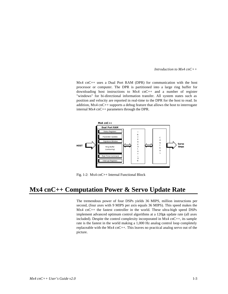Mx4 cnC++ uses a Dual Port RAM (DPR) for communication with the host processor or computer. The DPR is partitioned into a large ring buffer for downloading host instructions to Mx4 cnC++ and a number of register "windows" for bi-directional information transfer. All system states such as position and velocity are reported in real-time to the DPR for the host to read. In addition, Mx4 cnC++ supports a debug feature that allows the host to interrogate internal Mx4 cnC++ parameters through the DPR.



Fig. 1-2: Mx4 cnC++ Internal Functional Block

## **Mx4 cnC++ Computation Power & Servo Update Rate**

The tremendous power of four DSPs yields 36 MIPS, million instructions per second, (four axes with 9 MIPS per axis equals 36 MIPS). This speed makes the Mx4 cnC++ the fastest controller in the world. These ultra-high speed DSPs implement advanced optimum control algorithms at a 120μs update rate (all axes included). Despite the control complexity incorporated in Mx4 cnC++, its sample rate is the fastest in the world making a 1,000 Hz analog control loop completely replaceable with the Mx4 cnC++. This leaves no practical analog servo out of the picture.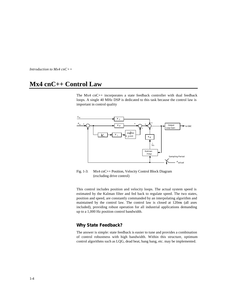### **Mx4 cnC++ Control Law**

The Mx4 cnC++ incorporates a state feedback controller with dual feedback loops. A single 40 MHz DSP is dedicated to this task because the control law is important in control quality



Fig. 1-3: Mx4 cnC++ Position, Velocity Control Block Diagram (excluding drive control)

This control includes position and velocity loops. The actual system speed is estimated by the Kalman filter and fed back to regulate speed. The two states, position and speed, are constantly commanded by an interpolating algorithm and maintained by the control law. The control law is closed at 120ms (all axes included), providing robust operation for all industrial applications demanding up to a 1,000 Hz position control bandwidth.

#### **Why State Feedback?**

The answer is simple: state feedback is easier to tune and provides a combination of control robustness with high bandwidth. Within this structure, optimum control algorithms such as LQG, dead beat, bang bang, etc. may be implemented.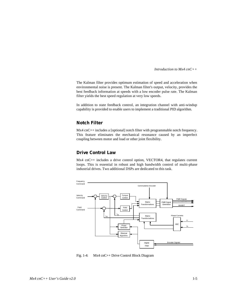The Kalman filter provides optimum estimation of speed and acceleration when environmental noise is present. The Kalman filter's output, velocity, provides the best feedback information at speeds with a low encoder pulse rate. The Kalman filter yields the best speed regulation at very low speeds.

In addition to state feedback control, an integration channel with anti-windup capability is provided to enable users to implement a traditional PID algorithm.

#### **Notch Filter**

Mx4 cnC++ includes a [optional] notch filter with programmable notch frequency. This feature eliminates the mechanical resonance caused by an imperfect coupling between motor and load or other joint flexibility.

#### **Drive Control Law**

Mx4 cnC++ includes a drive control option, VECTOR4, that regulates current loops. This is essential in robust and high bandwidth control of multi-phase industrial drives. Two additional DSPs are dedicated to this task.



Fig. 1-4: Mx4 cnC++ Drive Control Block Diagram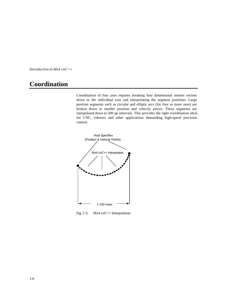### **Coordination**

Coordination of four axes requires breaking four dimensional motion vectors down to the individual axis and interpolating the segment positions. Large position segments such as circular and elliptic arcs (for four or more axes) are broken down to smaller position and velocity pieces. These segments are interpolated down to 200 μs intervals. This provides the tight coordination ideal for CNC, robotics and other applications demanding high-speed precision control.



Fig. 1-5: Mx4 cnC++ Interpolation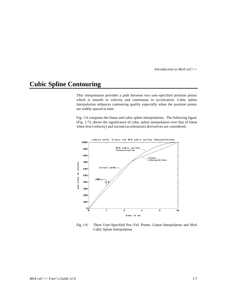### **Cubic Spline Contouring**

This interpolation provides a path between two user-specified position points which is smooth in velocity and continuous in acceleration. Cubic spline interpolation enhances contouring quality especially when the position points are widely spaced in time.

Fig. 1-6 compares the linear and cubic spline interpolations. The following figure (Fig. 1-7), shows the significance of cubic spline interpolation over that of linear when first (velocity) and second (acceleration) derivatives are considered.



Fig. 1-6: Three User-Specified Pos./Vel. Points, Linear Interpolation and Mx4 Cubic Spline Interpolation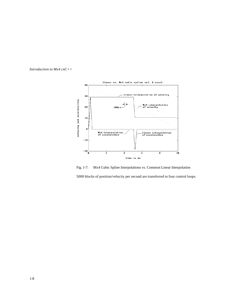

Fig. 1-7: Mx4 Cubic Spline Interpolations vs. Common Linear Interpolation 5000 blocks of position/velocity per second are transferred to four control loops.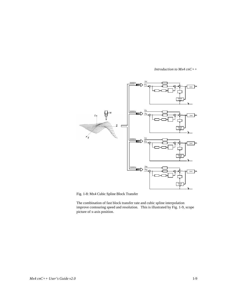

Fig. 1-8: Mx4 Cubic Spline Block Transfer

The combination of fast block transfer rate and cubic spline interpolation improve contouring speed and resolution. This is illustrated by Fig. 1-9, scope picture of x-axis position.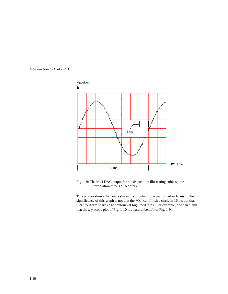

Fig. 1-9: The Mx4 DAC output for x-axis position illustrating cubic spline interpolation through 16 points

This picture shows the x-axis share of a circular move performed in 16 ms! The significance of this graph is not that the Mx4 can finish a circle in 16 ms but that it can perform sharp edge contours at high feed rates. For example, one can claim that the x-y scope plot of Fig. 1-10 is a natural benefit of Fig. 1-9.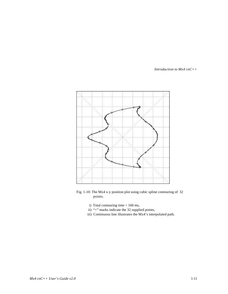

Fig. 1-10: The Mx4 x-y position plot using cubic spline contouring of 32 points.

- i) Total contouring time  $= 160$  ms,
- ii) "+" marks indicate the 32 supplied points,
- iii) Continuous line illustrates the Mx4's interpolated path.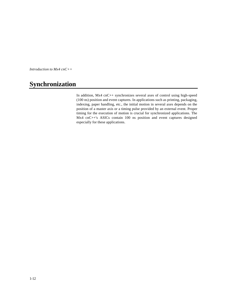## **Synchronization**

In addition, Mx4 cnC++ synchronizes several axes of control using high-speed (100 ns) position and event captures. In applications such as printing, packaging, indexing, paper handling, etc., the initial motion in several axes depends on the position of a master axis or a timing pulse provided by an external event. Proper timing for the execution of motion is crucial for synchronized applications. The Mx4 cnC++'s ASICs contain 100 ns position and event captures designed especially for these applications.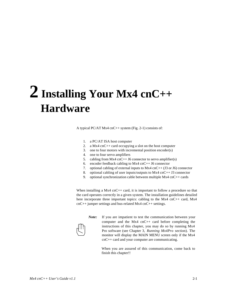A typical PC/AT Mx4 cnC++ system (Fig. 2-1) consists of:

- 1. a PC/AT ISA host computer
- 2. a Mx4 cnC $++$  card occupying a slot on the host computer
- 3. one to four motors with incremental position encoder(s)
- 4. one to four servo amplifiers
- 5. cabling from Mx4 cnC++ J6 connector to servo amplifier(s)
- 6. encoder feedback cabling to Mx4 cnC++ J6 connector
- 7. optional cabling of external inputs to Mx4 cnC++ (J3 or J6) connector
- 8. optional cabling of user inputs/outputs to Mx4 cnC++ J3 connector
- 9. optional synchronization cable between multiple Mx4 cnC++ cards

When installing a  $Mx4$  cnC++ card, it is important to follow a procedure so that the card operates correctly in a given system. The installation guidelines detailed here incorporate three important topics: cabling to the Mx4 cnC++ card, Mx4 cnC++ jumper settings and bus-related Mx4 cnC++ settings.



*Note:* If you are impatient to test the communication between your computer and the Mx4 cnC++ card before completing the instructions of this chapter, you may do so by running Mx4 Pro software (see Chapter 3, *Running Mx4Pro* section). The monitor will display the MAIN MENU screen only if the Mx4 cnC++ card and your computer are communicating.

> When you are assured of this communication, come back to finish this chapter!!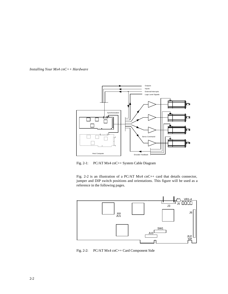

Fig. 2-1: PC/AT Mx4 cnC++ System Cable Diagram

Fig. 2-2 is an illustration of a PC/AT Mx4 cnC++ card that details connector, jumper and DIP switch positions and orientations. This figure will be used as a reference in the following pages.



Fig. 2-2: PC/AT Mx4 cnC++ Card Component Side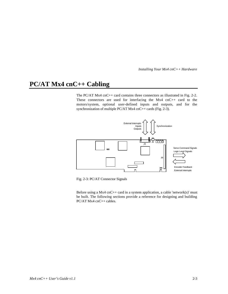## **PC/AT Mx4 cnC++ Cabling**

The PC/AT Mx4 cnC++ card contains three connectors as illustrated in Fig. 2-2. These connectors are used for interfacing the Mx4 cnC++ card to the motors/system, optional user-defined inputs and outputs, and for the synchronization of multiple PC/AT Mx4 cnC++ cards (Fig. 2-3).



Fig. 2-3: PC/AT Connector Signals

Before using a Mx4 cnC++ card in a system application, a cable 'network(s)' must be built. The following sections provide a reference for designing and building PC/AT Mx4 cnC++ cables.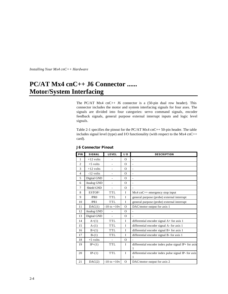## **PC/AT Mx4 cnC++ J6 Connector ...... Motor/System Interfacing**

The PC/AT Mx4 cnC++ J6 connector is a (50-pin dual row header). This connector includes the motor and system interfacing signals for four axes. The signals are divided into four categories: servo command signals, encoder feedback signals, general purpose external interrupt inputs and logic level signals.

Table 2-1 specifies the pinout for the PC/AT Mx4 cnC++ 50-pin header. The table includes signal level (type) and I/O functionality (with respect to the Mx4 cnC++ card).

| PIN            | <b>SIGNAL</b> | LEVEL           | 1/0          | <b>DESCRIPTION</b>                                        |
|----------------|---------------|-----------------|--------------|-----------------------------------------------------------|
| $\mathbf{1}$   | $+12$ volts   |                 | $\Omega$     | L.                                                        |
| $\overline{2}$ | $+5$ volts    |                 | $\Omega$     | $\overline{a}$                                            |
| 3              | $+12$ volts   |                 | $\Omega$     | ä,                                                        |
| $\overline{4}$ | $-12$ volts   |                 | $\Omega$     | ÷                                                         |
| 5              | Digital GND   |                 | $\Omega$     | ÷,                                                        |
| 6              | Analog GND    |                 | $\Omega$     | ÷,                                                        |
| $\overline{7}$ | Shield GND    |                 | $\Omega$     |                                                           |
| 8              | ESTOP/        | <b>TTL</b>      | $\mathbf{I}$ | Mx4 cnC++ emergency stop input                            |
| 9              | /PR0          | <b>TTL</b>      | $\mathbf I$  | general purpose (probe) external interrupt                |
| 10             | /PR1          | <b>TTL</b>      | I            | general purpose (probe) external interrupt                |
| 11             | DAC(1)        | $-10$ to $+10v$ | $\Omega$     | DAC/motor output for axis 1                               |
| 12             | Analog GND    |                 | $\Omega$     |                                                           |
| 13             | Digital GND   |                 | $\Omega$     | L.                                                        |
| 14             | $A+(1)$       | <b>TTL</b>      | $\mathbf{I}$ | differential encoder signal A+ for axis 1                 |
| 15             | $A-(1)$       | <b>TTL</b>      | I            | differential encoder signal A- for axis 1                 |
| 16             | $B+(1)$       | <b>TTL</b>      | I            | differential encoder signal B+ for axis 1                 |
| 17             | $B-(1)$       | <b>TTL</b>      | I            | differential encoder signal B- for axis 1                 |
| 18             | $+5$ volts    |                 | $\Omega$     | ä,                                                        |
| 19             | $IP+(1)$      | <b>TTL</b>      | I            | differential encoder index pulse signal IP+ for axis      |
|                |               |                 |              | 1                                                         |
| 20             | $IP-(1)$      | <b>TTL</b>      | I            | differential encoder index pulse signal IP- for axis<br>1 |
| 21             | DAC(2)        | $-10$ to $+10v$ | $\Omega$     | DAC/motor output for axis 2                               |

#### **J6 Connector Pinout**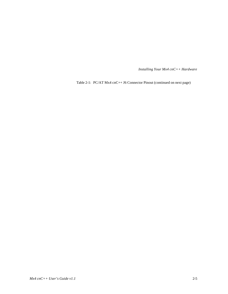Table 2-1: PC/AT Mx4 cnC++ J6 Connector Pinout (continued on next page)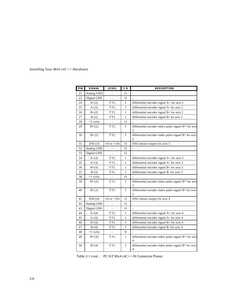| PIN | SIGNAL      | LEVEL           | 1/0          | <b>DESCRIPTION</b>                                        |
|-----|-------------|-----------------|--------------|-----------------------------------------------------------|
| 22  | Analog GND  |                 | 0            |                                                           |
| 23  | Digital GND |                 | O            |                                                           |
| 24  | $A+(2)$     | <b>TTL</b>      | I            | differential encoder signal A+ for axis 2                 |
| 25  | $A-(2)$     | <b>TTL</b>      | I            | differential encoder signal A- for axis 2                 |
| 26  | $B+(2)$     | <b>TTL</b>      | I            | differential encoder signal B+ for axis 2                 |
| 27  | $B-(2)$     | <b>TTL</b>      | I            | differential encoder signal B- for axis 2                 |
| 28  | $+5$ volts  |                 | О            |                                                           |
| 29  | $IP+(2)$    | <b>TTL</b>      | $\bf I$      | differential encoder index pulse signal IP+ for axis<br>2 |
| 30  | $IP-(2)$    | <b>TTL</b>      | I            | differential encoder index pulse signal IP- for axis<br>2 |
| 31  | DAC(3)      | $-10$ to $+10v$ | О            | DAC/motor output for axis 3                               |
| 32  | Analog GND  | ÷               | $\mathbf{O}$ |                                                           |
| 33  | Digital GND | $\frac{1}{2}$   | O            |                                                           |
| 34  | $A+(3)$     | <b>TTL</b>      | I            | differential encoder signal A+ for axis 3                 |
| 35  | $A-(3)$     | <b>TTL</b>      | I            | differential encoder signal A- for axis 3                 |
| 36  | $B+(3)$     | <b>TTL</b>      | I            | differential encoder signal B+ for axis 3                 |
| 37  | $B-(3)$     | <b>TTL</b>      | I            | differential encoder signal B- for axis 3                 |
| 38  | $+5$ volts  |                 | O            |                                                           |
| 39  | $IP+(3)$    | <b>TTL</b>      | I            | differential encoder index pulse signal IP+ for axis<br>3 |
| 40  | $IP-(3)$    | <b>TTL</b>      | $\bf I$      | differential encoder index pulse signal IP- for axis<br>3 |
| 41  | DAC(4)      | $-10$ to $+10v$ | O            | DAC/motor output for axis 4                               |
| 42  | Analog GND  | ÷,              | O            | ÷,                                                        |
| 43  | Digital GND | L,              | O            |                                                           |
| 44  | $A+(4)$     | TTL             | I            | differential encoder signal A+ for axis 4                 |
| 45  | $A-(4)$     | <b>TTL</b>      | I            | differential encoder signal A- for axis 4                 |
| 46  | $B+(4)$     | <b>TTL</b>      | I            | differential encoder signal B+ for axis 4                 |
| 47  | $B-(4)$     | <b>TTL</b>      | I            | differential encoder signal B- for axis 4                 |
| 48  | $+5$ volts  | $\overline{a}$  | $\mathbf{O}$ |                                                           |
| 49  | $IP+(4)$    | <b>TTL</b>      | I            | differential encoder index pulse signal IP+ for axis<br>4 |
| 50  | $IP-(4)$    | <b>TTL</b>      | $\bf I$      | differential encoder index pulse signal IP- for axis<br>4 |

Table 2-1 cont.: PC/AT Mx4 cnC++ J6 Connector Pinout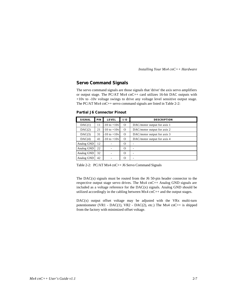#### **Servo Command Signals**

The servo command signals are those signals that 'drive' the axis servo amplifiers or output stage. The PC/AT Mx4 cnC++ card utilizes 16-bit DAC outputs with +10v to -10v voltage swings to drive any voltage level sensitive output stage. The PC/AT Mx4 cnC++ servo command signals are listed in Table 2-2:

**Partial J6 Connector Pinout**

| <b>SIGNAL</b> | PIN | LEVEL           | 1/0      | <b>DESCRIPTION</b>          |
|---------------|-----|-----------------|----------|-----------------------------|
| DAC(1)        | 11  | $-10$ to $+10v$ | 0        | DAC/motor output for axis 1 |
| DAC(2)        | 21  | $-10$ to $+10v$ | $\Omega$ | DAC/motor output for axis 2 |
| DAC(3)        | 31  | $-10$ to $+10v$ | 0        | DAC/motor output for axis 3 |
| DAC(4)        | 41  | $-10$ to $+10v$ | $\Omega$ | DAC/motor output for axis 4 |
| Analog GND    | 12  |                 | $\Omega$ |                             |
| Analog GND    | 22  |                 | $\Omega$ |                             |
| Analog GND    | 32  |                 | $\Omega$ |                             |
| Analog GND    | 42  |                 | O        |                             |

Table 2-2: PC/AT Mx4 cnC++ J6 Servo Command Signals

The DAC $(x)$  signals must be routed from the J6 50-pin header connector to the respective output stage servo drives. The Mx4 cnC++ Analog GND signals are included as a voltage reference for the  $DAC(x)$  signals. Analog GND should be utilized accordingly in the cabling between Mx4 cnC++ and the output stages.

 $DAC(x)$  output offset voltage may be adjusted with the VRx multi-turn potentiometer (VR1 - DAC(1), VR2 - DAC(2), etc.) The Mx4 cnC++ is shipped from the factory with minimized offset voltage.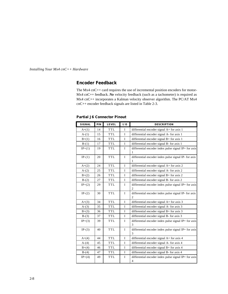#### **Encoder Feedback**

The Mx4 cnC++ card requires the use of incremental position encoders for motor-Mx4 cnC++ feedback. *No* velocity feedback (such as a tachometer) is required as Mx4 cnC++ incorporates a Kalman velocity observer algorithm. The PC/AT Mx4 cnC++ encoder feedback signals are listed in Table 2-3.

**Partial J6 Connector Pinout**

| SIGNAL   | <b>PIN</b> | LEVEL      | 1/0          | <b>DESCRIPTION</b>                                                     |
|----------|------------|------------|--------------|------------------------------------------------------------------------|
| $A+(1)$  | 14         | <b>TTL</b> | 1            | differential encoder signal A+ for axis 1                              |
| $A-(1)$  | 15         | <b>TTL</b> | $\mathbf I$  | differential encoder signal A- for axis 1                              |
| $B+(1)$  | 16         | <b>TTL</b> | I            | differential encoder signal $B$ + for axis 1                           |
| $B-(1)$  | 17         | <b>TTL</b> | $\mathbf I$  | differential encoder signal B- for axis 1                              |
| $IP+(1)$ | 19         | <b>TTL</b> | I            | differential encoder index pulse signal IP+ for axis<br>1              |
| $IP-(1)$ | 20         | <b>TTL</b> | $\mathbf I$  | differential encoder index pulse signal IP- for axis<br>1              |
| $A+(2)$  | 24         | <b>TTL</b> | I            | differential encoder signal A+ for axis 2                              |
| $A-(2)$  | 25         | <b>TTL</b> | $\mathbf{I}$ | differential encoder signal A- for axis 2                              |
| $B+(2)$  | 26         | <b>TTL</b> | I            | differential encoder signal B+ for axis 2                              |
| $B-(2)$  | 27         | <b>TTL</b> | $\mathbf I$  | differential encoder signal B- for axis 2                              |
| $IP+(2)$ | 29         | <b>TTL</b> | I            | differential encoder index pulse signal IP+ for axis<br>$\mathfrak{D}$ |
| $IP-(2)$ | 30         | <b>TTL</b> | $\mathbf{I}$ | differential encoder index pulse signal IP- for axis<br>2              |
| $A+(3)$  | 34         | <b>TTL</b> | $\mathbf I$  | differential encoder signal A+ for axis 3                              |
| $A-(3)$  | 35         | <b>TTL</b> | I            | differential encoder signal A- for axis 3                              |
| $B+(3)$  | 36         | <b>TTL</b> | $\mathbf I$  | differential encoder signal B+ for axis 3                              |
| $B-(3)$  | 37         | <b>TTL</b> | I            | differential encoder signal B- for axis 3                              |
| $IP+(3)$ | 39         | <b>TTL</b> | I            | differential encoder index pulse signal IP+ for axis<br>3              |
| $IP-(3)$ | 40         | <b>TTL</b> | I            | differential encoder index pulse signal IP+ for axis<br>3              |
| $A+(4)$  | 44         | <b>TTL</b> | $\bf I$      | differential encoder signal A+ for axis 4                              |
| $A-(4)$  | 45         | <b>TTL</b> | $\bf I$      | differential encoder signal A- for axis 4                              |
| $B+(4)$  | 46         | <b>TTL</b> | $\bf I$      | differential encoder signal B+ for axis 4                              |
| $B-(4)$  | 47         | <b>TTL</b> | $\bf I$      | differential encoder signal B- for axis 4                              |
| $IP+(4)$ | 49         | <b>TTL</b> | $\bf{I}$     | differential encoder index pulse signal IP+ for axis<br>$\overline{4}$ |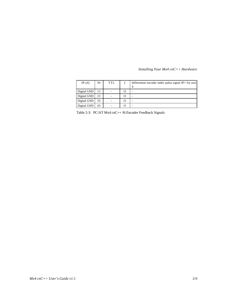| $IP-(4)$    | 50 | <b>TTL</b>               |           | differential encoder index pulse signal $IP$ + for axis |
|-------------|----|--------------------------|-----------|---------------------------------------------------------|
| Digital GND | 13 | -                        | $\Omega$  | -                                                       |
| Digital GND | 23 |                          | O         |                                                         |
| Digital GND | 33 | $\overline{\phantom{a}}$ | $\lambda$ |                                                         |
| Digital GND | 43 | -                        |           |                                                         |

Table 2-3: PC/AT Mx4 cnC++ J6 Encoder Feedback Signals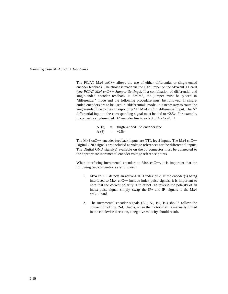The PC/AT Mx4 cnC++ allows the use of either differential or single-ended encoder feedback. The choice is made via the JU2 jumper on the Mx4 cnC++ card (see *PC/AT Mx4 cnC++ Jumper Settings*). If a combination of differential and single-ended encoder feedback is desired, the jumper must be placed in "differential" mode and the following procedure must be followed. If singleended encoders are to be used in "differential" mode, it is necessary to route the single-ended line to the corresponding "+" Mx4 cnC++ differential input. The "-" differential input to the corresponding signal must be tied to  $+2.5v$ . For example, to connect a single-ended "A" encoder line to axis 3 of Mx4 cnC++:

> $A+(3)$  = single-ended "A" encoder line A-(3) =  $+2.5v$

The Mx4 cnC++ encoder feedback inputs are TTL-level inputs. The Mx4 cnC++ Digital GND signals are included as voltage references for the differential inputs. The Digital GND signal(s) available on the J6 connector must be connected to the appropriate incremental encoder voltage reference points.

When interfacing incremental encoders to Mx4 cnC++, it is important that the following two conventions are followed:

- 1. Mx4 cnC++ detects an active-HIGH index pule. If the encoder(s) being interfaced to Mx4 cnC++ include index pulse signals, it is important to note that the correct polarity is in effect. To reverse the polarity of an index pulse signal, simply 'swap' the IP+ and IP- signals to the Mx4 cnC++ card.
- 2. The incremental encoder signals (A+, A-, B+, B-) should follow the convention of Fig. 2-4. That is, when the motor shaft is manually turned in the clockwise direction, a negative velocity should result.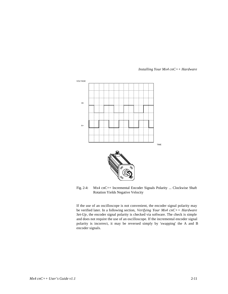



Fig. 2-4: Mx4 cnC++ Incremental Encoder Signals Polarity ... Clockwise Shaft Rotation Yields Negative Velocity

If the use of an oscilloscope is not convenient, the encoder signal polarity may be verified later. In a following section, *Verifying Your Mx4 cnC++ Hardware Set-Up*, the encoder signal polarity is checked via software. The check is simple and does not require the use of an oscilloscope. If the incremental encoder signal polarity is incorrect, it may be reversed simply by 'swapping' the A and B encoder signals.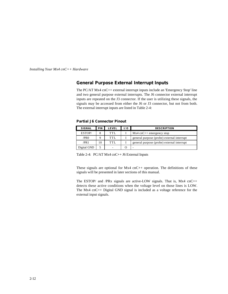#### **General Purpose External Interrupt Inputs**

The PC/AT Mx4 cnC++ external interrupt inputs include an 'Emergency Stop' line and two general purpose external interrupts. The J6 connector external interrupt inputs are repeated on the J3 connector. If the user is utilizing these signals, the signals may be accessed from either the J6 or J3 connector, but not from both. The external interrupt inputs are listed in Table 2-4:

#### **Partial J6 Connector Pinout**

| <b>SIGNAL</b> | PIN I | <b>LEVEL</b> | 1/0 | <b>DESCRIPTION</b>                         |
|---------------|-------|--------------|-----|--------------------------------------------|
| ESTOP/        |       | TTL.         |     | $Mx4$ cnC++ emergency stop                 |
| /PR0          |       | TTL.         |     | general purpose (probe) external interrupt |
| /PR1          | 10    | TTL.         |     | general purpose (probe) external interrupt |
| Digital GND   |       |              |     |                                            |

Table 2-4: PC/AT Mx4 cnC++ J6 External Inputs

These signals are optional for Mx4 cnC++ operation. The definitions of these signals will be presented in later sections of this manual.

The ESTOP/ and /PRx signals are active-LOW signals. That is, Mx4 cnC++ detects these active conditions when the voltage level on those lines is LOW. The Mx4 cnC++ Digital GND signal is included as a voltage reference for the external input signals.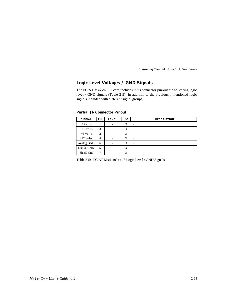## **Logic Level Voltages / GND Signals**

The PC/AT Mx4 cnC++ card includes in its connector pin-out the following logic level / GND signals (Table 2-5) [in addition to the previously mentioned logic signals included with different signal groups]:

| <b>SIGNAL</b> | PIN | LEVEL | 1/0 | <b>DESCRIPTION</b> |
|---------------|-----|-------|-----|--------------------|
| $+12$ volts   |     | -     |     |                    |
| $+12$ volts   |     | -     |     | -                  |
| $+5$ volts    |     | -     |     |                    |

**Partial J6 Connector Pinout**

 $-12$  volts  $4$  - 0 -Analog GND 6  $\vert$  -  $\vert$  O  $\vert$  -Digital GND  $\begin{array}{|c|c|c|c|c|c|c|c|c|} \hline 5 & - & 0 & - \ \hline \end{array}$ Shield Gnd 7 - O -

Table 2-5: PC/AT Mx4 cnC++ J6 Logic Level / GND Signals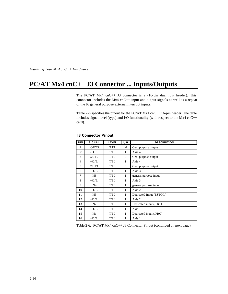# **PC/AT Mx4 cnC++ J3 Connector ... Inputs/Outputs**

The PC/AT Mx4 cnC++ J3 connector is a (16-pin dual row header). This connector includes the Mx4 cnC++ input and output signals as well as a repeat of the J6 general purpose external interrupt inputs.

Table 2-6 specifies the pinout for the PC/AT Mx4 cnC++ 16-pin header. The table includes signal level (type) and I/O functionality (with respect to the Mx4 cnC++ card).

| PIN            | <b>SIGNAL</b>    | LEVEL      | 1/0          | <b>DESCRIPTION</b>       |
|----------------|------------------|------------|--------------|--------------------------|
| 1              | OUT3             | TTL        | $\mathbf{0}$ | Gen. purpose output      |
| $\overline{c}$ | $-0.$ T.         | <b>TTL</b> | I            | Axis 4                   |
| 3              | OUT <sub>2</sub> | TTL.       | $\Omega$     | Gen. purpose output      |
| 4              | $+O.T.$          | <b>TTL</b> | T            | Axis 4                   |
| 5              | OUT <sub>1</sub> | TTL.       | $\Omega$     | Gen. purpose output      |
| 6              | $-O.T.$          | <b>TTL</b> | T            | Axis 3                   |
| 7              | IN5              | <b>TTL</b> | L            | general purpose input    |
| 8              | $+O.T.$          | <b>TTL</b> | I            | Axis 3                   |
| 9              | IN4              | <b>TTL</b> | I            | general purpose input    |
| 10             | $-0.$ T.         | TTL.       | T            | Axis 2                   |
| 11             | IN3              | <b>TTL</b> | I            | Dedicated Input (ESTOP/) |
| 12             | $+O.T.$          | <b>TTL</b> | I            | Axis 2                   |
| 13             | IN2              | <b>TTL</b> | I            | Dedicated input (/PR1)   |
| 14             | $-O.T.$          | <b>TTL</b> | I            | Axis 1                   |
| 15             | IN1              | TTL.       | I            | Dedicated input (/PRO)   |
| 16             | $+O.T.$          | <b>TTL</b> | I            | Axis 1                   |

**J3 Connector Pinout**

Table 2-6: PC/AT Mx4 cnC++ J3 Connector Pinout (continued on next page)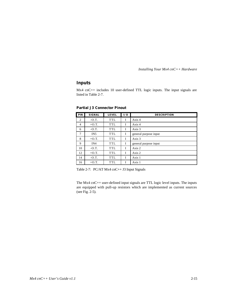## **Inputs**

Mx4 cnC++ includes 10 user-defined TTL logic inputs. The input signals are listed in Table 2-7.

| PIN            | <b>SIGNAL</b> | LEVEL      | 1/0 | <b>DESCRIPTION</b>    |
|----------------|---------------|------------|-----|-----------------------|
| $\overline{2}$ | $-0.$ T.      | <b>TTL</b> | I   | Axis 4                |
| $\overline{4}$ | $+O.T.$       | <b>TTL</b> | I   | Axis 4                |
| 6              | $-0.$ T.      | <b>TTL</b> | I   | Axis 3                |
| 7              | IN5           | <b>TTL</b> | I   | general purpose input |
| 8              | $+O.T.$       | <b>TTL</b> | I   | Axis 3                |
| 9              | IN4           | <b>TTL</b> | 1   | general purpose input |
| 10             | $-O.T.$       | <b>TTL</b> | I   | Axis 2                |
| 12             | $+O.T.$       | <b>TTL</b> | 1   | Axis 2                |
| 14             | $-0.$ T.      | <b>TTL</b> | I   | Axis 1                |
| 16             | $+O.T.$       | <b>TTL</b> | I   | Axis 1                |

#### **Partial J3 Connector Pinout**

Table 2-7: PC/AT Mx4 cnC++ J3 Input Signals

The Mx4 cnC++ user-defined input signals are TTL logic level inputs. The inputs are equipped with pull-up resistors which are implemented as current sources (see Fig. 2-5).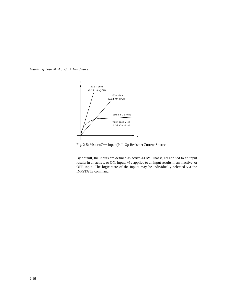



Fig. 2-5: Mx4 cnC++ Input (Pull-Up Resistor) Current Source

By default, the inputs are defined as active-LOW. That is, 0v applied to an input results in an active, or ON, input; +5v applied to an input results in an inactive, or OFF input. The logic state of the inputs may be individually selected via the INPSTATE command.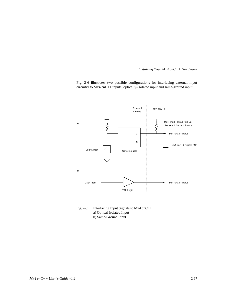Fig. 2-6 illustrates two possible configurations for interfacing external input circuitry to Mx4 cnC++ inputs: optically-isolated input and same-ground input.



Fig. 2-6: Interfacing Input Signals to Mx4 cnC++ a) Optical Isolated Input b) Same-Ground Input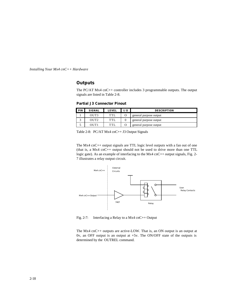## **Outputs**

The PC/AT Mx4 cnC++ controller includes 3 programmable outputs. The output signals are listed in Table 2-8.

**Partial J3 Connector Pinout**

| <b>PIN</b> | <b>SIGNAL</b>    | <b>LEVEL</b> | 1/0 | <b>DESCRIPTION</b>     |
|------------|------------------|--------------|-----|------------------------|
|            | OUT3             | TTL.         |     | general purpose output |
|            | OUT <sub>2</sub> | TTL.         |     | general purpose output |
|            | $O$ IJT1         | TTL.         |     | general purpose output |

Table 2-8: PC/AT Mx4 cnC++ J3 Output Signals

The Mx4 cnC++ output signals are TTL logic level outputs with a fan out of one (that is, a Mx4 cnC++ output should not be used to drive more than one TTL logic gate). As an example of interfacing to the Mx4 cnC++ output signals, Fig. 2-7 illustrates a relay output circuit.



Fig. 2-7: Interfacing a Relay to a Mx4 cnC++ Output

The Mx4 cnC++ outputs are active-LOW. That is, an ON output is an output at 0v, an OFF output is an output at  $+5v$ . The ON/OFF state of the outputs is determined by the OUTREL command.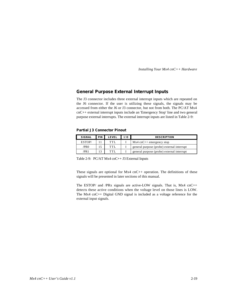#### **General Purpose External Interrupt Inputs**

The J3 connector includes three external interrupt inputs which are repeated on the J6 connector. If the user is utilizing these signals, the signals may be accessed from either the J6 or J3 connector, but not from both. The PC/AT Mx4 cnC++ external interrupt inputs include an 'Emergency Stop' line and two general purpose external interrupts. The external interrupt inputs are listed in Table 2-9:

**Partial J3 Connector Pinout**

| <b>SIGNAL</b>    | <b>IPIN</b> | <b>LEVEL</b> | 1/0 | <b>DESCRIPTION</b>                         |
|------------------|-------------|--------------|-----|--------------------------------------------|
| ESTOP/           |             | TTL.         |     | $Mx4$ cnC++ emergency stop                 |
| /PR <sub>0</sub> | 15          | TTL.         |     | general purpose (probe) external interrupt |
| /PR 1            |             | <b>TTI</b>   |     | general purpose (probe) external interrupt |

Table 2-9: PC/AT Mx4 cnC++ J3 External Inputs

These signals are optional for Mx4 cnC++ operation. The definitions of these signals will be presented in later sections of this manual.

The ESTOP/ and /PRx signals are active-LOW signals. That is, Mx4 cnC++ detects these active conditions when the voltage level on those lines is LOW. The Mx4 cnC++ Digital GND signal is included as a voltage reference for the external input signals.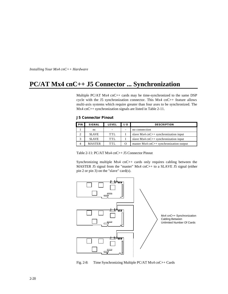# **PC/AT Mx4 cnC++ J5 Connector ... Synchronization**

Multiple PC/AT Mx4 cnC++ cards may be time-synchronized to the same DSP cycle with the J5 synchronization connector. This Mx4 cnC++ feature allows multi-axis systems which require greater than four axes to be synchronized. The Mx4 cnC++ synchronization signals are listed in Table 2-11.

#### **J5 Connector Pinout**

| <b>PIN</b> | <b>SIGNAL</b> | LEVEL | 1/0 | <b>DESCRIPTION</b>                        |
|------------|---------------|-------|-----|-------------------------------------------|
|            | nc            | ۰     | ۰   | no connection                             |
|            | <b>SLAVE</b>  | TTL.  |     | slave $Mx4$ cnC++ synchronization input   |
|            | <b>SLAVE</b>  | TTL.  |     | slave $Mx4$ cnC++ synchronization input   |
| 4          | <b>MASTER</b> | TTL.  | ∩   | master $Mx4$ cnC++ synchronization output |

Table 2-11: PC/AT Mx4 cnC++ J5 Connector Pinout

Synchronizing multiple Mx4 cnC++ cards only requires cabling between the MASTER J5 signal from the "master" Mx4 cnC++ to a SLAVE J5 signal (either pin 2 or pin 3) on the "slave" card(s).



Fig. 2-8: Time Synchronizing Multiple PC/AT Mx4 cnC++ Cards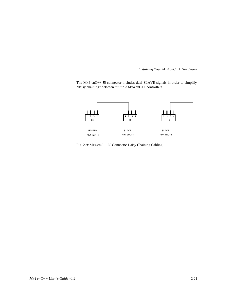The Mx4 cnC++ J5 connector includes dual SLAVE signals in order to simplify "daisy chaining" between multiple Mx4 cnC++ controllers.



Fig. 2-9: Mx4 cnC++ J5 Connector Daisy Chaining Cabling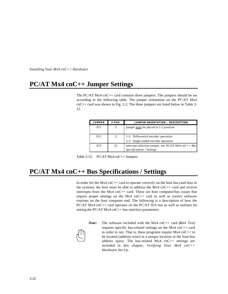## **PC/AT Mx4 cnC++ Jumper Settings**

The PC/AT Mx4 cnC++ card contains three jumpers. The jumpers should be set according to the following table. The jumper orientation on the PC/AT Mx4 cnC++ card was shown in Fig. 2-2. The three jumpers are listed below in Table 2- 12.

| <b>JUMPER</b>   | $#$ POS. | JUMPER ORIENTATION / DESCRIPTION                                                   |
|-----------------|----------|------------------------------------------------------------------------------------|
| JU1             | 3        | jumper must be placed in 1-2 position                                              |
| JU <sub>2</sub> | 3        | 1-2: Differential encoder operation                                                |
|                 |          | 2-3: Single-ended encoder operation                                                |
| JU3             | 22       | interrupt selection jumper, see $PC/AT$ Mx4 cnC++ Bus<br>Specifications / Settings |

Table 2-12: PC/AT Mx4 cnC++ Jumpers

# **PC/AT Mx4 cnC++ Bus Specifications / Settings**

In order for the Mx4 cnC++ card to operate correctly on the host bus (and thus in the system), the host must be able to address the Mx4 cnC++ card and receive interrupts from the Mx4 cnC++ card. These are host computer/bus issues that require proper settings on the Mx4 cnC++ card as well as correct software routines on the host computer end. The following is a description of how the PC/AT Mx4 cnC++ card operates on the PC/AT ISA bus as well as outlines for setting the PC/AT Mx4 cnC++ bus interface parameters.



*Note:* The software included with the Mx4 cnC++ card (*Mx4 Test*) requires specific bus-related settings on the Mx4 cnC++ card in order to run. That is, these programs require Mx4 cnC++ to be located (address-wise) in a unique location in the host-bus address space. The bus-related Mx4 cnC++ settings are included in this chapter, *Verifying Your Mx4 cnC++ Hardware Set-Up*.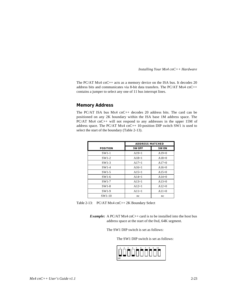The PC/AT Mx4 cnC++ acts as a memory device on the ISA bus. It decodes 20 address bits and communicates via 8-bit data transfers. The PC/AT Mx4 cnC++ contains a jumper to select any one of 11 bus interrupt lines.

#### **Memory Address**

The PC/AT ISA bus Mx4 cnC++ decodes 20 address bits. The card can be positioned on any 2K boundary within the ISA base 1M address space. The PC/AT Mx4 cnC++ will not respond to any addresses in the upper 15M of address space. The PC/AT Mx4 cnC++ 10-position DIP switch SW1 is used to select the start of the boundary (Table 2-13).

|                 | <b>ADDRESS MATCHED</b> |         |
|-----------------|------------------------|---------|
| <b>POSITION</b> | SW OFF                 | SW ON   |
| $SW1-1$         | $A19=1$                | $A19=0$ |
| $SW1-2$         | $A18=1$                | $A18=0$ |
| $SW1-3$         | $A17=1$                | $A17=0$ |
| $SW1-4$         | $A16=1$                | $A16=0$ |
| $SW1-5$         | $A15=1$                | $A15=0$ |
| $SW1-6$         | $A14=1$                | $A14=0$ |
| $SW1-7$         | $A13=1$                | $A13=0$ |
| $SW1-8$         | $A12=1$                | $A12=0$ |
| $SW1-9$         | $A11=1$                | $A11=0$ |
| $SW1-10$        | nc                     | nc      |

Table 2-13: PC/AT Mx4 cnC++ 2K Boundary Select

*Example:* A PC/AT Mx4 cnC++ card is to be installed into the host bus address space at the start of the 0xd, 64K segment.

The SW1 DIP switch is set as follows:

The SW1 DIP switch is set as follows:

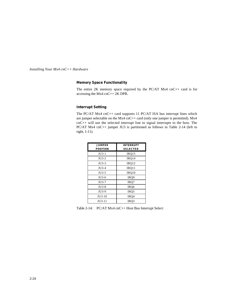#### **Memory Space Functionality**

The entire 2K memory space required by the PC/AT Mx4 cnC++ card is for accessing the Mx4 cnC++ 2K DPR.

#### **Interrupt Setting**

The PC/AT Mx4 cnC++ card supports 11 PC/AT ISA bus interrupt lines which are jumper selectable on the Mx4 cnC++ card (only one jumper is permitted). Mx4 cnC++ will use the selected interrupt line to signal interrupts to the host. The PC/AT Mx4 cnC++ jumper JU3 is partitioned as follows in Table 2-14 (left to right, 1-11).

| <b>JUMPER</b><br><b>POSITION</b> | <b>INTERRUPT</b><br><b>SELECTED</b> |
|----------------------------------|-------------------------------------|
| $JU3-1$                          | IRO15                               |
| $JU3-2$                          | IRO <sub>14</sub>                   |
| $JU3-3$                          | IRO <sub>12</sub>                   |
| JU3-4                            | IRO11                               |
| JU <sub>3</sub> -5               | IRQ10                               |
| JU3-6                            | IRO <sub>9</sub>                    |
| $JU3-7$                          | IR <sub>O</sub> 7                   |
| $JU3-8$                          | IR <sub>O6</sub>                    |
| JU3-9                            | IRQ5                                |
| $JU3-10$                         | IR <sub>O4</sub>                    |
| JU <sub>3</sub> -11              | IR <sub>O</sub> 3                   |

Table 2-14: PC/AT Mx4 cnC++ Host Bus Interrupt Select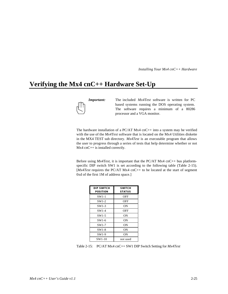## **Verifying the Mx4 cnC++ Hardware Set-Up**



*Important:* The included *Mx4Test* software is written for PC based systems running the DOS operating system. The software requires a minimum of a 80286 processor and a VGA monitor.

The hardware installation of a PC/AT Mx4 cnC++ into a system may be verified with the use of the *Mx4Test* software that is located on the Mx4 Utilities diskette in the MX4 TEST sub directory. *Mx4Test* is an executable program that allows the user to progress through a series of tests that help determine whether or not Mx4 cnC++ is installed correctly.

Before using *Mx4Test*, it is important that the PC/AT Mx4 cnC++ bus platformspecific DIP switch SW1 is set according to the following table (Table 2-15). [*Mx4Test* requires the PC/AT Mx4 cnC++ to be located at the start of segment 0xd of the first 1M of address space.]

| <b>DIP SWITCH</b> | <b>SWITCH</b> |
|-------------------|---------------|
| POSITION          | <b>STATUS</b> |
| $SW1-1$           | OFF           |
| $SW1-2$           | OFF           |
| $SW1-3$           | OΝ            |
| $SW1-4$           | OFF           |
| $SW1-5$           | ON            |
| $SW1-6$           | OΝ            |
| $SW1-7$           | OΝ            |
| $SW1-8$           | OΝ            |
| SW1-9             | ON            |
| $SW1-10$          | not used      |

Table 2-15: PC/AT Mx4 cnC++ SW1 DIP Switch Setting for *Mx4Test*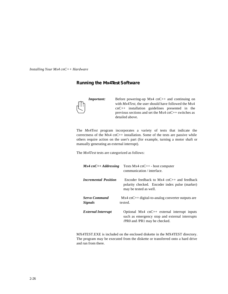#### **Running the** *Mx4Test* **Software**



*Important:* Before powering-up Mx4 cnC++ and continuing on with *Mx4Test*, the user should have followed the Mx4 cnC++ installation guidelines presented in the previous sections and set the Mx4 cnC++ switches as detailed above.

The *Mx4Test* program incorporates a variety of tests that indicate the correctness of the Mx4 cnC++ installation. Some of the tests are passive while others require action on the user's part (for example, turning a motor shaft or manually generating an external interrupt).

The *Mx4Test* tests are categorized as follows:

| $Mx4$ cnC++ Addressing                 | Tests $Mx4$ cnC++ - host computer<br>communication / interface.                                                                 |
|----------------------------------------|---------------------------------------------------------------------------------------------------------------------------------|
| <b>Incremental Position</b>            | Encoder feedback to $Mx4$ cn $C++$ and feedback<br>polarity checked. Encoder index pulse (marker)<br>may be tested as well.     |
| <b>Servo Command</b><br><i>Signals</i> | $Mx4$ cnC++ digital-to-analog converter outputs are<br>tested.                                                                  |
| <b>External Interrupt</b>              | Optional Mx4 cnC++ external interrupt inputs<br>such as emergency stop and external interrupts<br>/PR0 and /PR1 may be checked. |

MX4TEST.EXE is included on the enclosed diskette in the MX4TEST directory. The program may be executed from the diskette or transferred onto a hard drive and run from there.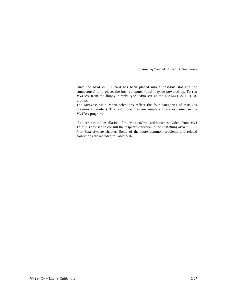Once the Mx4 cnC++ card has been placed into a host-bus slot and the connector(s) is in place, the host computer (bus) may be powered-up. To run *Mx4Test* from the floppy, simply type **Mx4Test** at the a:\MX4TEST\ DOS prompt.

The *Mx4Test* Main Menu selections reflect the four categories of tests (as previously detailed). The test procedures are simple and are explained in the *Mx4Test* program.

If an error in the installation of the Mx4 cnC++ card becomes evident from *Mx4 Test*, it is advised to consult the respective section in the *Installing Mx4 cnC++ Into Your System* chapter. Some of the more common problems and related corrections are included in Table 2-16.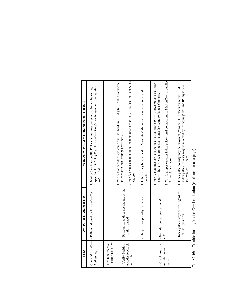| <b>ITEM</b>                                  | POSSIBLE PROBLEM                                                | CORRECTIVE ACTION SUGGESTIONS                                                                                                                                                       |
|----------------------------------------------|-----------------------------------------------------------------|-------------------------------------------------------------------------------------------------------------------------------------------------------------------------------------|
| Addressing                                   | Check Mx4 cnC++ $\vert$ - Failure indicated by Mx4 cnC++Test    | specified in Verifying Your Mx4 cnC++ Hardware Setup when running $Mx4$<br>1. Mx4 cnC++ bus-specific DIP switches must be set according to the settings<br>$cnC+Test$               |
| Position Encoders<br><b>Test Incremental</b> |                                                                 | 1. Verify that encoder is powered and that $Mx4$ cnC++ digital GND is connected                                                                                                     |
| - Verify Position                            | - Position value does not change as the                         | to encoder GND (voltage reference).                                                                                                                                                 |
| encoder feedback<br>and polarity             | shaft is turned                                                 | 2. Verify proper encoder signal connections to Mx4 cnC++ as detailed in previous<br>chapter.                                                                                        |
|                                              | - The position polarity is reversed                             | 1. Polarity may be reversed by "swapping" the A and B incremental encoder<br>signals.                                                                                               |
| - Check position                             | - No index pulse detected by Mx4                                | 1. Verify that encoder is powered and that Mx4 cnC++ is powered and that Mx4<br>cnC++ digital GND is connected to encoder GND (voltage reference).                                  |
| encoder index<br>pulse                       | $\det$                                                          | 2. Verify proper encoder index pulse signal connections to Mx4 cnC++ as detailed<br>in previous chapter.                                                                            |
|                                              | - Index pulse always active, regardless<br>of shaft position    | index pulse). Polarity may be reversed by "swapping" IP+ and IP- signals to<br>1. Index pulse polarity may be incorrect (Mx4 cnC++ detects on active-HIGH<br>the Mx4 cn $C++$ card. |
| Table 2-16:                                  | Troubleshooting Mx4 cnC++ Installation (continued on next page) |                                                                                                                                                                                     |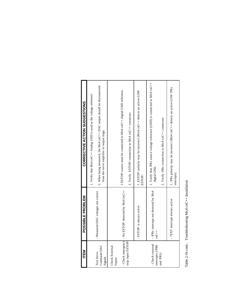| <b>ITEM</b>                          | POSSIBLE PROBLEM                                    | CORRECTIVE ACTION SUGGESTIONS                                                                                        |
|--------------------------------------|-----------------------------------------------------|----------------------------------------------------------------------------------------------------------------------|
|                                      |                                                     | 1. Verify that Mx4 cnC++ Analog GND is used as the voltage reference.                                                |
| Command DAC<br>Test Servo<br>Signals | - Measured DAC voltages not correct                 | 2. When being measured, the Mx4 cnC++ DAC output should be disconnected<br>from the servo amplifier or output stage. |
| Check External<br>Inputs             |                                                     |                                                                                                                      |
|                                      | - Check emergency - No ESTOP/ detected by Mx4 cnC++ | 1.ESTOP/ source must be connected to Mx4 cnC++ digital GND reference.                                                |
| stop input ESTOP                     |                                                     | 2. Verify ESTOP/ connection to Mx4 cnC++ connector.                                                                  |
|                                      | - ESTOP/ is always active                           | 1. ESTOP/ polarity may be incorrect (Mx4 cnC++ detects an active-LOW<br>ESTOP/.                                      |
| - Check external<br>interrupts (/PR0 | - /PRx interrupt not detected by Mx4<br>$cnC++$     | 1. Verify that /PRx source voltage reference (GND) is connected to Mx4 cnC++<br>digital GND.                         |
| and /PR1)                            |                                                     | 2. Verify /PRx connection to Mx4 cnC++ connector.                                                                    |
|                                      | -*EXT interrupt always active                       | 1. /PRx polarity may be incorrect (Mx4 cnC++ detects an active-LOW /PRx<br>interrupt).                               |

Table 2-16 cont.: Troubleshooting Mx4 cnC++ Installation Table 2-16 cont.: Troubleshooting Mx4 cnC++ Installation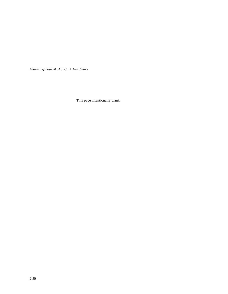This page intentionally blank.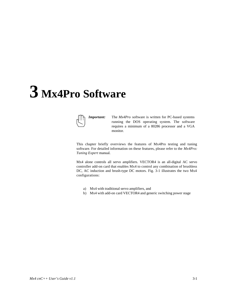

*Important:* The *Mx4Pro* software is written for PC-based systems running the DOS operating system. The software requires a minimum of a 80286 processor and a VGA monitor.

This chapter briefly overviews the features of Mx4Pro testing and tuning software. For detailed information on these features, please refer to the *Mx4Pro: Tuning Expert* manual.

Mx4 alone controls all servo amplifiers. VECTOR4 is an all-digital AC servo controller add-on card that enables Mx4 to control any combination of brushless DC, AC induction and brush-type DC motors. Fig. 3-1 illustrates the two Mx4 configurations:

- a) Mx4 with traditional servo amplifiers, and
- b) Mx4 with add-on card VECTOR4 and generic switching power stage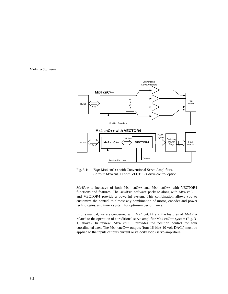

Fig. 3-1: *Top*: Mx4 cnC++ with Conventional Servo Amplifiers, *Bottom*: Mx4 cnC++ with VECTOR4 drive control option

*Mx4Pro* is inclusive of both Mx4 cnC++ and Mx4 cnC++ with VECTOR4 functions and features. The *Mx4Pro* software package along with Mx4 cnC++ and VECTOR4 provide a powerful system. This combination allows you to customize the control to almost any combination of motor, encoder and power technologies, and tune a system for optimum performance.

In this manual, we are concerned with Mx4 cnC++ and the features of *Mx4Pro* related to the operation of a traditional servo amplifier Mx4 cnC++ system (Fig. 3- 1, above). In review, Mx4 cnC++ provides the position control for four coordinated axes. The Mx4 cncC++ outputs (four  $16$ -bit  $\pm$  10 volt DACs) must be applied to the inputs of four (current or velocity loop) servo amplifiers.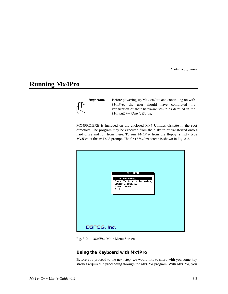## **Running Mx4Pro**



*Important:* Before powering-up Mx4 cnC++ and continuing on with *Mx4Pro*, the user should have completed the verification of their hardware set-up as detailed in the *Mx4 cnC++ User's Guide*.

MX4PRO.EXE is included on the enclosed Mx4 Utilities diskette in the root directory. The program may be executed from the diskette or transferred onto a hard drive and run from there. To run *Mx4Pro* from the floppy, simply type *Mx4Pro* at the a:\ DOS prompt. The first *Mx4Pro* screen is shown in Fig. 3-2.



Fig. 3-2: *Mx4Pro* Main Menu Screen

#### **Using the Keyboard with Mx4Pro**

Before you proceed to the next step, we would like to share with you some key strokes required in proceeding through the *Mx4Pro* program. With *Mx4Pro*, you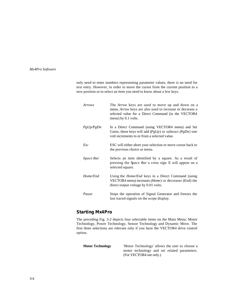only need to enter numbers representing parameter values, there is no need for text entry. However, in order to move the cursor from the current position to a new position or to select an item you need to know about a few keys.

| Arrows    | The <i>Arrow</i> keys are used to move up and down on a<br>menu. Arrow keys are also used to increase or decrease a<br>selected value for a Direct Command (in the VECTOR4<br>menu) by 0.1 volts. |
|-----------|---------------------------------------------------------------------------------------------------------------------------------------------------------------------------------------------------|
| PgUp/PgDn | In a Direct Command (using VECTOR4 menu) and Set<br>Gains, these keys will add $(PgUp)$ or subtract $(PgDn)$ one<br>volt increments to or from a selected value.                                  |
| Esc       | ESC will either abort your selection or move cursor back to<br>the previous choice or menu.                                                                                                       |
| Space Bar | Selects an item identified by a square. As a result of<br>pressing the Space Bar a cross sign X will appear on a<br>selected square.                                                              |
| Home/End  | Using the <i>Home/End</i> keys in a Direct Command (using<br>VECTOR4 menu) increases (Home) or decreases (End) the<br>direct output voltage by 0.01 volts.                                        |
| Pause     | Stops the operation of Signal Generator and freezes the<br>last traced signals on the scope display.                                                                                              |

#### **Starting Mx4Pro**

The preceding Fig. 3-2 depicts four selectable items on the Main Menu: Motor Technology, Power Technology, Sensor Technology and Dynamic Move. The first three selections are relevant only if you have the VECTOR4 drive control option.

| <b>Motor Technology</b> | 'Motor Technology' allows the user to choose a |
|-------------------------|------------------------------------------------|
|                         | motor technology and set related parameters.   |
|                         | (For VECTOR4 use only.)                        |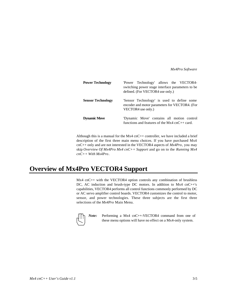| <b>Power Technology</b>  | 'Power Technology' allows the VECTOR4-<br>switching power stage interface parameters to be<br>defined. (For VECTOR4 use only.) |
|--------------------------|--------------------------------------------------------------------------------------------------------------------------------|
| <b>Sensor Technology</b> | 'Sensor Technology' is used to define some<br>encoder and motor parameters for VECTOR4. (For<br>VECTOR4 use only.)             |
| <b>Dynamic Move</b>      | 'Dynamic Move' contains all motion control<br>functions and features of the Mx4 cnC $++$ card.                                 |

Although this is a manual for the Mx4 cnC++ controller, we have included a brief description of the first three main menu choices. If you have purchased Mx4 cnC++ only and are not interested in the VECTOR4 aspects of *Mx4Pro*, you may skip *Overview Of Mx4Pro Mx4 cnC++ Support* and go on to the *Running Mx4 cnC++ With Mx4Pro*.

## **Overview of Mx4Pro VECTOR4 Support**

Mx4 cnC++ with the VECTOR4 option controls any combination of brushless DC, AC induction and brush-type DC motors. In addition to Mx4 cnC++'s capabilities, VECTOR4 performs all control functions commonly performed by DC or AC servo amplifier control boards. VECTOR4 customizes the control to motor, sensor, and power technologies. These three subjects are the first three selections of the *Mx4Pro* Main Menu.



*Note:* Performing a Mx4 cnC++-VECTOR4 command from one of these menu options will have no effect on a Mx4-only system.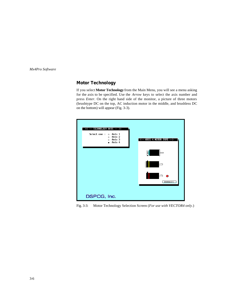### **Motor Technology**

If you select **Motor Technology** from the Main Menu, you will see a menu asking for the axis to be specified. Use the *Arrow* keys to select the axis number and press *Enter*. On the right hand side of the monitor, a picture of three motors (brushtype DC on the top, AC induction motor in the middle, and brushless DC on the bottom) will appear (Fig. 3-3).



Fig. 3-3: Motor Technology Selection Screen (*For use with VECTOR4 only.*)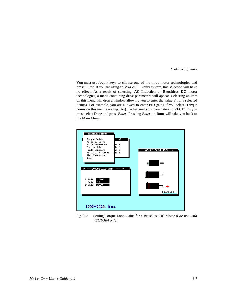You must use *Arrow* keys to choose one of the three motor technologies and press *Enter*. If you are using an Mx4 cnC++-only system, this selection will have no effect. As a result of selecting **AC Induction** or **Brushless DC** motor technologies, a menu containing drive parameters will appear. Selecting an item on this menu will drop a window allowing you to enter the value(s) for a selected item(s). For example, you are allowed to enter PID gains if you select **Torque** Gains on this menu (see Fig. 3-4). To transmit your parameters to VECTOR4 you must select **Done** and press *Enter*. Pressing *Enter* on **Done** will take you back to the Main Menu.



Fig. 3-4: Setting Torque Loop Gains for a Brushless DC Motor (*For use with VECTOR4 only*.)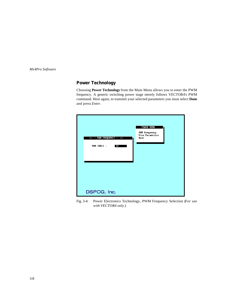## **Power Technology**

Choosing **Power Technology** from the Main Menu allows you to enter the PWM frequency. A generic switching power stage merely follows VECTOR4's PWM command. Here again, to transmit your selected parameters you must select **Done** and press *Enter*.

| << -- PUM FREQUENCY -- >><br>PWM (KHz) :<br>12 | <b>POWER MENU</b><br><b>PWM Frequency</b><br>View Parameters<br>Done |
|------------------------------------------------|----------------------------------------------------------------------|
| DSPCG, Inc.                                    |                                                                      |

Fig. 3-4: Power Electronics Technology, PWM Frequency Selection (*For use with VECTOR4 only*.)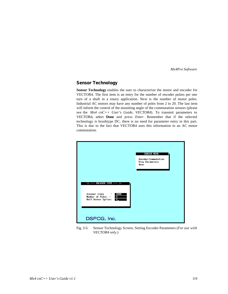#### **Sensor Technology**

**Sensor Technology** enables the user to characterize the motor and encoder for VECTOR4. The first item is an entry for the number of encoder pulses per one turn of a shaft in a rotary application. Next is the number of motor poles. Industrial AC motors may have any number of poles from 2 to 20. The last item will inform the control of the mounting angle of the commutation sensors (please see the *Mx4 cnC++ User's Guide, VECTOR4*). To transmit parameters to VECTOR4, select **Done** and press *Enter*. Remember that if the selected technology is brushtype DC, there is no need for parameter entry in this part. This is due to the fact that VECTOR4 uses this information in an AC motor commutation.



Fig. 3-5: Sensor Technology Screen, Setting Encoder Parameters (*For use with VECTOR4 only*.)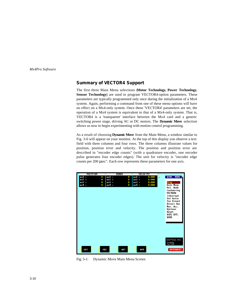#### **Summary of VECTOR4 Support**

The first three Main Menu selections (**Motor Technology**, **Power Technology**, **Sensor Technology**) are used to program VECTOR4-option parameters. These parameters are typically programmed only once during the initialization of a Mx4 system. Again, performing a command from one of these menu options will have no effect on a Mx4-only system. Once these 'VECTOR4' parameters are set, the operation of a Mx4 system is equivalent to that of a Mx4-only system. That is, VECTOR4 is a 'transparent' interface between the Mx4 card and a generic switching power stage, driving AC or DC motors. The **Dynamic Move** selection allows us now to begin experimenting with motion control programming.

As a result of choosing **Dynamic Move** from the Main Menu, a window similar to Fig. 3-6 will appear on your monitor. At the top of this display you observe a text field with three columns and four rows. The three columns illustrate values for position, position error and velocity. The position and position error are described in "encoder edge counts" (with a quadrature encoder, one encoder pulse generates four encoder edges). The unit for velocity is "encoder edge counts per 200 μsec". Each row represents these parameters for one axis.



Fig. 5-1: Dynamic Move Main Menu Screen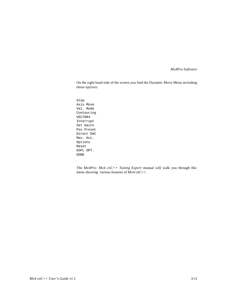On the right hand side of the screen you find the Dynamic Move Menu including these options:

Stop Axis Move Vel. Mode Contouring VECTOR4 Interrupt Set Gains Pos Preset Direct DAC Max. Acc. Options Reset DSPL OPT. DONE

The *Mx4Pro: Mx4 cnC++ Tuning Expert* manual will walk you through this menu showing various features of Mx4 cnC++.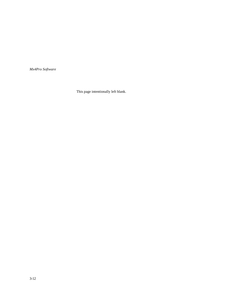This page intentionally left blank.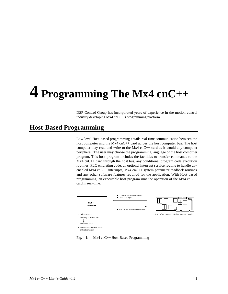# **4 Programming The Mx4 cnC++**

DSP Control Group has incorporated years of experience in the motion control industry developing Mx4 cnC++'s programming platform.

# **Host-Based Programming**

Low-level Host-based programming entails real-time communication between the host computer and the Mx4 cnC++ card across the host computer bus. The host computer may read and write to the Mx4 cnC++ card as it would any computer peripheral. The user may choose the programming language of the host computer program. This host program includes the facilities to transfer commands to the Mx4 cnC++ card through the host bus, any conditional program code execution routines, PLC emulating code, an optional interrupt service routine to handle any enabled Mx4 cnC++ interrupts, Mx4 cnC++ system parameter readback routines and any other software features required for the application. With Host-based programming, an executable host program runs the operation of the Mx4 cnC++ card in real-time.



Fig. 4-1: Mx4 cnC++ Host-Based Programming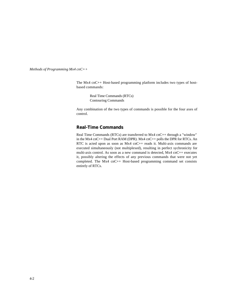*Methods of Programming Mx4 cnC++*

The Mx4 cnC++ Host-based programming platform includes two types of hostbased commands:

> Real Time Commands (RTCs) Contouring Commands

Any combination of the two types of commands is possible for the four axes of control.

#### **Real-Time Commands**

Real Time Commands (RTCs) are transferred to Mx4 cnC++ through a "window" in the Mx4 cnC++ Dual Port RAM (DPR). Mx4 cnC++ polls the DPR for RTCs. An RTC is acted upon as soon as Mx4 cnC++ reads it. Multi-axis commands are executed simultaneously (not multiplexed), resulting in perfect sychronicity for multi-axis control. As soon as a new command is detected, Mx4 cnC++ executes it, possibly altering the effects of any previous commands that were not yet completed. The Mx4 cnC++ Host-based programming command set consists entirely of RTCs.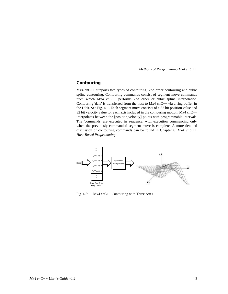*Methods of Programming Mx4 cnC++*

#### **Contouring**

Mx4 cnC++ supports two types of contouring: 2nd order contouring and cubic spline contouring. Contouring commands consist of segment move commands from which Mx4 cnC++ performs 2nd order or cubic spline interpolation. Contouring 'data' is transferred from the host to Mx4 cnC++ via a ring buffer in the DPR. See Fig. 4-1. Each segment move consists of a 32 bit position value and 32 bit velocity value for each axis included in the contouring motion. Mx4 cnC++ interpolates between the [position,velocity] points with programmable intervals. The 'commands' are executed in sequence, with execution commencing only when the previously commanded segment move is complete. A more detailed discussion of contouring commands can be found in Chapter 6 *Mx4 cnC++ Host-Based Programming*.



Fig. 4-3: Mx4 cnC++ Contouring with Three Axes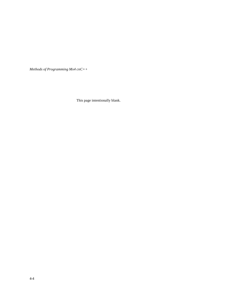*Methods of Programming Mx4 cnC++*

This page intentionally blank.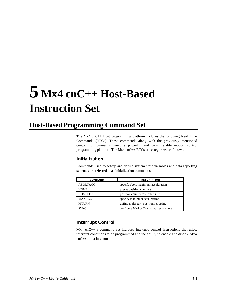# **5 Mx4 cnC++ Host-Based Instruction Set**

# **Host-Based Programming Command Set**

The Mx4 cnC++ Host programming platform includes the following Real Time Commands (RTCs). These commands along with the previously mentioned contouring commands, yield a powerful and very flexible motion control programming platform. The Mx4 cnC++ RTCs are categorized as follows:

### **Initialization**

Commands used to set-up and define system state variables and data reporting schemes are referred to as initialization commands.

| <b>COMMAND</b>  | <b>DESCRIPTION</b>                       |
|-----------------|------------------------------------------|
| <b>ABORTACC</b> | specify abort maximum acceleration       |
| <b>HOME</b>     | preset position counters                 |
| <b>HOMESFT</b>  | position counter reference shift         |
| <b>MAXACC</b>   | specify maximum acceleration             |
| <b>MTURN</b>    | define multi-turn position reporting     |
| <b>SYNC</b>     | configure $Mx4$ cnC++ as master or slave |

### **Interrupt Control**

Mx4 cnC++'s command set includes interrupt control instructions that allow interrupt conditions to be programmed and the ability to enable and disable Mx4 cnC++- host interrupts.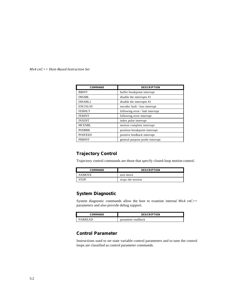| $Mx4$ cnC++ Host-Based Instruction Set |  |
|----------------------------------------|--|
|----------------------------------------|--|

| <b>COMMAND</b>      | <b>DESCRIPTION</b>               |
|---------------------|----------------------------------|
| <b>BBINT</b>        | buffer breakpoint interrupt      |
| DISABL.             | disable the interrupts #1        |
| DISABL <sub>2</sub> | disable the interrupts #2        |
| <b>ENCOLOS</b>      | encoder fault / loss interrupt   |
| <b>FERHLT</b>       | following error / halt interrupt |
| <b>FERINT</b>       | following error interrupt        |
| <b>INXINT</b>       | index pulse interrupt            |
| <b>MCENBL</b>       | motion complete interrupt        |
| <b>POSBRK</b>       | position breakpoint interrupt    |
| <b>POSFEED</b>      | positive feedback interrupt      |
| <b>PRBINT</b>       | general purpose probe interrupt  |

## **Trajectory Control**

Trajectory control commands are those that specify closed-loop motion control.

| COMMAND       | <b>DESCRIPTION</b> |
|---------------|--------------------|
| <b>AXMOVE</b> | axis move          |
| STOP          | stops the motion   |

### **System Diagnostic**

System diagnostic commands allow the host to examine internal Mx4 cnC++ parameters and also provide debug support.

| COMMAND       | <b>DESCRIPTION</b> |
|---------------|--------------------|
| <b>ADDEAT</b> | parameter readback |

#### **Control Parameter**

Instructions used to set state variable control parameters and to tune the control loops are classified as control parameter commands.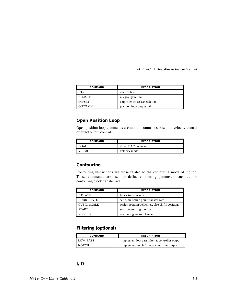| COMMAND        | <b>DESCRIPTION</b>            |
|----------------|-------------------------------|
| CTRL           | control law                   |
| KILIMIT        | integral gain limit           |
| <b>OFFSET</b>  | amplifier offset cancellation |
| <b>OUTGAIN</b> | position loop output gain     |

## **Open Position Loop**

Open position loop commands are motion commands based on velocity control or direct output control.

| COMMAND | <b>DESCRIPTION</b> |
|---------|--------------------|
| DDAC    | direct DAC command |
| VELMODE | velocity mode      |

## **Contouring**

Contouring instructions are those related to the contouring mode of motion. These commands are used to define contouring parameters such as the contouring block transfer rate.

| COMMAND            | <b>DESCRIPTION</b>                                |
|--------------------|---------------------------------------------------|
| <b>BTRATE</b>      | block transfer rate                               |
| <b>CUBIC RATE</b>  | set cubic spline point transfer rate              |
| <b>CUBIC SCALE</b> | scales position/velocities, also shifts positions |
| <b>START</b>       | start contouring motion                           |
| <b>VECCHG</b>      | contouring vector change                          |

## **Filtering (optional)**

| COMMAND      | <b>DESCRIPTION</b>                             |
|--------------|------------------------------------------------|
| LOW PASS     | implement low pass filter at controller output |
| <b>NOTCH</b> | implement notch filter at controller output    |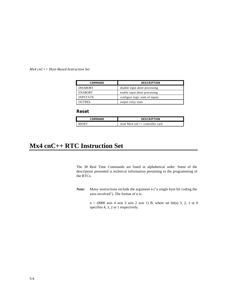| COMMAND         | <b>DESCRIPTION</b>              |
|-----------------|---------------------------------|
| <b>DISABORT</b> | disable input abort processing  |
| <b>ENABORT</b>  | enable input abort processing   |
| <b>INPSTATE</b> | configure logic state of inputs |
| OUTREL.         | output relay state              |

### **Reset**

| COMMAND | <b>DESCRIPTION</b>                   |
|---------|--------------------------------------|
|         | reset $Mx4$ cnC $++$ controller card |

# **Mx4 cnC++ RTC Instruction Set**

The 38 Real Time Commands are listed in alphabetical order. Some of the description presented is technical information pertaining to the programming of the RTCs.

*Note:* Many instructions include the argument n ("a single byte bit coding the axes involved"). The format of n is:

> $n = (0000 \text{ axis } 4 \text{ axis } 3 \text{ axis } 2 \text{ axis } 1)$  B, where set bit(s) 3, 2, 1 or 0 specifies 4, 3, 2 or 1 respectively.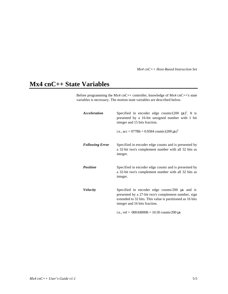# **Mx4 cnC++ State Variables**

Before programming the Mx4 cnC++ controller, knowledge of Mx4 cnC++'s state variables is necessary. The motion state variables are described below.

| <i><b>Acceleration</b></i> | Specified in encoder edge counts/ $(200 \text{ }\mu\text{s})^2$ . It is<br>presented by a 16-bit unsigned number with 1 bit<br>integer and 15 bits fraction.                                             |
|----------------------------|----------------------------------------------------------------------------------------------------------------------------------------------------------------------------------------------------------|
|                            | i.e., $\mathrm{acc} = 077 \mathrm{B} \mathrm{h} = 0.0584 \mathrm{~counts}/(200 \mathrm{~\mu s})^2$                                                                                                       |
| <b>Following Error</b>     | Specified in encoder edge counts and is presented by<br>a 32-bit two's complement number with all 32 bits as<br>integer.                                                                                 |
| <b>Position</b>            | Specified in encoder edge counts and is presented by<br>a 32-bit two's complement number with all 32 bits as<br>integer.                                                                                 |
| <b>Velocity</b>            | Specified in encoder edge counts/200 $\mu$ s and is<br>presented by a 27-bit two's complement number, sign<br>extended to 32 bits. This value is partitioned as 16 bits<br>integer and 16 bits fraction. |
|                            | i.e., vel = $000A8000h = 10.50$ counts/200 µs                                                                                                                                                            |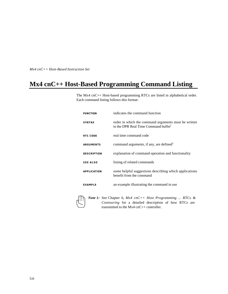# **Mx4 cnC++ Host-Based Programming Command Listing**

The Mx4 cnC++ Host-based programming RTCs are listed in alphabetical order. Each command listing follows this format:

| <b>FUNCTION</b>    | indicates the command function                                                                           |
|--------------------|----------------------------------------------------------------------------------------------------------|
| <b>SYNTAX</b>      | order in which the command arguments must be written<br>to the DPR Real Time Command buffer <sup>1</sup> |
| RTC CODE           | real time command code                                                                                   |
| <b>ARGUMENTS</b>   | command arguments, if any, are defined <sup>2</sup>                                                      |
| <b>DESCRIPTION</b> | explanation of command operation and functionality                                                       |
| <b>SEE ALSO</b>    | listing of related commands                                                                              |
| <b>APPLICATION</b> | some helpful suggestions describing which applications<br>benefit from the command                       |
| <b>FXAMPIF</b>     | an example illustrating the command in use                                                               |
|                    |                                                                                                          |



*Note 1:* See Chapter 6, *Mx4 cnC++ Host Programming ... RTCs & Contouring* for a detailed description of how RTCs are transmitted to the Mx4 cnC++ controller.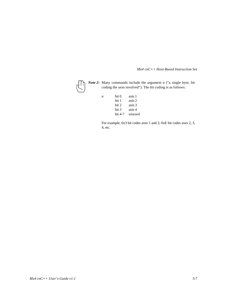

*Note 2:* Many commands include the argument n ("a single byte, bit coding the axes involved"). The bit coding is as follows:

| n | bit 0   | axis 1 |
|---|---------|--------|
|   | bit 1   | axis 2 |
|   | bit 2   | axis 3 |
|   | bit 3   | axis 4 |
|   | bit 4-7 | unused |

For example, 0x3 bit codes axes 1 and 2; 0xE bit codes axes 2, 3, 4, etc.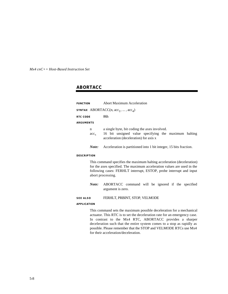## **ABORTACC**

| <b>FUNCTION</b>  | Abort Maximum Acceleration                                                                                                                     |
|------------------|------------------------------------------------------------------------------------------------------------------------------------------------|
|                  | SYNTAX ABORTACC(n, $acc_1$ , , $acc_4$ )                                                                                                       |
| <b>RTC CODE</b>  | 86h                                                                                                                                            |
| <b>ARGUMENTS</b> |                                                                                                                                                |
| n<br>$acc_{x}$   | a single byte, bit coding the axes involved.<br>16 bit unsigned value specifying the maximum halting<br>acceleration (deceleration) for axis x |
| Note:            | Acceleration is partitioned into 1 bit integer, 15 bits fraction.                                                                              |

### **DESCRIPTION**

This command specifies the maximum halting acceleration (deceleration) for the axes specified. The maximum acceleration values are used in the following cases: FERHLT interrupt, ESTOP, probe interrupt and input abort processing.

*Note:* ABORTACC command will be ignored if the specified argument is zero.

### **SEE ALSO** FERHLT, PRBINT, STOP, VELMODE

#### **APPLICATION**

This command sets the maximum possible deceleration for a mechanical actuator. This RTC is to set the deceleration rate for an emergency case. In contrast to the Mx4 RTC, ABORTACC provides a sharper deceleration such that the entire system comes to a stop as rapidly as possible. Please remember that the STOP and VELMODE RTCs use Mx4 for their acceleration/deceleration.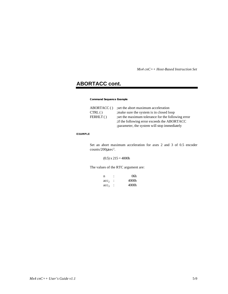## **ABORTACC cont.**

#### *Command Sequence Example*

| ABORTACC() | set the abort maximum acceleration                |
|------------|---------------------------------------------------|
| CTRL()     | ; make sure the system is in closed loop.         |
| FERHLT()   | set the maximum tolerance for the following error |
|            | ; if the following error exceeds the ABORTACC     |
|            | ; parameter, the system will stop immediately     |

### **EXAMPLE**

Set an abort maximum acceleration for axes 2 and 3 of 0.5 encoder counts/200μsec<sup>2</sup>.

### $(0.5)$  x 215 = 4000h

The values of the RTC argument are:

| n                | 06h   |
|------------------|-------|
| acc <sub>2</sub> | 4000h |
| acc <sub>3</sub> | 4000h |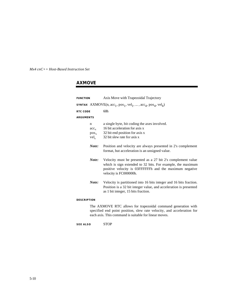## **AXMOVE**

| <b>FUNCTION</b>    |                                                                 | Axis Move with Trapezoidal Trajectory                                                                                                                                                                           |  |  |
|--------------------|-----------------------------------------------------------------|-----------------------------------------------------------------------------------------------------------------------------------------------------------------------------------------------------------------|--|--|
|                    | SYNTAX AXMOVE $(n, acc_1, pos_1, vel_1, , acc_4, pos_4, vel_4)$ |                                                                                                                                                                                                                 |  |  |
| <b>RTC CODE</b>    |                                                                 | 60h                                                                                                                                                                                                             |  |  |
| <b>ARGUMENTS</b>   |                                                                 |                                                                                                                                                                                                                 |  |  |
|                    | n<br>$acc_x$                                                    | a single byte, bit coding the axes involved.<br>16 bit acceleration for axis x<br>$pos_x$ 32 bit end position for axis x                                                                                        |  |  |
|                    | $vel_x$                                                         | 32 bit slew rate for axis x                                                                                                                                                                                     |  |  |
|                    | Note:                                                           | Position and velocity are always presented in 2's complement<br>format, but acceleration is an unsigned value.                                                                                                  |  |  |
|                    | Note:                                                           | Velocity must be presented as a 27 bit 2's complement value<br>which is sign extended to 32 bits. For example, the maximum<br>positive velocity is 03FFFFFFh and the maximum negative<br>velocity is FC000000h. |  |  |
|                    | Note:                                                           | Velocity is partitioned into 16 bits integer and 16 bits fraction.<br>Position is a 32 bit integer value, and acceleration is presented<br>as 1 bit integer, 15 bits fraction.                                  |  |  |
| <b>DESCRIPTION</b> |                                                                 |                                                                                                                                                                                                                 |  |  |
|                    | The AXMOVE RTC allows for trapezoidal command generation with   |                                                                                                                                                                                                                 |  |  |

specified end point position, slew rate velocity, and acceleration for each axis. This command is suitable for linear moves.

SEE ALSO STOP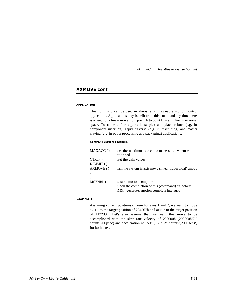## **AXMOVE cont.**

#### **APPLICATION**

This command can be used in almost any imaginable motion control application. Applications may benefit from this command any time there is a need for a linear move from point A to point B in a multi-dimensional space. To name a few applications: pick and place robots (e.g. in component insertion), rapid traverse (e.g. in machining) and master slaving (e.g. in paper processing and packaging) applications.

#### *Command Sequence Example*

| set the maximum accel, to make sure system can be<br>stopped; |
|---------------------------------------------------------------|
| ; set the gain values                                         |
|                                                               |
| ; run the system in axis move (linear trapezoidal); mode      |
|                                                               |
|                                                               |
| enable motion complete                                        |
| ;upon the completion of this (command) trajectory             |
| ; MX4 generates motion complete interrupt                     |
|                                                               |

#### **EXAMPLE 1**

Assuming current positions of zero for axes 1 and 2, we want to move axis 1 to the target position of 234567h and axis 2 to the target position of 112233h. Let's also assume that we want this move to be accomplished with the slew rate velocity of 200000h (200000h/2<sup>16</sup> counts/200µsec) and acceleration of 150h (150h/215 counts/(200µsec)2) for both axes.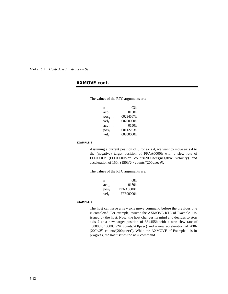### **AXMOVE cont.**

The values of the RTC arguments are:

| n                | 03h       |
|------------------|-----------|
| acc <sub>1</sub> | 0150h     |
| $pos_1$          | 00234567h |
| vel,             | 00200000h |
| acc <sub>2</sub> | 0150h     |
| pos <sub>2</sub> | 00112233h |
| vel,             | 00200000h |

**EXAMPLE 2**

Assuming a current position of 0 for axis 4, we want to move axis 4 to the (negative) target position of FFAA0000h with a slew rate of FFE00000h (FFE00000h/216 counts/200µsec)(negative velocity) and acceleration of 150h (150h/215 counts/(200µsec)2).

The values of the RTC arguments are:

| n                |   | 08h       |
|------------------|---|-----------|
| $acc_{A}$        | ÷ | 0150h     |
| pos <sub>A</sub> | ÷ | FFAA0000h |
| vel,             |   | FFE00000h |

### **EXAMPLE 3**

The host can issue a new axis move command before the previous one is completed. For example, assume the AXMOVE RTC of Example 1 is issued by the host. Now, the host changes its mind and decides to stop axis 2 at a new target position of 334455h with a new slew rate of 100000h. 100000h/216 counts/200µsec) and a new acceleration of 200h (200h/215 counts/(200µsec)2). While the AXMOVE of Example 1 is in progress, the host issues the new command.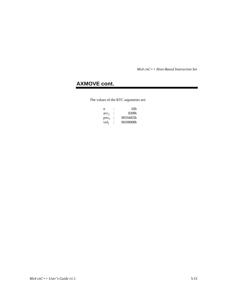## **AXMOVE cont.**

The values of the RTC arguments are:

| n                |                      | 02h       |
|------------------|----------------------|-----------|
| acc <sub>2</sub> |                      | 0200h     |
| $pos_2$          | $\ddot{\phantom{0}}$ | 00334455h |
| vel,             |                      | 00100000h |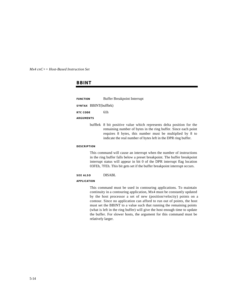## **BBINT**

| <b>FUNCTION</b>       | <b>Buffer Breakpoint Interrupt</b>                                                                                                                                                                                                                                   |
|-----------------------|----------------------------------------------------------------------------------------------------------------------------------------------------------------------------------------------------------------------------------------------------------------------|
| SYNTAX BBINT(buffbrk) |                                                                                                                                                                                                                                                                      |
| <b>RTC CODE</b>       | 61h                                                                                                                                                                                                                                                                  |
| ARGUMENTS             |                                                                                                                                                                                                                                                                      |
|                       | buffbrk 8 bit positive value which represents delta position for the<br>remaining number of bytes in the ring buffer. Since each point<br>requires 8 bytes, this number must be multiplied by 8 to<br>indicate the real number of bytes left in the DPR ring buffer. |
| <b>DESCRIPTION</b>    |                                                                                                                                                                                                                                                                      |
|                       |                                                                                                                                                                                                                                                                      |

This command will cause an interrupt when the number of instructions in the ring buffer falls below a preset breakpoint. The buffer breakpoint interrupt status will appear in bit 0 of the DPR interrupt flag location 03FEh, 7FEh. This bit gets set if the buffer breakpoint interrupt occurs.

### **SEE ALSO** DISABL

### **APPLICATION**

This command must be used in contouring applications. To maintain continuity in a contouring application, Mx4 must be constantly updated by the host processor a set of new (position/velocity) points on a contour. Since no application can afford to run out of points, the host must set the BBINT to a value such that running the remaining points (what is left in the ring buffer) will give the host enough time to update the buffer. For slower hosts, the argument for this command must be relatively larger.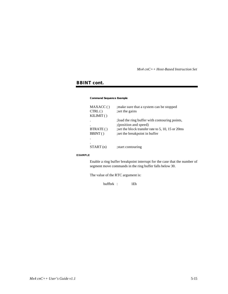## **BBINT cont.**

#### *Command Sequence Example*

| MAXACC()<br>CTRL()<br>KILIMIT() | ; make sure that a system can be stopped<br>; set the gains                      |
|---------------------------------|----------------------------------------------------------------------------------|
|                                 | load the ring buffer with contouring points,                                     |
|                                 | ;(position and speed)                                                            |
| BTRATE()<br>BBINT()             | set the block transfer rate to 5, 10, 15 or 20ms<br>set the breakpoint in buffer |
|                                 |                                                                                  |
| START(n)                        | start contouring                                                                 |

### **EXAMPLE**

Enable a ring buffer breakpoint interrupt for the case that the number of segment move commands in the ring buffer falls below 30.

The value of the RTC argument is:

buffbrk : 1Eh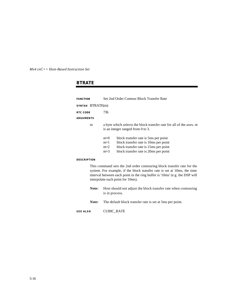## **BTRATE**

| <b>FUNCTION</b>    |                                                                                                                                                                                                                                                                        | Set 2nd Order Contour Block Transfer Rate                                                                |                                                                                                                                                                 |  |
|--------------------|------------------------------------------------------------------------------------------------------------------------------------------------------------------------------------------------------------------------------------------------------------------------|----------------------------------------------------------------------------------------------------------|-----------------------------------------------------------------------------------------------------------------------------------------------------------------|--|
| SYNTAX BTRATE(m)   |                                                                                                                                                                                                                                                                        |                                                                                                          |                                                                                                                                                                 |  |
| <b>RTC CODE</b>    |                                                                                                                                                                                                                                                                        | 73h                                                                                                      |                                                                                                                                                                 |  |
| <b>ARGUMENTS</b>   |                                                                                                                                                                                                                                                                        |                                                                                                          |                                                                                                                                                                 |  |
| m                  |                                                                                                                                                                                                                                                                        | a byte which selects the block transfer rate for all of the axes. m<br>is an integer ranged from 0 to 3. |                                                                                                                                                                 |  |
|                    |                                                                                                                                                                                                                                                                        | $m=0$<br>$m=1$<br>$m=2$<br>$m=3$                                                                         | block transfer rate is 5ms per point<br>block transfer rate is 10ms per point<br>block transfer rate is 15ms per point<br>block transfer rate is 20ms per point |  |
| <b>DESCRIPTION</b> |                                                                                                                                                                                                                                                                        |                                                                                                          |                                                                                                                                                                 |  |
|                    | This command sets the 2nd order contouring block transfer rate for the<br>system. For example, if the block transfer rate is set at 10ms, the time<br>interval between each point in the ring buffer is '10ms' (e.g. the DSP will<br>interpolate each point for 10ms). |                                                                                                          |                                                                                                                                                                 |  |
|                    | Note:                                                                                                                                                                                                                                                                  | Host should not adjust the block transfer rate when contouring<br>is in process.                         |                                                                                                                                                                 |  |
|                    | Note:                                                                                                                                                                                                                                                                  | The default block transfer rate is set at 5 ms per point.                                                |                                                                                                                                                                 |  |

**SEE ALSO** CUBIC\_RATE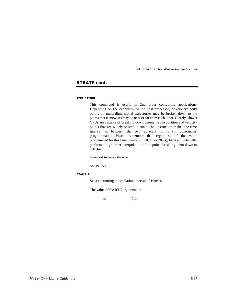### **BTRATE cont.**

### **APPLICATION**

This command is useful in 2nd order contouring applications. Depending on the capability of the host processor, position/velocity points on multi-dimensional trajectories may be broken down to the points that (timewise) may be near or far from each other. Clearly, slower CPUs are capable of breaking down geometries to position and velocity points that are widely spaced in time. This instruction makes the time interval in between the two adjacent points (in contouring) programmable. Please remember that regardless of the value programmed for this time interval (5, 10, 15 or 20ms), Mx4 will internally perform a high-order interpolation of the points breaking them down to 200 μsec.

### *Command Sequence Example*

### See BBINT

### **EXAMPLE**

Set a contouring interpolation interval of 10msec.

The value of the RTC argument is:

m : 01h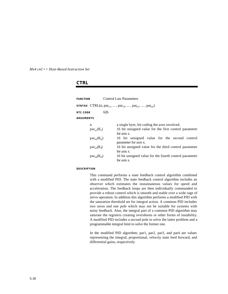## **CTRL**

| <b>FUNCTION</b>  |                 | <b>Control Law Parameters</b>                                                                               |
|------------------|-----------------|-------------------------------------------------------------------------------------------------------------|
|                  |                 | <b>SYNTAX</b> CTRL(n, par <sub>11</sub> , , par <sub>14</sub> , , par <sub>n1</sub> , , par <sub>n4</sub> ) |
| RTC CODE         |                 | 62h                                                                                                         |
| <b>ARGUMENTS</b> |                 |                                                                                                             |
|                  | n               | a single byte, bit coding the axes involved.                                                                |
|                  | $par_{x1}(K_i)$ | 16 bit unsigned value for the first control parameter<br>for axis x.                                        |
|                  | $par_{x2}(K_p)$ | 16 bit unsigned value for the second control<br>parameter for axis x.                                       |
|                  | $par_{s3}(K_f)$ | 16 bit unsigned value for the third control parameter<br>for axis x.                                        |
|                  | $par_{v4}(K_d)$ | 16 bit unsigned value for the fourth control parameter<br>for axis x.                                       |

#### **DESCRIPTION**

This command performs a state feedback control algorithm combined with a modified PID. The state feedback control algorithm includes an observer which estimates the instantaneous values for speed and acceleration. The feedback loops are then individually commanded to provide a robust control which is smooth and stable over a wide rage of servo operation. In addition this algorithm performs a modified PID with the saturation threshold set for integral action. A common PID includes two zeros and one pole which may not be suitable for systems with noisy feedback. Also, the integral part of a common PID algorithm may saturate the registers creating overshoots or other forms of instability. A modified PID includes a second pole to solve the latter problem and a programmable integral limit to solve the former one.

In the modified PID algorithm; par1, par2, par3, and par4 are values representing the integral, proportional, velocity state feed forward, and differential gains, respectively.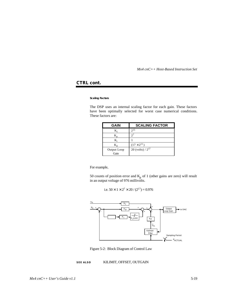### **CTRL cont.**

### *Scaling Factors*

The DSP uses an internal scaling factor for each gain. These factors have been optimally selected for worst case numerical conditions. These factors are:

| <b>GAIN</b> | <b>SCALING FACTOR</b> |  |
|-------------|-----------------------|--|
| $\rm K$     | $2^{15}$              |  |
| K           | $2^7$                 |  |
| K.          |                       |  |
| $\rm K_d$   | $(17 \times 2^{11})$  |  |
| Output Loop | 20 (volts) $/ 2^{17}$ |  |
| Gain        |                       |  |

### For example,

50 counts of position error and  $K_p$  of 1 (other gains are zero) will result in an output voltage of 976 millivolts.

i.e. 
$$
50 \times 1 \times 2^7 \times 20 / (2^{17}) = 0.976
$$



Figure 5-2: Block Diagram of Control Law

**SEE ALSO** KILIMIT, OFFSET, OUTGAIN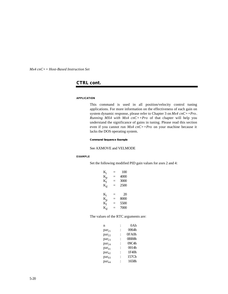## **CTRL cont.**

### **APPLICATION**

This command is used in all position/velocity control tuning applications. For more information on the effectiveness of each gain on system dynamic response, please refer to Chapter 3 on *Mx4 cnC++Pro*. *Running MX4 with Mx4 cnC++Pro* of that chapter will help you understand the significance of gains in tuning. Please read this section even if you cannot run *Mx4 cnC++Pro* on your machine because it lacks the DOS operating system.

*Command Sequence Example*

### See AXMOVE and VELMODE

#### **EXAMPLE**

Set the following modified PID gain values for axes 2 and 4:

| K,                               | $\equiv$ | 100  |
|----------------------------------|----------|------|
|                                  | $=$      | 4000 |
| K <sub>p</sub><br>K <sub>f</sub> | $=$      | 3000 |
| $\rm K_d$                        | $=$      | 2500 |
|                                  |          |      |
|                                  |          |      |
| K,                               | $=$      | 20   |
|                                  | $=$      | 8000 |
| $K_{\sf p}$<br>$\rm K_f$         | $=$      | 5500 |
| $K_d$                            | $=$      | 7000 |

The values of the RTC arguments are:

| n          | 0Ah   |
|------------|-------|
| $par_{21}$ | 0064h |
| $par_{22}$ | 0FA0h |
| $par_{23}$ | 0BB8h |
| $par_{24}$ | 09C4h |
| $par_{41}$ | 0014h |
| $par_{42}$ | 1F40h |
| $par_{43}$ | 157Ch |
| $par_{44}$ | 1658h |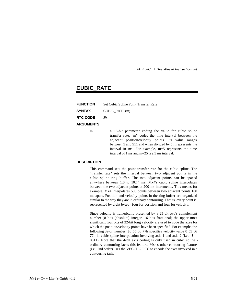## **CUBIC\_RATE**

| <b>FUNCTION</b>  | Set Cubic Spline Point Transfer Rate                                         |
|------------------|------------------------------------------------------------------------------|
| SYNTAX           | CUBIC RATE $(m)$                                                             |
| RTC CODE         | 89h                                                                          |
| <b>ARGUMENTS</b> |                                                                              |
| m                | a 16-bit parameter coding the value<br>transfer rate. "m" codes the time int |

for cubic spline transfer rate. "m" codes the time interval between the adjacent position/velocity points. Its value ranges between 5 and 511 and when divided by 5 it represents the interval in ms. For example, m=5 represents the time interval of 1 ms and m=25 is a 5 ms interval.

### **DESCRIPTION**

This command sets the point transfer rate for the cubic spline. The "transfer rate" sets the interval between two adjacent points in the cubic spline ring buffer. The two adjacent points can be spaced anywhere between 1.0 to 102.4 ms. Mx4's cubic spline interpolates between the two adjacent points at 200 ms increments. This means for example, Mx4 interpolates 500 points between two adjacent points 100 ms apart. Position and velocity points in the ring buffer are organized similar to the way they are in ordinary contouring. That is, every point is represented by eight bytes - four for position and four for velocity.

Since velocity is numerically presented by a 25-bit two's complement number (8 bits (absolute) integer, 16 bits fractional) the upper most significant four bits of 32-bit long velocity are used to code the axes for which the position/velocity points have been specified. For example, the following 32-bit number, **3**0 55 66 77h specifies velocity value 0 55 66 77h in cubic spline interpolation involving axis 1 and axis 2 (i.e.,  $3 =$ 0011). Note that the 4-bit axis coding is only used in cubic spline ordinary contouring lacks this feature. Mx4's other contouring feature (i.e., 2nd order) uses the VECCHG RTC to encode the axes involved in a contouring task.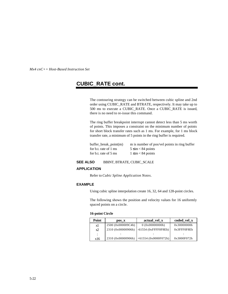## **CUBIC\_RATE cont.**

The contouring strategy can be switched between cubic spline and 2nd order using CUBIC\_RATE and BTRATE, respectively. It may take up to 500 ms to execute a CUBIC\_RATE. Once a CUBIC\_RATE is issued, there is no need to re-issue this command.

The ring buffer breakpoint interrupt cannot detect less than 5 ms worth of points. This imposes a constraint on the minimum number of points for short block transfer rates such as 1 ms. For example, for 1 ms block transfer rate, a minimum of 5 points in the ring buffer is required.

| $buffer\_break\_point(m)$ | m is number of pos/vel points in ring buffer |
|---------------------------|----------------------------------------------|
| for b.t. rate of 1 ms     | $5 \le m < 84$ points                        |
| for b.t. rate of 5 ms     | $1 \leq m < 84$ points                       |

### **SEE ALSO** BBINT, BTRATE, CUBIC\_SCALE

### **APPLICATION**

Refer to *Cubic Spline Application Notes*.

### **EXAMPLE**

Using cubic spline interpolation create 16, 32, 64 and 128-point circles.

The following shows the position and velocity values for 16 uniformly spaced points on a circle.

#### **16-point Circle**

| Point | pos x              | actual vel x           | coded vel x |
|-------|--------------------|------------------------|-------------|
| x1    | 2500 (0x000009C4h) | 0(0x00000000h)         | 0x30000000h |
| x2    | 2310 (0x00000906h) | $-61554$ (OxFFFF0F8Eh) | 0x3FFF0F8Eh |
|       |                    |                        |             |
| x16   | 2310 (0x00000906h) | $+61554 (0x0000F072h)$ | 0x3000F072h |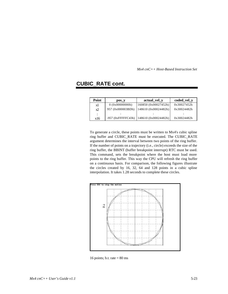## **CUBIC\_RATE cont.**

| Point | pos y                    | actual_vel_y         | coded_vel_y |
|-------|--------------------------|----------------------|-------------|
| x1    | 0(0x00000000h)           | 160850 (0x00027452h) | 0x30027452h |
| x2    | 957 (0x000003BDh)        | 148610 (0x00024482h) | 0x30024482h |
|       |                          |                      |             |
| x16   | $-957$ ( $0x$ FFFFFC43h) | 148610 (0x00024482h) | 0x30024482h |

To generate a circle, these points must be written to Mx4's cubic spline ring buffer and CUBIC\_RATE must be executed. The CUBIC\_RATE argument determines the interval between two points of the ring buffer. If the number of points on a trajectory (i.e., circle) exceeds the size of the ring buffer, the BBINT (buffer breakpoint interrupt) RTC must be used. This command, sets the breakpoint where the host must load more points to the ring buffer. This way the CPU will refresh the ring buffer on a continuous basis. For comparison, the following figures illustrate the circles created by 16, 32, 64 and 128 points in a cubic spline interpolation. It takes 1.28 seconds to complete these circles.



16 points; b.t. rate  $= 80$  ms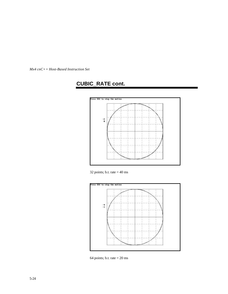# **CUBIC\_RATE cont.**



32 points; b.t. rate  $=$  40 ms



64 points; b.t. rate  $= 20$  ms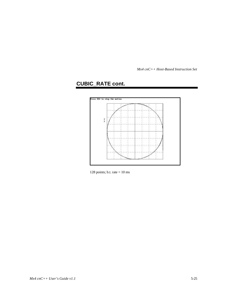# **CUBIC\_RATE cont.**



128 points; b.t. rate  $= 10$  ms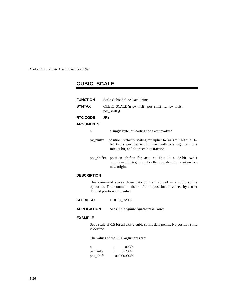## **CUBIC\_SCALE**

| <b>FUNCTION</b>    |            | Scale Cubic Spline Data Points                                                                                                                                     |  |  |
|--------------------|------------|--------------------------------------------------------------------------------------------------------------------------------------------------------------------|--|--|
| <b>SYNTAX</b>      |            | CUBIC_SCALE $(n, pv\_mult_1, pos\_shift_1, , pv\_mult_4,$<br>$pos\_shift_4)$                                                                                       |  |  |
| <b>RTC CODE</b>    | 8Bh        |                                                                                                                                                                    |  |  |
| <b>ARGUMENTS</b>   |            |                                                                                                                                                                    |  |  |
| n                  |            | a single byte, bit coding the axes involved                                                                                                                        |  |  |
| py multx           |            | position / velocity scaling multiplier for axis x. This is a 16-<br>bit two's complement number with one sign bit, one<br>integer bit, and fourteen bits fraction. |  |  |
|                    | pos shiftx | position shifter for axis x. This is a 32-bit two's<br>complement integer number that transfers the position to a<br>new origin.                                   |  |  |
| <b>DESCRIPTION</b> |            |                                                                                                                                                                    |  |  |

This command scales those data points involved in a cubic spline operation. This command also shifts the positions involved by a user defined position shift value.

**SEE ALSO** CUBIC\_RATE

**APPLICATION** See *Cubic Spline Application Notes*

### **EXAMPLE**

Set a scale of 0.5 for all axis 2 cubic spline data points. No position shift is desired.

The values of the RTC arguments are:

| n              | 0x02h         |
|----------------|---------------|
| $pv\_mult_2$   | 0x2000h       |
| $pos\_shift_2$ | : 0x00000000h |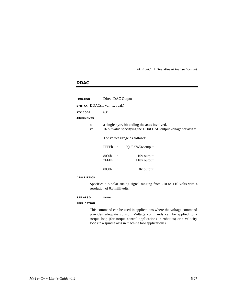## **DDAC**

| <b>FUNCTION</b> |              | Direct DAC Output                                                                                                           |                |                                 |
|-----------------|--------------|-----------------------------------------------------------------------------------------------------------------------------|----------------|---------------------------------|
|                 |              | SYNTAX $DDAC(n, val_1, , val_4)$                                                                                            |                |                                 |
| RTC CODE        |              | 63h                                                                                                                         |                |                                 |
| ARGUMENTS       |              |                                                                                                                             |                |                                 |
|                 | $\mathbf{n}$ | a single byte, bit coding the axes involved.<br>$val_{x}$ 16 bit value specifying the 16 bit DAC output voltage for axis x. |                |                                 |
|                 |              | The values range as follows:                                                                                                |                |                                 |
|                 |              |                                                                                                                             |                | FFFFh : $-10(1/32768)$ v output |
|                 |              |                                                                                                                             |                | 8000h :<br>$-10v$ output        |
|                 |              | $7$ FFF $h$ :                                                                                                               |                | $+10v$ output                   |
|                 |              | 0000h                                                                                                                       | $\mathbb{R}^2$ | Ov output                       |

### **DESCRIPTION**

Specifies a bipolar analog signal ranging from -10 to +10 volts with a resolution of 0.3 millivolts.

### **SEE ALSO** none

### **APPLICATION**

This command can be used in applications where the voltage command provides adequate control. Voltage commands can be applied to a torque loop (for torque control applications in robotics) or a velocity loop (to a spindle axis in machine tool applications).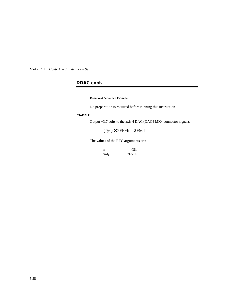## **DDAC cont.**

*Command Sequence Example*

No preparation is required before running this instruction.

### **EXAMPLE**

Output +3.7 volts to the axis 4 DAC (DAC4 MX4 connector signal).

 $(\frac{+3.7}{10}) \times 7$ FFFh = 2F5Ch

The values of the RTC arguments are:

| n   | 08h   |
|-----|-------|
| val | 2F5Ch |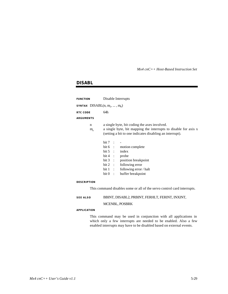### **DISABL**

| <b>FUNCTION</b>                | Disable Interrupts                                                                                                                                                                                                                                                                                                                                                                       |
|--------------------------------|------------------------------------------------------------------------------------------------------------------------------------------------------------------------------------------------------------------------------------------------------------------------------------------------------------------------------------------------------------------------------------------|
| SYNTAX $DISABL(n, m_1, , m_4)$ |                                                                                                                                                                                                                                                                                                                                                                                          |
| <b>RTC CODE</b>                | 64h                                                                                                                                                                                                                                                                                                                                                                                      |
| <b>ARGUMENTS</b>               |                                                                                                                                                                                                                                                                                                                                                                                          |
| $\mathbf n$<br>$m_{\rm v}$     | a single byte, bit coding the axes involved.<br>a single byte, bit mapping the interrupts to disable for axis x<br>(setting a bit to one indicates disabling an interrupt).<br>$bit 7 : -$<br>bit 6 : motion complete<br>bit $5$ : index<br>bit 4 : probe<br>bit 3 : position breakpoint<br>bit $2$ : following error<br>bit $1$ : following error / halt<br>$bit 0$ : buffer breakpoint |

### **DESCRIPTION**

This command disables some or all of the servo control card interrupts.

SEE ALSO **BBINT, DISABL2, PRBINT, FERHLT, FERINT, INXINT,** 

### MCENBL, POSBRK

### **APPLICATION**

This command may be used in conjunction with all applications in which only a few interrupts are needed to be enabled. Also a few enabled interrupts may have to be disabled based on external events.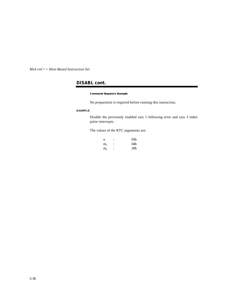## **DISABL cont.**

### *Command Sequence Example*

No preparation is required before running this instruction.

### **EXAMPLE**

Disable the previously enabled axis 1 following error and axis 3 index pulse interrupts.

The values of the RTC arguments are:

| n              |   | 0.5 <sub>h</sub> |
|----------------|---|------------------|
| m <sub>1</sub> | ÷ | 04h              |
| m <sub>3</sub> | ÷ | 20 <sub>h</sub>  |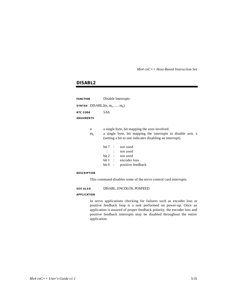### **DISABL2**

| <b>FUNCTION</b>                 | Disable Interrupts                                                                                                                                                                                                                                                                        |
|---------------------------------|-------------------------------------------------------------------------------------------------------------------------------------------------------------------------------------------------------------------------------------------------------------------------------------------|
| SYNTAX $DISABL2(n, m_1, , m_4)$ |                                                                                                                                                                                                                                                                                           |
| <b>RTC CODE</b>                 | 5Ah                                                                                                                                                                                                                                                                                       |
| ARGUMENTS                       |                                                                                                                                                                                                                                                                                           |
| $\mathbf n$<br>$m_{\rm v}$      | a single byte, bit mapping the axes involved.<br>a single byte, bit mapping the interrupts to disable axis x<br>(setting a bit to one indicates disabling an interrupt).<br>bit 7: not used<br>$:$ $:$ not used<br>bit 2: not used<br>bit 1 : encoder loss<br>bit $0$ : positive feedback |

### **DESCRIPTION**

This command disables some of the servo control card interrupts.

### **SEE ALSO** DISABL, ENCOLOS, POSFEED

### **APPLICATION**

In servo applications checking for failures such as encoder loss or positive feedback loop is a task performed on power-up. Once an application is assured of proper feedback polarity, the encoder loss and positive feedback interrupts may be disabled throughout the entire application.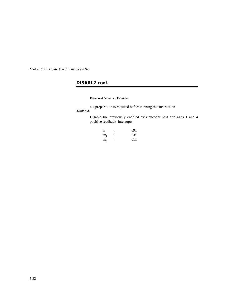## **DISABL2 cont.**

### *Command Sequence Example*

No preparation is required before running this instruction.

### **EXAMPLE**

Disable the previously enabled axis encoder loss and axes 1 and 4 positive feedback interrupts.

| n              | $\ddot{\cdot}$ | 09h             |
|----------------|----------------|-----------------|
| m <sub>1</sub> | $\colon$       | 03h             |
| m <sub>4</sub> | ÷              | 01 <sub>h</sub> |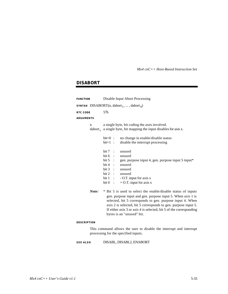## **DISABORT**

| <b>FUNCTION</b>    | Disable Input Abort Processing                                                                                                                                                                                                                                                                                                                                 |  |  |
|--------------------|----------------------------------------------------------------------------------------------------------------------------------------------------------------------------------------------------------------------------------------------------------------------------------------------------------------------------------------------------------------|--|--|
|                    | SYNTAX DISABORT(n, dabort <sub>1</sub> , , dabort <sub>4</sub> )                                                                                                                                                                                                                                                                                               |  |  |
| <b>RTC CODE</b>    | 57h                                                                                                                                                                                                                                                                                                                                                            |  |  |
| <b>ARGUMENTS</b>   |                                                                                                                                                                                                                                                                                                                                                                |  |  |
| n                  | a single byte, bit coding the axes involved.<br>$dabor_t$ , a single byte, bit mapping the input disables for axis x.                                                                                                                                                                                                                                          |  |  |
|                    | $bit=0$ :<br>no change in enable/disable status<br>disable the interrupt processing<br>$bit=1$ :                                                                                                                                                                                                                                                               |  |  |
|                    | bit 7 :<br>unused<br>$bit 6$ :<br>unused<br>bit 5 : gen. purpose input 4, gen. purpose input 5 input*<br>$bit 4$ :<br>unused<br>$bit 3:$ unused<br>bit 2 : unused<br>bit $1 \cdot \cdot \cdot$ - O.T. input for axis x<br>$+$ O.T. input for axis x<br>bit 0 :                                                                                                 |  |  |
| Note:              | * Bit 5 is used to select the enable/disable status of inputs<br>gen. purpose input and gen. purpose input 5. When axis 1 is<br>selected, bit 5 corresponds to gen. purpose input 4. When<br>axis 2 is selected, bit 5 corresponds to gen. purpose input 5.<br>If either axis 3 or axis 4 is selected, bit 5 of the corresponding<br>bytes is an "unused" bit. |  |  |
| <b>DESCRIPTION</b> |                                                                                                                                                                                                                                                                                                                                                                |  |  |

This command allows the user to disable the interrupt and interrupt processing for the specified inputs.

SEE ALSO DISABL, DISABL2, ENABORT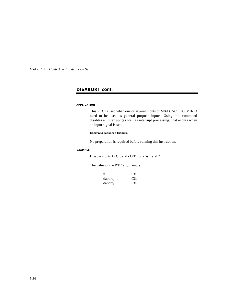## **DISABORT cont.**

### **APPLICATION**

This RTC is used when one or several inputs of MX4 CNC++000MB-IO need to be used as general purpose inputs. Using this command disables an interrupt (as well as interrupt processing) that occurs when an input signal is set.

### *Command Sequence Example*

No preparation is required before running this instruction.

### **EXAMPLE**

Disable inputs + O.T. and - O.T. for axis 1 and 2:

The value of the RTC argument is:

| n            |           | 03h |
|--------------|-----------|-----|
| $dabort_1$   | $\cdot$ : | 03h |
| $dabort$ , : |           | 03h |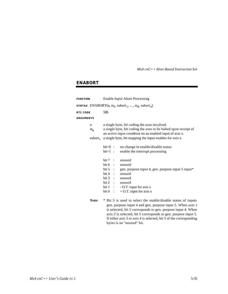## **ENABORT**

| <b>FUNCTION</b>  |                                  | <b>Enable Input Abort Processing</b>                                                                                                                                                                                                    |  |                                                                                                                                                                                                                                                               |  |
|------------------|----------------------------------|-----------------------------------------------------------------------------------------------------------------------------------------------------------------------------------------------------------------------------------------|--|---------------------------------------------------------------------------------------------------------------------------------------------------------------------------------------------------------------------------------------------------------------|--|
|                  |                                  | SYNTAX ENABORT(n, m <sub>1</sub> , eabort <sub>1</sub> , , m <sub>4</sub> , eabort <sub>4</sub> )                                                                                                                                       |  |                                                                                                                                                                                                                                                               |  |
| <b>RTC CODE</b>  |                                  | 58h                                                                                                                                                                                                                                     |  |                                                                                                                                                                                                                                                               |  |
| <b>ARGUMENTS</b> |                                  |                                                                                                                                                                                                                                         |  |                                                                                                                                                                                                                                                               |  |
|                  | n<br>$m_{\mathbf{x}}$<br>eabort. | a single byte, bit coding the axes involved.<br>a single byte, bit coding the axes to be halted upon receipt of<br>an active input condition on an enabled input of axis x.<br>a single byte, bit mapping the input enables for axis x. |  |                                                                                                                                                                                                                                                               |  |
|                  |                                  | $bit=0$ :<br>$bit=1$ :                                                                                                                                                                                                                  |  | no change in enable/disable status<br>enable the interrupt processing                                                                                                                                                                                         |  |
|                  |                                  | bit 7 :<br>bit $6:$<br>$bit 0$ :                                                                                                                                                                                                        |  | unused<br>unused<br>bit 5 : gen. purpose input 4, gen. purpose input 5 input*<br>$bit 4:$ unused<br>$bit 3:$ unused<br>bit 2 : unused<br>bit $1 \cdot \cdot \cdot$ - O.T. input for axis x<br>$+$ O.T. input for axis x                                       |  |
|                  | Note:                            |                                                                                                                                                                                                                                         |  | * Bit 5 is used to select the enable/disable status of inputs<br>gen. purpose input 4 and gen. purpose input 5. When axis 1<br>is selected, bit 5 corresponds to gen. purpose input 4. When<br>axis 2 is selected, bit 5 corresponds to gen. purpose input 5. |  |

bytes is an "unused" bit.

If either axis 3 or axis 4 is selected, bit 5 of the corresponding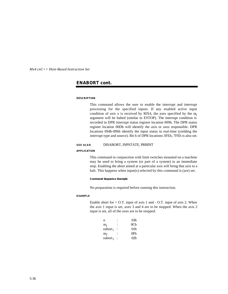### **ENABORT cont.**

### **DESCRIPTION**

This command allows the user to enable the interrupt and interrupt processing for the specified inputs. If any enabled active input condition of axis x is received by MX4, the axes specified by the  $m<sub>r</sub>$ argument will be halted (similar to ESTOP). The interrupt condition is recorded in DPR interrupt status register location 009h. The DPR status register location 00Dh will identify the axis or axes responsible. DPR locations 094h-096h identify the input status in real-time (yielding the interrupt type and source). Bit 6 of DPR locations 3FEh, 7FEh is also set.

### **SEE ALSO** DISABORT, INPSTATE, PRBINT

### **APPLICATION**

This command in conjunction with limit switches mounted on a machine may be used to bring a system (or part of a system) to an immediate stop. Enabling the abort aimed at a particular axis will bring that axis to a halt. This happens when input(s) selected by this command is (are) set.

#### *Command Sequence Example*

No preparation is required before running this instruction.

### **EXAMPLE**

Enable abort for  $+$  O.T. input of axis 1 and  $-$  O.T. input of axis 2. When the axis 1 input is set, axes 3 and 4 are to be stopped. When the axis 2 input is set, all of the axes are to be stopped.

| n                     |                      | 03h |
|-----------------------|----------------------|-----|
| m <sub>1</sub>        |                      | 0Ch |
| eabort <sub>1</sub>   | $\ddot{\phantom{1}}$ | 01h |
| m                     |                      | 0Fh |
| eabort <sub>2</sub> : |                      | 02h |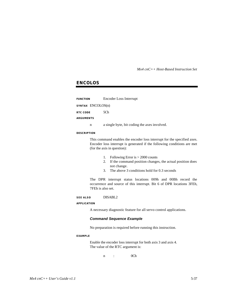### **ENCOLOS**

| <b>FUNCTION</b>  |                   | Encoder Loss Interrupt                       |  |  |
|------------------|-------------------|----------------------------------------------|--|--|
|                  | SYNTAX ENCOLOS(n) |                                              |  |  |
| <b>RTC CODE</b>  |                   | 5Ch                                          |  |  |
| <b>ARGUMENTS</b> |                   |                                              |  |  |
|                  | n                 | a single byte, bit coding the axes involved. |  |  |

### **DESCRIPTION**

This command enables the encoder loss interrupt for the specified axes. Encoder loss interrupt is generated if the following conditions are met (for the axis in question):

- 1. Following Error is > 2000 counts
- 2. If the command position changes, the actual position does not change.
- 3. The above 3 conditions hold for 0.3 seconds

The DPR interrupt status locations 009h and 00Bh record the occurrence and source of this interrupt. Bit 6 of DPR locations 3FEh, 7FEh is also set.

### **SEE ALSO** DISABL2

### **APPLICATION**

A necessary diagnostic feature for all servo control applications.

### *Command Sequence Example*

No preparation is required before running this instruction.

### **EXAMPLE**

Enable the encoder loss interrupt for both axis 3 and axis 4. The value of the RTC argument is:

n : 0Ch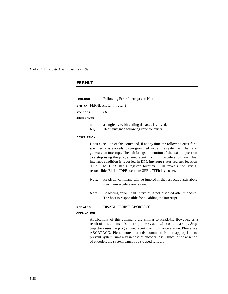### **FERHLT**

| <b>FUNCTION</b> | Following Error Interrupt and Halt                                                          |
|-----------------|---------------------------------------------------------------------------------------------|
|                 | SYNTAX FERHLT $(n, fer_1, , fer_A)$                                                         |
| RTC CODE        | 66h                                                                                         |
| ARGUMENTS       |                                                                                             |
| n<br>$fer_{v}$  | a single byte, bit coding the axes involved.<br>16 bit unsigned following error for axis x. |

### **DESCRIPTION**

Upon execution of this command, if at any time the following error for a specified axis exceeds it's programmed value, the system will halt and generate an interrupt. The halt brings the motion of the axis in question to a stop using the programmed abort maximum acceleration rate. This interrupt condition is recorded in DPR interrupt status register location 000h. The DPR status register location 001h reveals the axis(s) responsible. Bit 1 of DPR locations 3FEh, 7FEh is also set.

- *Note:* FERHLT command will be ignored if the respective axis abort maximum acceleration is zero.
- *Note:* Following error / halt interrupt is not disabled after it occurs. The host is responsible for disabling the interrupt.

#### **SEE ALSO** DISABL, FERINT, ABORTACC

### **APPLICATION**

Applications of this command are similar to FERINT. However, as a result of this command's interrupt, the system will come to a stop. Stop trajectory uses the programmed abort maximum acceleration. Please see ABORTACC. Please note that this command is not appropriate to prevent system run-away in case of encoder loss - since in the absence of encoder, the system cannot be stopped reliably.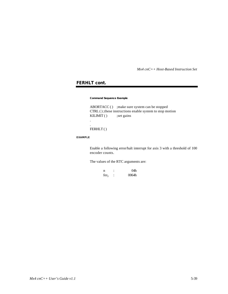# **FERHLT cont.**

#### *Command Sequence Example*

ABORTACC () ; make sure system can be stopped CTRL ( ) ;these instructions enable system to stop motion KILIMIT () ;set gains . .

### FERHLT()

#### **EXAMPLE**

Enable a following error/halt interrupt for axis 3 with a threshold of 100 encoder counts.

| n                | 04h   |
|------------------|-------|
| fer <sub>3</sub> | 0064h |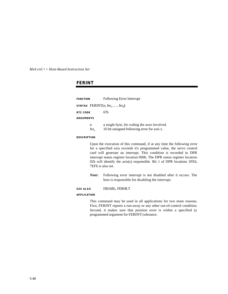## **FERINT**

| <b>FUNCTION</b> | Following Error Interrupt                                                                   |  |
|-----------------|---------------------------------------------------------------------------------------------|--|
|                 | SYNTAX FERINT(n, fer <sub>1</sub> , , fer <sub>4</sub> )                                    |  |
| RTC CODE        | 67h                                                                                         |  |
| ARGUMENTS       |                                                                                             |  |
| n<br>$fer_{v}$  | a single byte, bit coding the axes involved.<br>16 bit unsigned following error for axis x. |  |

#### **DESCRIPTION**

Upon the execution of this command, if at any time the following error for a specified axis exceeds it's programmed value, the servo control card will generate an interrupt. This condition is recorded in DPR interrupt status register location 000h. The DPR status register location 02h will identify the axis(s) responsible. Bit 1 of DPR locations 3FEh, 7EFh is also set.

*Note:* Following error interrupt is not disabled after it occurs. The host is responsible for disabling the interrupt.

#### **SEE ALSO** DISABL, FERHLT

#### **APPLICATION**

This command may be used in all applications for two main reasons. First, FERINT reports a run-away or any other out-of-control condition. Second, it makes sure that position error is within a specified (a programmed argument for FERINT) tolerance.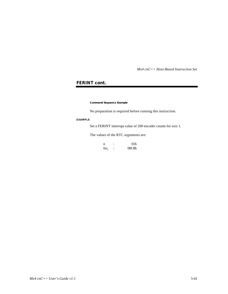# **FERINT cont.**

#### *Command Sequence Example*

No preparation is required before running this instruction.

#### **EXAMPLE**

Set a FERINT interrupt value of 200 encoder counts for axis 1.

| n       | 01h   |
|---------|-------|
| $fer_1$ | 00C8h |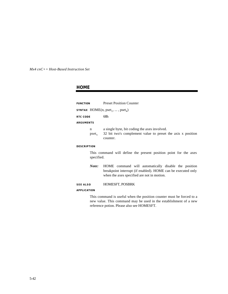# **HOME**

| <b>FUNCTION</b>                                                                |                           | <b>Preset Position Counter</b>                                                                                                                                     |  |  |
|--------------------------------------------------------------------------------|---------------------------|--------------------------------------------------------------------------------------------------------------------------------------------------------------------|--|--|
|                                                                                |                           | SYNTAX $HOME(n, pset1, , pset4)$                                                                                                                                   |  |  |
| RTC CODE                                                                       |                           | 68h                                                                                                                                                                |  |  |
| <b>ARGUMENTS</b>                                                               |                           |                                                                                                                                                                    |  |  |
|                                                                                | $\mathbf n$<br>$pset_{r}$ | a single byte, bit coding the axes involved.<br>32 bit two's complement value to preset the axis x position<br>counter.                                            |  |  |
| <b>DESCRIPTION</b>                                                             |                           |                                                                                                                                                                    |  |  |
| This command will define the present position point for the axes<br>specified. |                           |                                                                                                                                                                    |  |  |
|                                                                                | Note:                     | HOME command will automatically disable the position<br>breakpoint interrupt (if enabled). HOME can be executed only<br>when the axes specified are not in motion. |  |  |
| <b>SEE ALSO</b>                                                                |                           | HOMESFT, POSBRK                                                                                                                                                    |  |  |
| <b>APPLICATION</b>                                                             |                           |                                                                                                                                                                    |  |  |

This command is useful when the position counter must be forced to a new value. This command may be used in the establishment of a new reference potion. Please also see HOMESFT.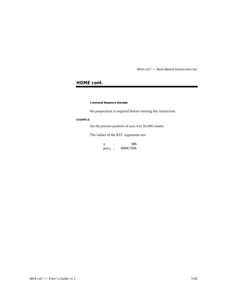# **HOME cont.**

*Command Sequence Example*

No preparation is required before running this instruction.

#### **EXAMPLE**

Set the present position of axis 4 to 50,000 counts.

| n          | 08h       |
|------------|-----------|
| $pset_{A}$ | 0000C350h |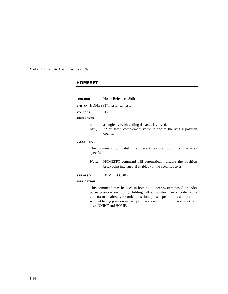# **HOMESFT**

| <b>FUNCTION</b>    | Home Reference Shift                                                                                                    |  |
|--------------------|-------------------------------------------------------------------------------------------------------------------------|--|
|                    | SYNTAX HOMESFT $(n, \text{psft}_1, , \text{psft}_4)$                                                                    |  |
| RTC CODE           | 5Dh                                                                                                                     |  |
| <b>ARGUMENTS</b>   |                                                                                                                         |  |
| n<br>$psft_{r}$    | a single byte, bit coding the axes involved.<br>32 bit two's complement value to add to the axis x position<br>counter. |  |
| <b>DESCRIPTION</b> |                                                                                                                         |  |

This command will shift the present position point for the axes specified.

*Note:* HOMESFT command will automatically disable the position breakpoint interrupt (if enabled) of the specified axes.

#### **SEE ALSO** HOME, POSBRK

#### **APPLICATION**

This command may be used in homing a linear system based on index pulse position recording. Adding offset position (in encoder edge counts) to an already recorded position, presets position to a new value without losing position integrity (i.e. no counter information is lost). See also INXINT and HOME.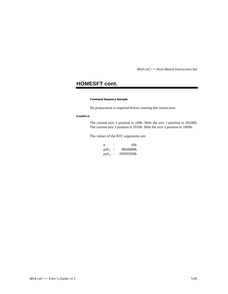# **HOMESFT cont.**

#### *Command Sequence Example*

No preparation is required before running this instruction.

#### **EXAMPLE**

The current axis 1 position is 100h. Shift the axis 1 position to 20100h. The current axis 3 position is 1010h. Shift the axis 3 position to 1000h.

| n                    |                      | 05h       |
|----------------------|----------------------|-----------|
| $p$ sft <sub>1</sub> | $\ddot{\phantom{a}}$ | 00020000h |
| psft <sub>3</sub>    | $\mathbb{R}$         | FFFFFFF0h |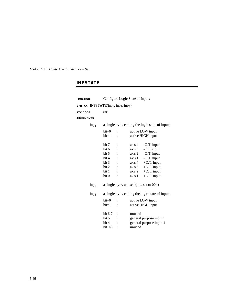# **INPSTATE**

| <b>FUNCTION</b>  |                  | Configure Logic State of Inputs                                                 |                                                    |                                                                              |                                                                                                                              |
|------------------|------------------|---------------------------------------------------------------------------------|----------------------------------------------------|------------------------------------------------------------------------------|------------------------------------------------------------------------------------------------------------------------------|
|                  |                  | SYNTAX INPSTATE(inp <sub>1</sub> , inp <sub>2</sub> , inp <sub>3</sub> )        |                                                    |                                                                              |                                                                                                                              |
| <b>RTC CODE</b>  |                  | 88h                                                                             |                                                    |                                                                              |                                                                                                                              |
| <b>ARGUMENTS</b> |                  |                                                                                 |                                                    |                                                                              |                                                                                                                              |
|                  | inp <sub>1</sub> | a single byte, coding the logic state of inputs.                                |                                                    |                                                                              |                                                                                                                              |
|                  |                  | $bit=0$<br>$bit=1$ :                                                            | $\ddot{\cdot}$                                     |                                                                              | active LOW input<br>active HIGH input                                                                                        |
|                  |                  | bit 7<br>bit 6<br>bit 5<br>bit 4<br>bit 3<br>bit 2<br>bit 1<br>bit <sub>0</sub> | $\ddot{\cdot}$<br>$\ddot{\cdot}$<br>$\ddot{\cdot}$ | axis 4<br>axis 3<br>axis 2<br>axis 1<br>axis 4<br>axis 3<br>axis 2<br>axis 1 | -O.T. input<br>-O.T. input<br>-O.T. input<br>-O.T. input<br>$+O.T.$ input<br>$+O.T.$ input<br>$+O.T.$ input<br>$+O.T.$ input |
|                  | inp <sub>2</sub> |                                                                                 |                                                    |                                                                              | a single byte, unused (i.e., set to 00h)                                                                                     |
|                  | inp <sub>3</sub> | $bit=0$<br>$bit=1$ :                                                            | $\ddot{\cdot}$                                     |                                                                              | a single byte, coding the logic state of inputs.<br>active LOW input<br>active HIGH input                                    |
|                  |                  | bit $6-7$<br>bit 5<br>bit 4<br>bit $0-3$                                        | $\ddot{\cdot}$<br>$\ddot{\cdot}$<br>$\ddot{\cdot}$ | unused<br>unused                                                             | general purpose input 5<br>general purpose input 4                                                                           |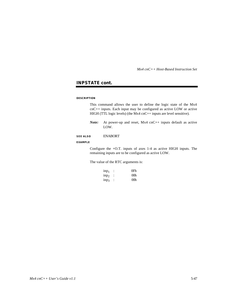# **INPSTATE cont.**

#### **DESCRIPTION**

This command allows the user to define the logic state of the Mx4 cnC++ inputs. Each input may be configured as active LOW or active HIGH (TTL logic levels) (the Mx4 cnC++ inputs are level sensitive).

*Note:* At power-up and reset, Mx4 cnC++ inputs default as active LOW.

### **SEE ALSO** ENABORT

#### **EXAMPLE**

Configure the +O.T. inputs of axes 1-4 as active HIGH inputs. The remaining inputs are to be configured as active LOW.

| 1 <sub>n</sub> p <sub>1</sub> | ÷                    | 0Fh             |
|-------------------------------|----------------------|-----------------|
| inp <sub>2</sub>              | $\ddot{\phantom{a}}$ | 00 <sub>h</sub> |
| $1np_3$                       | $\ddot{\phantom{a}}$ | 00h             |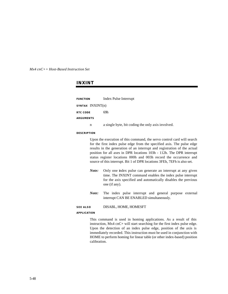## **INXINT**

| <b>FUNCTION</b>       | Index Pulse Interrupt                             |  |  |
|-----------------------|---------------------------------------------------|--|--|
| $SYNIAX$ INXINT $(n)$ |                                                   |  |  |
| RTC CODE              | 69h                                               |  |  |
| <b>ARGUMENTS</b>      |                                                   |  |  |
| n                     | a single byte, bit coding the only axis involved. |  |  |

#### **DESCRIPTION**

Upon the execution of this command, the servo control card will search for the first index pulse edge from the specified axis. The pulse edge results in the generation of an interrupt and registration of the actual position for all axes in DPR locations 103h - 112h. The DPR interrupt status register locations 000h and 003h record the occurrence and source of this interrupt. Bit 1 of DPR locations 3FEh, 7EFh is also set.

- *Note:* Only one index pulse can generate an interrupt at any given time. The INXINT command enables the index pulse interrupt for the axis specified and automatically disables the previous one (if any).
- *Note:* The index pulse interrupt and general purpose external interrupt CAN BE ENABLED simultaneously.

#### **SEE ALSO** DISABL, HOME, HOMESFT

#### **APPLICATION**

This command is used in homing applications. As a result of this instruction, Mx4 cnC+ will start searching for the first index pulse edge. Upon the detection of an index pulse edge, position of the axis is immediately recorded. This instruction must be used in conjunction with HOME to perform homing for linear table (or other index-based) position calibration.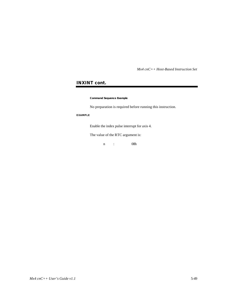# **INXINT cont.**

*Command Sequence Example*

No preparation is required before running this instruction.

#### **EXAMPLE**

Enable the index pulse interrupt for axis 4.

The value of the RTC argument is:

n : 08h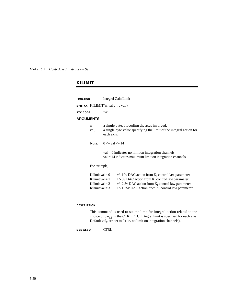# **KILIMIT**

| <b>FUNCTION</b>  |                | Integral Gain Limit                                                                                                                                                                                                                                                                                                                        |  |  |
|------------------|----------------|--------------------------------------------------------------------------------------------------------------------------------------------------------------------------------------------------------------------------------------------------------------------------------------------------------------------------------------------|--|--|
|                  |                | SYNTAX KILIMIT $(n, val_1, , val_4)$                                                                                                                                                                                                                                                                                                       |  |  |
| <b>RTC CODE</b>  |                | 74h                                                                                                                                                                                                                                                                                                                                        |  |  |
| <b>ARGUMENTS</b> |                |                                                                                                                                                                                                                                                                                                                                            |  |  |
|                  | n<br>$val_{x}$ | a single byte, bit coding the axes involved.<br>a single byte value specifying the limit of the integral action for<br>each axis.                                                                                                                                                                                                          |  |  |
|                  |                | <i>Note:</i> $0 \leq val \leq 14$                                                                                                                                                                                                                                                                                                          |  |  |
|                  |                | $val = 0$ indicates no limit on integration channels<br>$val = 14$ indicates maximum limit on integration channels                                                                                                                                                                                                                         |  |  |
|                  | For example,   |                                                                                                                                                                                                                                                                                                                                            |  |  |
|                  |                | Kilimit val $= 0$<br>$+/- 10v$ DAC action from K <sub>i</sub> control law parameter<br>+/- 5v DAC action from $K_i$ control law parameter<br>Kilimit val $= 1$<br>Kilimit val = 2 $+/- 2.5v$ DAC action from K <sub>i</sub> control law parameter<br>Kilimit val $=$ 3<br>$+/- 1.25v$ DAC action from K <sub>i</sub> control law parameter |  |  |
|                  |                |                                                                                                                                                                                                                                                                                                                                            |  |  |

**DESCRIPTION**

This command is used to set the limit for integral action related to the choice of  $par_{x1}$  in the CTRL RTC. Integral limit is specified for each axis. Default val<sub>x</sub> are set to  $0$  (i.e. no limit on integration channels).

**SEE ALSO** CTRL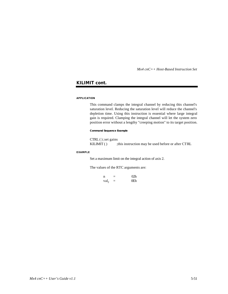### **KILIMIT cont.**

#### **APPLICATION**

This command clamps the integral channel by reducing this channel's saturation level. Reducing the saturation level will reduce the channel's depletion time. Using this instruction is essential where large integral gain is required. Clamping the integral channel will let the system zero position error without a lengthy "creeping motion" to its target position.

#### *Command Sequence Example*

CTRL (); set gains KILIMIT ( ) ;this instruction may be used before or after CTRL

#### **EXAMPLE**

Set a maximum limit on the integral action of axis 2.

| n    |          | 02 <sub>h</sub> |
|------|----------|-----------------|
| val, | $\equiv$ | 0Eh             |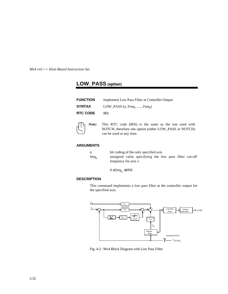# **LOW\_PASS (option)**

| <b>FUNCTION</b> | Implement Low Pass Filter at Controller Output      |
|-----------------|-----------------------------------------------------|
| <b>SYNTAX</b>   | LOW_PASS $(n, \text{Freq}_1, \dots, \text{Freq}_4)$ |
| <b>RTC CODE</b> | 8Eh.                                                |



*Note:* This RTC code (8Eh) is the same as the one used with NOTCH, therefore one option (either LOW\_PASS or NOTCH) can be used at any time.

### **ARGUMENTS**

|                | bit coding of the only specified axis                                         |
|----------------|-------------------------------------------------------------------------------|
| $freq_{\rm v}$ | unsigned value specifying the low pass filter cut-off<br>frequency for axis x |
|                |                                                                               |

 $0 \leq \text{freq}_X \leq 1850$ 

#### **DESCRIPTION**

This command implements a low pass filter at the controller output for the specified axis.



Fig. 4-2: Mx4 Block Diagram with Low Pass Filter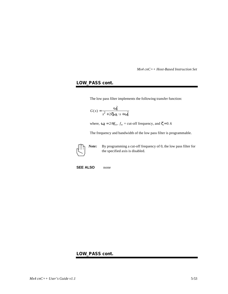# **LOW\_PASS cont.**

The low pass filter implements the following transfer function:

$$
G(s) = \frac{\mathbf{w}_n^2}{s^2 + 2\mathbf{z}\mathbf{w}_n \cdot s + \mathbf{w}_n^2}
$$

where,  $\mathbf{w}_n = 2 \mathbf{p} f_n$ ,  $f_n$  = cut-off frequency, and  $\mathbf{z} = 0.6$ 

The frequency and bandwidth of the low pass filter is programmable.



*Note:* By programming a cut-off frequency of 0, the low pass filter for the specified axis is disabled.

**SEE ALSO** none

# **LOW\_PASS cont.**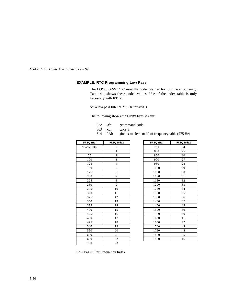### **EXAMPLE: RTC Programming Low Pass**

The LOW\_PASS RTC uses the coded values for low pass frequency. Table 4-1 shows these coded values. Use of the index table is only necessary with RTCs.

Set a low pass filter at 275 Hz for axis 3.

The following shows the DPR's byte stream:

- 3c2 xxh ;command code
- $3c3$  xxh :axis 3
- 3c4 0Ah ;index to element 10 of frequency table (275 Hz)

| FREQ (Hz)      | <b>FREQ Index</b> | FREQ (Hz) | FREQ I |
|----------------|-------------------|-----------|--------|
| disable filter | $\overline{0}$    | 750       | 24     |
| 50             | $\mathbf{1}$      | 800       | 25     |
| 75             | $\overline{c}$    | 850       | 26     |
| 100            | 3                 | 900       | 27     |
| 125            | $\overline{4}$    | 950       | 28     |
| 150            | 5                 | 1000      | 29     |
| 175            | 6                 | 1050      | 30     |
| 200            | 7                 | 1100      | 31     |
| 225            | 8                 | 1150      | 32     |
| 250            | 9                 | 1200      | 33     |
| 275            | 10                | 1250      | 34     |
| 300            | 11                | 1300      | 35     |
| 325            | 12                | 1350      | 36     |
| 350            | 13                | 1400      | 37     |
| 375            | 14                | 1450      | 38     |
| 400            | 15                | 1500      | 39     |
| 425            | 16                | 1550      | 40     |
| 450            | 17                | 1600      | 41     |
| 475            | 18                | 1650      | 42     |
| 500            | 19                | 1700      | 43     |
| 550            | 20                | 1750      | 44     |
| 600            | 21                | 1800      | 45     |
| 650            | $2\sqrt{2}$       | 1850      | 46     |
| 700            | 23                |           |        |

| <b>FREQ Index</b> | FREQ (Hz) | <b>FREQ Index</b> |
|-------------------|-----------|-------------------|
| $\boldsymbol{0}$  | 750       | 24                |
| $\mathbf{1}$      | 800       | 25                |
| $\overline{c}$    | 850       | 26                |
| 3                 | 900       | 27                |
| $\overline{4}$    | 950       | 28                |
| 5                 | 1000      | 29                |
| 6                 | 1050      | 30                |
| 7                 | 1100      | 31                |
| 8                 | 1150      | 32                |
| 9                 | 1200      | 33                |
| 10                | 1250      | 34                |
| 11                | 1300      | 35                |
| 12                | 1350      | 36                |
| 13                | 1400      | 37                |
| 14                | 1450      | 38                |
| 15                | 1500      | 39                |
| 16                | 1550      | 40                |
| 17                | 1600      | 41                |
| 18                | 1650      | 42                |
| 19                | 1700      | 43                |
| 20                | 1750      | 44                |
| 21                | 1800      | 45                |
| 22                | 1850      | 46                |
|                   |           |                   |

Low Pass Filter Frequency Index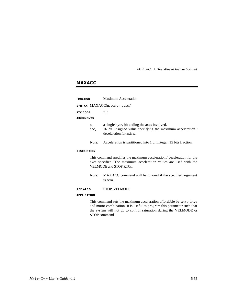## **MAXACC**

| <b>FUNCTION</b>    |       | Maximum Acceleration                                                                                                                                                         |
|--------------------|-------|------------------------------------------------------------------------------------------------------------------------------------------------------------------------------|
|                    |       | SYNTAX MAXACC(n, $acc_1, \ldots, acc_4$ )                                                                                                                                    |
| RTC CODE           |       | 71h                                                                                                                                                                          |
| <b>ARGUMENTS</b>   |       |                                                                                                                                                                              |
|                    | n     | a single byte, bit coding the axes involved.<br>$\sec_{x}$ 16 bit unsigned value specifying the maximum acceleration /<br>deceleration for axis x.                           |
|                    | Note: | Acceleration is partitioned into 1 bit integer, 15 bits fraction.                                                                                                            |
| <b>DESCRIPTION</b> |       |                                                                                                                                                                              |
|                    |       | This command specifies the maximum acceleration / deceleration for the<br>axes specified. The maximum acceleration values are used with the<br><b>VELMODE and STOP RTCs.</b> |

*Note:* MAXACC command will be ignored if the specified argument is zero.

#### SEE ALSO STOP, VELMODE

#### **APPLICATION**

This command sets the maximum acceleration affordable by servo drive and motor combination. It is useful to program this parameter such that the system will not go to control saturation during the VELMODE or STOP command.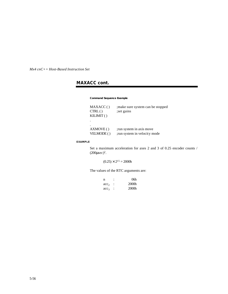# **MAXACC cont.**

#### *Command Sequence Example*

| ; make sure system can be stopped |
|-----------------------------------|
| ; set gains                       |
|                                   |
|                                   |
|                                   |
| ;run system in axis move          |
| ;run system in velocity mode      |
|                                   |

#### **EXAMPLE**

Set a maximum acceleration for axes 2 and 3 of 0.25 encoder counts /  $(200 \mu \text{sec})^2$ .

 $(0.25) \times 2^{15} = 2000h$ 

| n                |              | 06h   |
|------------------|--------------|-------|
| acc <sub>2</sub> |              | 2000h |
| acc <sub>3</sub> | $\mathbf{L}$ | 2000h |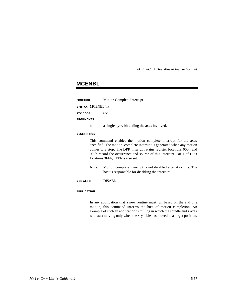# **MCENBL**

| <b>FUNCTION</b>    | Motion Complete Interrupt                                                                                                                                                      |  |
|--------------------|--------------------------------------------------------------------------------------------------------------------------------------------------------------------------------|--|
| SYNTAX MCENBL(n)   |                                                                                                                                                                                |  |
| <b>RTC CODE</b>    | 65h                                                                                                                                                                            |  |
| ARGUMENTS          |                                                                                                                                                                                |  |
| n                  | a single byte, bit coding the axes involved.                                                                                                                                   |  |
| <b>DESCRIPTION</b> |                                                                                                                                                                                |  |
|                    | This command enables the motion complete interrupt<br>specified. The motion complete interrupt is generated whe<br>comes to a stop. The DPR interrupt status register location |  |

for the axes n any motion ons 000h and 005h record the occurrence and source of this interrupt. Bit 1 of DPR locations 3FEh, 7FEh is also set.

*Note:* Motion complete interrupt is not disabled after it occurs. The host is responsible for disabling the interrupt.

### **SEE ALSO** DISABL

#### **APPLICATION**

In any application that a new routine must run based on the end of a motion, this command informs the host of motion completion. An example of such an application is milling in which the spindle and z axes will start moving only when the x-y table has moved to a target position.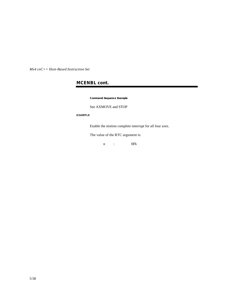# **MCENBL cont.**

*Command Sequence Example*

See AXMOVE and STOP

#### **EXAMPLE**

Enable the motion complete interrupt for all four axes.

The value of the RTC argument is:

n : 0Fh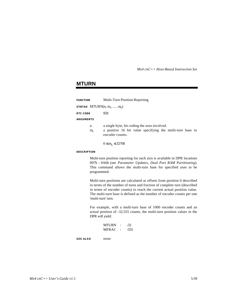# **MTURN**

| <b>FUNCTION</b>                | Multi-Turn Position Reporting                                                                             |  |
|--------------------------------|-----------------------------------------------------------------------------------------------------------|--|
| SYNTAX MTURN $(n, m_1, , m_4)$ |                                                                                                           |  |
| <b>RTC CODE</b>                | 82h                                                                                                       |  |
| ARGUMENTS                      |                                                                                                           |  |
| n<br>$m_{\rm v}$               | a single byte, bit coding the axes involved.<br>a positive 16 bit value specifying the multi-turn base in |  |
|                                | encoder counts.                                                                                           |  |

 $0 \le m_x \le 32768$ 

#### **DESCRIPTION**

Multi-turn position reporting for each axis is available in DPR locations 097h - 0A6h (see *Parameter Updates, Dual Port RAM Partitioning*). This command allows the multi-turn base for specified axes to be programmed.

Multi-turn positions are calculated as offsets from position 0 described in terms of the number of turns and fraction of complete turn (described in terms of encoder counts) to reach the current actual position value. The multi-turn base is defined as the number of encoder counts per one 'multi-turn' turn.

For example, with a multi-turn base of 1000 encoder counts and an actual position of -32,555 counts, the multi-turn position values in the DPR will yield:

| MTURN | -32    |
|-------|--------|
| MFRAC | $-555$ |

**SEE ALSO** none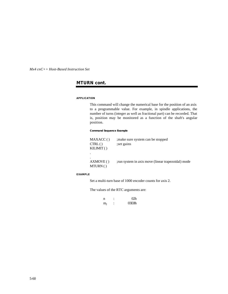### **MTURN cont.**

#### **APPLICATION**

This command will change the numerical base for the position of an axis to a programmable value. For example, in spindle applications, the number of turns (integer as well as fractional part) can be recorded. That is, position may be monitored as a function of the shaft's angular position.

#### *Command Sequence Example*

| MAXACC ( )<br>$\mathrm{CTRL}\left( \ \right)$<br>KILIMIT () | ; make sure system can be stopped<br>; set gains    |
|-------------------------------------------------------------|-----------------------------------------------------|
| AXMOVE ( )<br>MTURN()                                       | ; run system in axis move (linear trapezoidal) mode |

#### **EXAMPLE**

Set a multi-turn base of 1000 encoder counts for axis 2.

| n       | 02 <sub>h</sub> |
|---------|-----------------|
| $m_{2}$ | 03E8h           |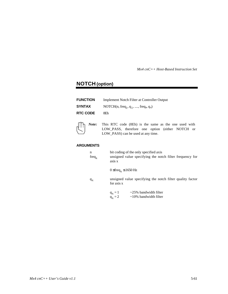# **NOTCH (option)**

| <b>FUNCTION</b> | Implement Notch Filter at Controller Output   |
|-----------------|-----------------------------------------------|
| <b>SYNTAX</b>   | NOTCH $(n, freq_1, q_1, \ldots, freq_4, q_4)$ |
| <b>RTC CODE</b> | 8Eh.                                          |



*Note:* This RTC code (8Eh) is the same as the one used with LOW\_PASS, therefore one option (either NOTCH or LOW\_PASS) can be used at any time.

### **ARGUMENTS**

| n<br>$freq_{x}$ | bit coding of the only specified axis<br>unsigned value specifying the notch filter frequency for<br>axis x |
|-----------------|-------------------------------------------------------------------------------------------------------------|
|                 | $0 \leq \text{freq}_x \leq 1650 \text{ Hz}$                                                                 |
| $q_{x}$         | unsigned value specifying the notch filter quality factor<br>for axis x                                     |
|                 | $\sim$ 25% bandwidth filter<br>$q_x = 1$<br>$q_x = 2$<br>$\sim$ 10% bandwidth filter                        |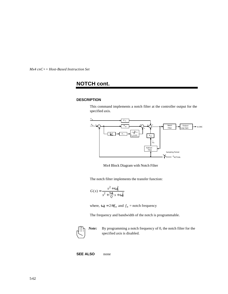# **NOTCH cont.**

#### **DESCRIPTION**

This command implements a notch filter at the controller output for the specified axis.



Mx4 Block Diagram with Notch Filter

The notch filter implements the transfer function:

$$
G(s) = \frac{s^2 + \mathbf{w}_n^2}{s^2 + \frac{\mathbf{w}_n}{Q} s + \mathbf{w}_n^2}
$$

where,  $\mathbf{w}_n = 2 \mathbf{p} f_n$  and  $f_n$  = notch frequency

The frequency and bandwidth of the notch is programmable.



*Note:* By programming a notch frequency of 0, the notch filter for the specified axis is disabled.

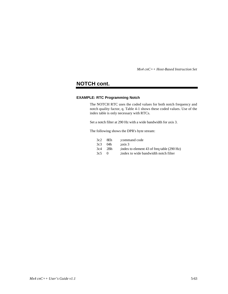# **NOTCH cont.**

### **EXAMPLE: RTC Programming Notch**

The NOTCH RTC uses the coded values for both notch frequency and notch quality factor, q. Table 4-1 shows these coded values. Use of the index table is only necessary with RTCs.

Set a notch filter at 290 Hz with a wide bandwidth for axis 3.

The following shows the DPR's byte stream:

| 3c2  | 8Eh              | :command code                              |
|------|------------------|--------------------------------------------|
| 3c3. | 04h              | axis 3:                                    |
| 3c4  | 2Bh              | index to element 43 of freq table (290 Hz) |
| 3c5. | $\left( \right)$ | index to wide bandwidth notch filter:      |
|      |                  |                                            |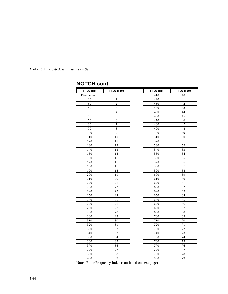| FREQ (Hz)     | <b>FREQ Index</b> | FREQ (Hz) | <b>FREQ Index</b> |
|---------------|-------------------|-----------|-------------------|
| Disable notch | $\boldsymbol{0}$  | 410       | 40                |
| 20            | $\mathbf{1}$      | 420       | 41                |
| 30            | $\overline{c}$    | 430       | 42                |
| 40            | 3                 | 440       | 43                |
| 50            | $\overline{4}$    | 450       | 44                |
| 60            | $\overline{5}$    | 460       | 45                |
| 70            | $\overline{6}$    | 470       | 46                |
| 80            | $\overline{7}$    | 480       | 47                |
| 90            | 8                 | 490       | 48                |
| 100           | 9                 | 500       | 49                |
| 110           | 10                | 510       | 50                |
| 120           | 11                | 520       | 51                |
| 130           | 12                | 530       | 52                |
| 140           | 13                | 540       | 53                |
| 150           | 14                | 550       | 54                |
| 160           | 15                | 560       | 55                |
| 170           | 16                | 570       | 56                |
| 180           | 17                | 580       | 57                |
| 190           | 18                | 590       | 58                |
| 200           | 19                | 600       | 59                |
| 210           | 20                | 610       | 60                |
| 220           | 21                | 620       | 61                |
| 230           | 22                | 630       | 62                |
| 240           | 23                | 640       | 63                |
| 250           | 24                | 650       | 64                |
| 260           | 25                | 660       | 65                |
| 270           | 26                | 670       | 66                |
| 280           | 27                | 680       | 67                |
| 290           | 28                | 690       | 68                |
| 300           | 29                | 700       | 69                |
| 310           | 30                | 710       | 70                |
| 320           | 31                | 720       | 71                |
| 330           | 32                | 730       | 72                |
| 340           | 33                | 740       | 73                |
| 350           | 34                | 750       | 74                |
| 360           | 35                | 760       | $\overline{75}$   |
| 370           | 36                | 770       | 76                |
| 380           | 37                | 780       | 77                |
| 390           | 38                | 790       | 78                |
| 400           | 39                | 800       | 79                |

Notch Filter Frequency Index (continued on next page)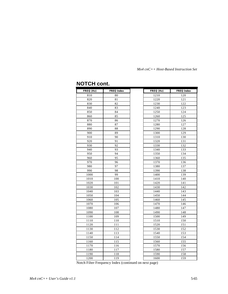| $Mx4 cnC++ Host-Based Instruction Set$ |  |  |  |  |
|----------------------------------------|--|--|--|--|
|----------------------------------------|--|--|--|--|

# **NOTCH cont.**

| FREQ (Hz) | <b>FREQ Index</b> | FREQ (Hz) | <b>FREQ Index</b> |
|-----------|-------------------|-----------|-------------------|
| 810       | 80                | 1210      | 120               |
| 820       | 81                | 1220      | 121               |
| 830       | 82                | 1230      | 122               |
| 840       | 83                | 1240      | 123               |
| 850       | 84                | 1250      | 124               |
| 860       | 85                | 1260      | 125               |
| 870       | 86                | 1270      | 126               |
| 880       | 87                | 1280      | 127               |
| 890       | 88                | 1290      | 128               |
| 900       | 89                | 1300      | 129               |
| 910       | 90                | 1310      | 130               |
| 920       | 91                | 1320      | 131               |
| 930       | 92                | 1330      | 132               |
| 940       | 93                | 1340      | 133               |
| 950       | 94                | 1350      | 134               |
| 960       | 95                | 1360      | 135               |
| 970       | 96                | 1370      | 136               |
| 980       | 97                | 1380      | 137               |
| 990       | 98                | 1390      | 138               |
| 1000      | 99                | 1400      | 139               |
| 1010      | 100               | 1410      | 140               |
| 1020      | 101               | 1420      | 141               |
| 1030      | 102               | 1430      | 142               |
| 1040      | 103               | 1440      | 143               |
| 1050      | 104               | 1450      | 144               |
| 1060      | 105               | 1460      | 145               |
| 1070      | 106               | 1470      | 146               |
| 1080      | 107               | 1480      | 147               |
| 1090      | 108               | 1490      | 148               |
| 1100      | 109               | 1500      | 149               |
| 1110      | 110               | 1510      | 150               |
| 1120      | 111               | 1520      | 151               |
| 1130      | 112               | 1530      | 152               |
| 1140      | 113               | 1540      | 153               |
| 1150      | 114               | 1550      | 154               |
| 1160      | 115               | 1560      | 155               |
| 1170      | 116               | 1570      | 156               |
| 1180      | 117               | 1580      | 157               |
| 1190      | 118               | 1590      | 158               |
| 1200      | 119               | 1600      | 159               |

Notch Filter Frequency Index (continued on next page)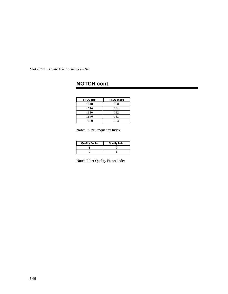# **NOTCH cont.**

| FREQ (Hz) | <b>FREQ Index</b> |
|-----------|-------------------|
| 1610      | 160               |
| 1620      | 161               |
| 1630      | 162               |
| 1640      | 163               |
| 1650      | 164               |

Notch Filter Frequency Index

| <b>Quality Factor</b> | <b>Quality Index</b> |
|-----------------------|----------------------|
|                       |                      |
|                       |                      |

Notch Filter Quality Factor Index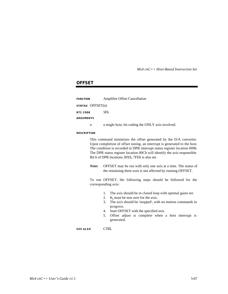### **OFFSET**

| <b>FUNCTION</b>       | <b>Amplifier Offset Cancellation</b>              |  |  |
|-----------------------|---------------------------------------------------|--|--|
| $SYNIAX$ OFFSET $(n)$ |                                                   |  |  |
| <b>RTC CODE</b>       | 5Fh                                               |  |  |
| <b>ARGUMENTS</b>      |                                                   |  |  |
| n                     | a single byte, bit coding the ONLY axis involved. |  |  |
| <b>DESCRIPTION</b>    |                                                   |  |  |

This command minimizes the offset generated by the D/A converter. Upon completion of offset tuning, an interrupt is generated to the host. The condition is recorded in DPR interrupt status register location 009h. The DPR status register location 00Ch will identify the axis responsible. Bit 6 of DPR locations 3FEh, 7FEh is also set.

*Note:* OFFSET may be run with only one axis at a time. The status of the remaining three axes is not affected by running OFFSET.

To run OFFSET, the following steps should be followed for the corresponding axis:

- 1. The axis should be in closed loop with optimal gains set.
- 2.  $K_i$  must be non zero for the axis.
- 3. The axis should be 'stopped', with no motion commands in progress.
- 4. Start OFFSET with the specified axis.
- 5. Offset adjust is complete when a host interrupt is generated.

**SEE ALSO** CTRL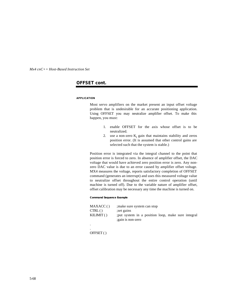### **OFFSET cont.**

#### **APPLICATION**

Most servo amplifiers on the market present an input offset voltage problem that is undesirable for an accurate positioning application. Using OFFSET you may neutralize amplifier offset. To make this happen, you must:

- 1. enable OFFSET for the axis whose offset is to be neutralized.
- 2. use a non-zero K<sub>i</sub> gain that maintains stability and zeros position error. (It is assumed that other control gains are selected such that the system is stable.)

Position error is integrated via the integral channel to the point that position error is forced to zero. In absence of amplifier offset, the DAC voltage that would have achieved zero position error is zero. Any nonzero DAC value is due to an error caused by amplifier offset voltage. MX4 measures the voltage, reports satisfactory completion of OFFSET command (generates an interrupt) and uses this measured voltage value to neutralize offset throughout the entire control operation (until machine is turned off). Due to the variable nature of amplifier offset, offset calibration may be necessary any time the machine is turned on.

#### *Command Sequence Example*

| MAXACC ( ) | make sure system can stop                                               |
|------------|-------------------------------------------------------------------------|
| CTRL()     | :set gains                                                              |
| KILIMIT () | put system in a position loop, make sure integral<br>; gain is non-zero |
|            |                                                                         |
|            |                                                                         |

OFFSET ( )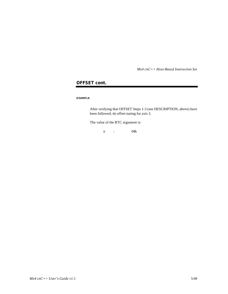# **OFFSET cont.**

#### **EXAMPLE**

After verifying that OFFSET Steps 1-3 (see DESCRIPTION, above) have been followed, do offset tuning for axis 3.

The value of the RTC argument is:

n : 04h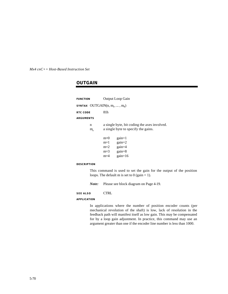# **OUTGAIN**

| <b>FUNCTION</b> | <b>Output Loop Gain</b>                      |
|-----------------|----------------------------------------------|
|                 | SYNTAX $OUTGAIN(n, m_1, , m_4)$              |
| RTC CODE        | 81h                                          |
| ARGUMENTS       |                                              |
| n               | a single byte, bit coding the axes involved. |
| $m_{\rm v}$     | a single byte to specify the gains.          |
|                 | $gain=1$<br>$m=0$                            |
|                 | $gain=2$<br>$m=1$                            |
|                 | $gain=4$<br>$m=2$                            |
|                 | $gain=8$<br>$m=3$                            |

 $m=4$  gain=16

#### **DESCRIPTION**

This command is used to set the gain for the output of the position loops. The default m is set to  $0$  (gain = 1).

*Note:* Please see block diagram on Page 4-19.

#### **SEE ALSO** CTRL

#### **APPLICATION**

In applications where the number of position encoder counts (per mechanical revolution of the shaft) is low, lack of resolution in the feedback path will manifest itself as low gain. This may be compensated for by a loop gain adjustment. In practice, this command may use an argument greater than one if the encoder line number is less than 1000.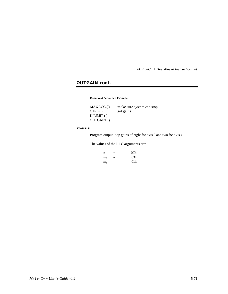# **OUTGAIN cont.**

*Command Sequence Example*

MAXACC () ;make sure system can stop CTRL() ;set gains KILIMIT ( ) OUTGAIN ( )

#### **EXAMPLE**

Program output loop gains of eight for axis 3 and two for axis 4.

| n  | $\equiv$ | 0Ch             |
|----|----------|-----------------|
| mź | $\equiv$ | 03h             |
| m, | $\equiv$ | 01 <sub>h</sub> |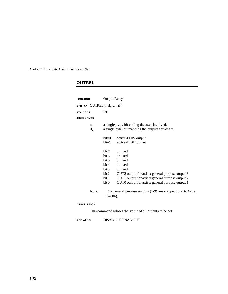# **OUTREL**

| <b>FUNCTION</b>                   |                                                                      | <b>Output Relay</b>                                                                                                                                                                                     |  |  |
|-----------------------------------|----------------------------------------------------------------------|---------------------------------------------------------------------------------------------------------------------------------------------------------------------------------------------------------|--|--|
| SYNTAX OUTREL $(n, rl_1, , rl_4)$ |                                                                      |                                                                                                                                                                                                         |  |  |
| <b>RTC CODE</b>                   | 59h                                                                  |                                                                                                                                                                                                         |  |  |
| <b>ARGUMENTS</b>                  |                                                                      |                                                                                                                                                                                                         |  |  |
| n<br>$rl_{x}$                     |                                                                      | a single byte, bit coding the axes involved.<br>a single byte, bit mapping the outputs for axis x.                                                                                                      |  |  |
|                                   | $bit=0$<br>$bit=1$                                                   | active-LOW output<br>active-HIGH output                                                                                                                                                                 |  |  |
|                                   | bit 7<br>bit 6<br>bit 5<br>bit 4<br>bit 3<br>bit 2<br>bit 1<br>bit 0 | unused<br>unused<br>unused<br>unused<br>unused<br>OUT2 output for axis x general purpose output 3<br>OUT1 output for axis x general purpose output 2<br>OUT0 output for axis x general purpose output 1 |  |  |
| Note:                             |                                                                      | The general purpose outputs $(1-3)$ are mapped to axis 4 (i.e.,<br>$n = 08h$ ).                                                                                                                         |  |  |

**DESCRIPTION**

This command allows the status of all outputs to be set.

**SEE ALSO** DISABORT, ENABORT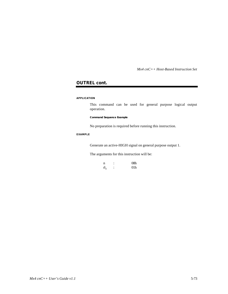### **OUTREL cont.**

#### **APPLICATION**

This command can be used for general purpose logical output operation.

*Command Sequence Example*

No preparation is required before running this instruction.

#### **EXAMPLE**

Generate an active-HIGH signal on general purpose output 1.

The arguments for this instruction will be:

| n               | 08 <sub>h</sub> |
|-----------------|-----------------|
| rl <sub>3</sub> | 01 <sub>h</sub> |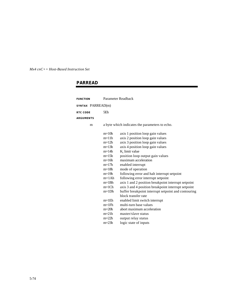# **PARREAD**

| <b>FUNCTION</b>   | Parameter Readback                             |                                                     |  |  |
|-------------------|------------------------------------------------|-----------------------------------------------------|--|--|
| SYNTAX PARREAD(m) |                                                |                                                     |  |  |
| <b>RTC CODE</b>   | 5Eh                                            |                                                     |  |  |
| <b>ARGUMENTS</b>  |                                                |                                                     |  |  |
| m                 | a byte which indicates the parameters to echo. |                                                     |  |  |
|                   | $m=10h$                                        | axis 1 position loop gain values                    |  |  |
|                   | $m=11h$                                        | axis 2 position loop gain values                    |  |  |
|                   | $m=12h$                                        | axis 3 position loop gain values                    |  |  |
|                   | $m=13h$                                        | axis 4 position loop gain values                    |  |  |
|                   | $m=14h$                                        | $K_i$ limit value                                   |  |  |
|                   | $m=15h$                                        | position loop output gain values                    |  |  |
|                   | $m=16h$                                        | maximum acceleration                                |  |  |
|                   | $m=17h$                                        | enabled interrupt                                   |  |  |
|                   | $m=18h$                                        | mode of operation                                   |  |  |
|                   | $m=19h$                                        | following error and halt interrupt setpoint         |  |  |
|                   | $m=1$ Ah                                       | following error interrupt setpoint                  |  |  |
|                   | $m=1Bh$                                        | axis 1 and 2 position breakpoint interrupt setpoint |  |  |
|                   | $m=1Ch$                                        | axis 3 and 4 position breakpoint interrupt setpoint |  |  |
|                   | $m=1Dh$                                        | buffer breakpoint interrupt setpoint and contouring |  |  |
|                   |                                                | block transfer rate                                 |  |  |
|                   | $m=1Eh$                                        | enabled limit switch interrupt                      |  |  |
|                   | $m=1Fh$                                        | multi-turn base values                              |  |  |
|                   | $m=20h$                                        | abort maximum acceleration                          |  |  |
|                   | $m=21h$                                        | master/slave status                                 |  |  |
|                   | $m=22h$                                        | output relay status                                 |  |  |
|                   | $m=23h$                                        | logic state of inputs                               |  |  |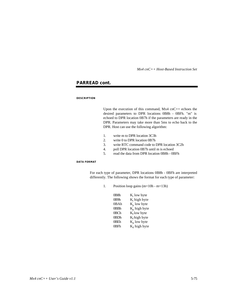#### **PARREAD cont.**

#### **DESCRIPTION**

Upon the execution of this command, Mx4 cnC++ echoes the desired parameters to DPR locations 0B8h - 0BFh. "m" is echoed to DPR location 0B7h if the parameters are ready in the DPR. Parameters may take more than 5ms to echo back to the DPR. Host can use the following algorithm:

- 1. write m to DPR location 3C3h
- 2. write 0 to DPR location 0B7h
- 3. write RTC command code to DPR location 3C2h
- 4. poll DPR location 0B7h until m is echoed
- 5. read the data from DPR location 0B8h 0BFh

#### **DATA FORMAT**

For each type of parameter, DPR locations 0B8h - 0BFh are interpreted differently. The following shows the format for each type of parameter:

1. Position loop gains (m=10h - m=13h)

| 0B8h | $K_i$ low byte  |
|------|-----------------|
| 0B9h | $K_i$ high byte |
| 0BAh | $K_p$ low byte  |
| 0BBh | $K_p$ high byte |
| 0BCh | $K_f$ low byte  |
| 0BDh | $K_f$ high byte |
| 0BEh | $K_d$ low byte  |
| 0BFh | $K_d$ high byte |
|      |                 |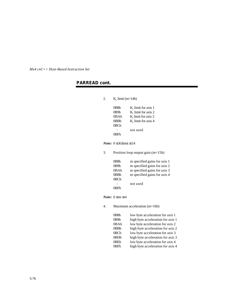## **PARREAD cont.**

2.  $K_i$  limit (m=14h)

| 0B8h | $K_i$ limit for axis 1 |
|------|------------------------|
| 0B9h | $K_i$ limit for axis 2 |
| 0BAh | $K_i$ limit for axis 3 |
| 0BBh | $K_i$ limit for axis 4 |
| 0BCh |                        |
|      | not used               |
| 0BFh |                        |
|      |                        |

*Note:*  $0 \leq$  Kilimit  $\leq 14$ 

3. Position loop output gain (m=15h)

| 0B8h | m specified gains for axis 1 |
|------|------------------------------|
| 0B9h | m specified gains for axis 2 |
| 0BAh | m specified gains for axis 3 |
| 0BBh | m specified gains for axis 4 |
| 0BCh |                              |
|      | not used                     |
| 0BFh |                              |

*Note:*  $0 \le m \le 4$ 

| 4. | Maximum acceleration (m=16h) |  |
|----|------------------------------|--|
|----|------------------------------|--|

| 0B8h              | low byte acceleration for axis 1  |
|-------------------|-----------------------------------|
| 0 <sub>B9</sub> h | high byte acceleration for axis 1 |
| 0BAh              | low byte acceleration for axis 2  |
| 0BBh              | high byte acceleration for axis 2 |
| OBCh              | low byte acceleration for axis 3  |
| 0B <sub>Dh</sub>  | high byte acceleration for axis 3 |
| 0 <sub>BEh</sub>  | low byte acceleration for axis 4  |
| 0 <sub>BFh</sub>  | high byte acceleration for axis 4 |
|                   |                                   |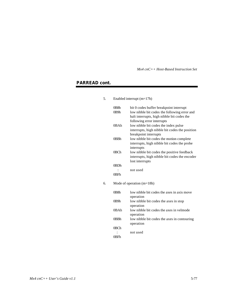## **PARREAD cont.**

|    | 0B8h              | bit 0 codes buffer breakpoint interrupt                   |
|----|-------------------|-----------------------------------------------------------|
|    | 0B9h              | low nibble bit codes the following error and              |
|    |                   | halt interrupts, high nibble bit codes the                |
|    |                   | following error interrupts                                |
|    | 0BAh              |                                                           |
|    |                   | low nibble bit codes the index pulse                      |
|    |                   | interrupts, high nibble bit codes the position            |
|    |                   | breakpoint interrupts                                     |
|    | 0BBh              | low nibble bit codes the motion complete                  |
|    |                   | interrupts, high nibble bit codes the probe<br>interrupts |
|    | OBCh              | low nibble bit codes the positive feedback                |
|    |                   | interrupts, high nibble bit codes the encoder             |
|    |                   | lost interrupts                                           |
|    | 0BDh              |                                                           |
|    |                   | not used                                                  |
|    | 0 <sub>BFh</sub>  |                                                           |
| б. |                   | Mode of operation $(m=18h)$                               |
|    |                   |                                                           |
|    | 0B <sub>8</sub> h | low nibble bit codes the axes in axis move                |
|    |                   | operation                                                 |
|    | 0B9h              | low nibble bit codes the axes in stop                     |
|    |                   | operation                                                 |
|    | 0BAh              | low nibble bit codes the axes in velmode                  |
|    |                   |                                                           |
|    |                   | operation                                                 |
|    | 0BBh              | low nibble bit codes the axes in contouring               |
|    |                   | operation                                                 |
|    | OBCh              |                                                           |
|    |                   | not used                                                  |
|    | 0 <sub>BFh</sub>  |                                                           |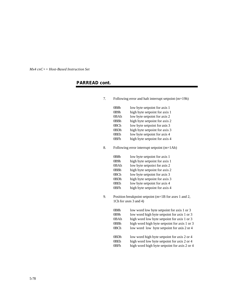## **PARREAD cont.**

7. Following error and halt interrupt setpoint (m=19h)

| 0B8h             | low byte setpoint for axis 1  |
|------------------|-------------------------------|
| 0B9h             | high byte setpoint for axis 1 |
| 0BAh             | low byte setpoint for axis 2  |
| 0BBh             | high byte setpoint for axis 2 |
| OBCh             | low byte setpoint for axis 3  |
| 0B <sub>Dh</sub> | high byte setpoint for axis 3 |
| 0 <sub>BEh</sub> | low byte setpoint for axis 4  |
| $0$ BFh          | high byte setpoint for axis 4 |
|                  |                               |

8. Following error interrupt setpoint (m=1Ah)

| 0B8h             | low byte setpoint for axis 1  |
|------------------|-------------------------------|
| 0B9h             | high byte setpoint for axis 1 |
| 0BAh             | low byte setpoint for axis 2  |
| 0BBh             | high byte setpoint for axis 2 |
| 0 <sub>BCh</sub> | low byte setpoint for axis 3  |
| 0BDh             | high byte setpoint for axis 3 |
| 0BEh             | low byte setpoint for axis 4  |
| 0BFh             | high byte setpoint for axis 4 |

9. Position breakpoint setpoint (m=1B for axes 1 and 2, 1Ch for axes 3 and 4)

| 0B8h             | low word low byte setpoint for axis 1 or 3   |
|------------------|----------------------------------------------|
| 0B9h             | low word high byte setpoint for axis 1 or 3  |
| 0BAh             | high word low byte setpoint for axis 1 or 3  |
| 0BBh             | high word high byte setpoint for axis 1 or 3 |
| 0 <sub>BCh</sub> | low word low byte setpoint for axis 2 or 4   |
| 0BDh             | low word high byte setpoint for axis 2 or 4  |
| 0BEh             | high word low byte setpoint for axis 2 or 4  |
| 0BFh             | high word high byte setpoint for axis 2 or 4 |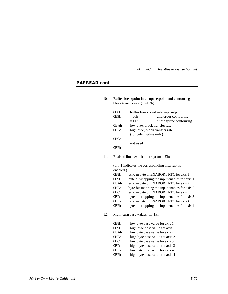## **PARREAD cont.**

10. Buffer breakpoint interrupt setpoint and contouring block transfer rate (m=1Dh)

| 0B8h |                         | buffer breakpoint interrupt setpoint |
|------|-------------------------|--------------------------------------|
| 0B9h | $= 00h$<br>$\cdot$ :    | 2nd order contouring                 |
|      | $=$ FFh                 | cubic spline contouring              |
| 0BAh |                         | low byte, block transfer rate        |
| 0BBh |                         | high byte, block transfer rate       |
|      | (for cubic spline only) |                                      |
| 0BCh |                         |                                      |
| ÷    | not used                |                                      |
|      |                         |                                      |

11. Enabled limit switch interrupt (m=1Eh)

(bit=1 indicates the corresponding interrupt is enabled.)

- 0B8h echo m byte of ENABORT RTC for axis 1
- 0B9h byte bit-mapping the input enables for axis 1
- 0BAh echo m byte of ENABORT RTC for axis 2
- 0BBh byte bit-mapping the input enables for axis 2
- 0BCh echo m byte of ENABORT RTC for axis 3
- 0BDh byte bit-mapping the input enables for axis 3
- 0BEh echo m byte of ENABORT RTC for axis 4
- 0BFh byte bit-mapping the input enables for axis 4
- 12. Multi-turn base values (m=1Fh)

| 0B8h                          | low byte base value for axis 1  |
|-------------------------------|---------------------------------|
| 0 <sub>B9</sub> h             | high byte base value for axis 1 |
| 0BAh                          | low byte base value for axis 2  |
| 0 <sub>B</sub> Bh             | high byte base value for axis 2 |
| 0 <sub>BCh</sub>              | low byte base value for axis 3  |
| 0 <sub>B</sub> D <sub>h</sub> | high byte base value for axis 3 |
| 0BEh                          | low byte base value for axis 4  |
| 0BFh                          | high byte base value for axis 4 |
|                               |                                 |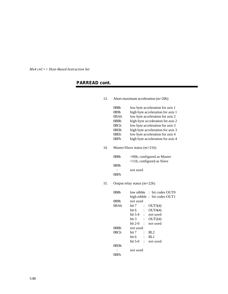## **PARREAD cont.**

| 13. | Abort maximum acceleration $(m=20h)$ |  |
|-----|--------------------------------------|--|
|     |                                      |  |

|     | 0B8h             | low byte acceleration for axis 1        |
|-----|------------------|-----------------------------------------|
|     | 0B9h             | high byte acceleration for axis 1       |
|     | 0BAh             | low byte acceleration for axis 2        |
|     | 0BBh             | high byte acceleration for axis 2       |
|     | 0BCh             | low byte acceleration for axis 3        |
|     | 0BDh             | high byte acceleration for axis 3       |
|     | 0BEh             | low byte acceleration for axis 4        |
|     | 0BFh             | high byte acceleration for axis 4       |
| 14. |                  | Master/Slave status (m=21h)             |
|     | 0B8h             | $=$ 00h, configured as Master           |
|     |                  | $=11h$ , configured as Slave            |
|     | 0B9h             |                                         |
|     |                  | not used                                |
|     | 0 <sub>BFh</sub> |                                         |
| 15. |                  | Output relay status $(m=22h)$           |
|     | 0B8h             | : bit codes OUT0<br>low nibble          |
|     |                  | high nibble<br>: bit codes OUT1         |
|     | 0B9h             | not used                                |
|     | 0BAh             | bit 7<br>OUT3(4)<br>$\ddot{\cdot}$      |
|     |                  | OUT4(4)<br>bit 6<br>$\vdots$            |
|     |                  | bit $5-4$<br>ł.<br>not used             |
|     |                  | bit 3<br>OUT2(4)                        |
|     |                  | $bit 2-0$<br>not used<br>$\ddot{\cdot}$ |
|     | 0BBh             | not used                                |
|     | 0BCh             | bit 7<br>RL2                            |
|     |                  | RL1<br>bit 6<br>$\ddot{\cdot}$          |
|     |                  | bit $5-0$ :<br>not used                 |
|     | 0BDh             |                                         |
|     |                  | not used                                |
|     | 0 <sub>BFh</sub> |                                         |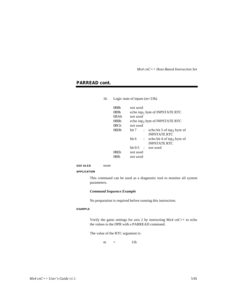## **PARREAD cont.**

16. Logic state of inputs (m=23h)

| 0B8h             | not used |                      |                                            |
|------------------|----------|----------------------|--------------------------------------------|
| 0B9h             |          |                      | echo inp <sub>1</sub> byte of INPSTATE RTC |
| 0B A h           | not used |                      |                                            |
| 0BBh             |          |                      | echo inp <sub>2</sub> byte of INPSTATE RTC |
| 0BCh             | not used |                      |                                            |
| OBD <sub>h</sub> | bit 7    | $\ddot{\phantom{0}}$ | echo bit 5 of inp <sub>3</sub> byte of     |
|                  |          |                      | <b>INPSTATE RTC</b>                        |
|                  | bit 6    | $\sim 100$           | echo bit 4 of inp <sub>3</sub> byte of     |
|                  |          |                      | <b>INPSTATE RTC</b>                        |
|                  | bit 0-5  | <b>Contract</b>      | not used                                   |
| 0BEh             | not used |                      |                                            |
|                  | not used |                      |                                            |

**SEE ALSO** none

#### **APPLICATION**

This command can be used as a diagnostic tool to monitor all system parameters.

#### *Command Sequence Example*

No preparation is required before running this instruction.

#### **EXAMPLE**

Verify the gains settings for axis 2 by instructing Mx4 cnC++ to echo the values to the DPR with a PARREAD command.

The value of the RTC argument is:

 $m = 11h$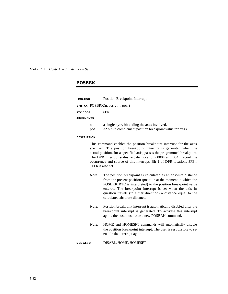## **POSBRK**

| <b>FUNCTION</b> |         | Position Breakpoint Interrupt                                                                               |
|-----------------|---------|-------------------------------------------------------------------------------------------------------------|
|                 |         | SYNTAX $POSBRK(n, pos_1, , pos_A)$                                                                          |
| RTC CODE        |         | 6Bh                                                                                                         |
| ARGUMENTS       |         |                                                                                                             |
| n               | $pos_x$ | a single byte, bit coding the axes involved.<br>32 bit 2's complement position breakpoint value for axis x. |

#### **DESCRIPTION**

This command enables the position breakpoint interrupt for the axes specified. The position breakpoint interrupt is generated when the actual position, for a specified axis, passes the programmed breakpoint. The DPR interrupt status register locations 000h and 004h record the occurrence and source of this interrupt. Bit 1 of DPR locations 3FEh, 7EFh is also set.

- *Note:* The position breakpoint is calculated as an absolute distance from the present position (position at the moment at which the POSBRK RTC is interpreted) to the position breakpoint value entered. The breakpoint interrupt is set when the axis in question travels (in either direction) a distance equal to the calculated absolute distance.
- *Note:* Position breakpoint interrupt is automatically disabled after the breakpoint interrupt is generated. To activate this interrupt again, the host must issue a new POSBRK command.
- *Note:* HOME and HOMESFT commands will automatically disable the position breakpoint interrupt. The user is responsible to reenable the interrupt again.

#### **SEE ALSO** DISABL, HOME, HOMESFT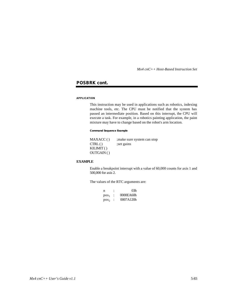#### **POSBRK cont.**

#### **APPLICATION**

This instruction may be used in applications such as robotics, indexing machine tools, etc. The CPU must be notified that the system has passed an intermediate position. Based on this interrupt, the CPU will execute a task. For example, in a robotics painting application, the paint mixture may have to change based on the robot's arm location.

#### *Command Sequence Example*

MAXACC ( ) ; make sure system can stop CTRL ( ) ;set gains KILIMIT ( ) OUTGAIN ( )

#### **EXAMPLE**

Enable a breakpoint interrupt with a value of 60,000 counts for axis 1 and 500,000 for axis 2.

The values of the RTC arguments are:

| n       | 03h       |
|---------|-----------|
| $pos_1$ | 0000EA60h |
| $pos_2$ | 0007A120h |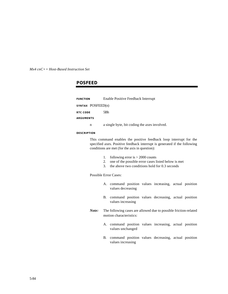## **POSFEED**

| <b>FUNCTION</b>    |                   |                              | Enable Positive Feedback Interrupt             |  |                                                                                                                                                |  |
|--------------------|-------------------|------------------------------|------------------------------------------------|--|------------------------------------------------------------------------------------------------------------------------------------------------|--|
|                    | SYNTAX POSFEED(n) |                              |                                                |  |                                                                                                                                                |  |
| RTC CODE           |                   | 5Bh                          |                                                |  |                                                                                                                                                |  |
| <b>ARGUMENTS</b>   |                   |                              |                                                |  |                                                                                                                                                |  |
|                    | n                 |                              | a single byte, bit coding the axes involved.   |  |                                                                                                                                                |  |
| <b>DESCRIPTION</b> |                   |                              |                                                |  |                                                                                                                                                |  |
|                    |                   |                              | conditions are met (for the axis in question): |  | This command enables the positive feedback loop interrupt for the<br>specified axes. Positive feedback interrupt is generated if the following |  |
|                    |                   | 1.<br>2.<br>$\mathfrak{Z}$ . | following error is $> 2000$ counts             |  | one of the possible error cases listed below is met<br>the above two conditions hold for 0.3 seconds                                           |  |
|                    |                   |                              | <b>Possible Error Cases:</b>                   |  |                                                                                                                                                |  |
|                    |                   |                              | values decreasing                              |  | A. command position values increasing, actual position                                                                                         |  |
|                    |                   | В.                           | values increasing                              |  | command position values decreasing, actual position                                                                                            |  |
|                    | Note:             |                              | motion characteristics:                        |  | The following cases are allowed due to possible friction-related                                                                               |  |
|                    |                   |                              | values unchanged                               |  | A. command position values increasing, actual position                                                                                         |  |
|                    |                   |                              |                                                |  | restricted problem violence decreased actual province                                                                                          |  |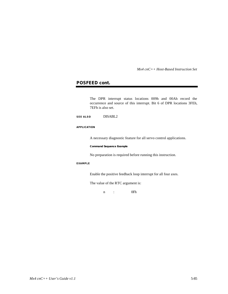## **POSFEED cont.**

The DPR interrupt status locations 009h and 00Ah record the occurrence and source of this interrupt. Bit 6 of DPR locations 3FEh, 7EFh is also set.

**SEE ALSO** DISABL2

#### **APPLICATION**

A necessary diagnostic feature for all servo control applications.

*Command Sequence Example*

No preparation is required before running this instruction.

#### **EXAMPLE**

Enable the positive feedback loop interrupt for all four axes.

The value of the RTC argument is:

n : 0Fh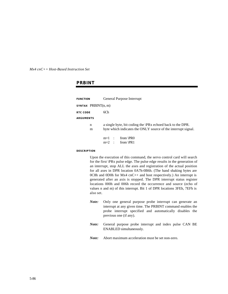#### **PRBINT**

| <b>FUNCTION</b>     | General Purpose Interrupt                                                                                                   |
|---------------------|-----------------------------------------------------------------------------------------------------------------------------|
| SYNTAX PRBINT(n, m) |                                                                                                                             |
| RTC CODE            | 6Ch                                                                                                                         |
| ARGUMENTS           |                                                                                                                             |
| n                   | a single byte, bit coding the \PRx echoed back to the DPR.<br>byte which indicates the ONLY source of the interrupt signal. |
| m                   |                                                                                                                             |
|                     | $m=1$ : from \PR0<br>$m=2$ : from \PR1                                                                                      |
|                     |                                                                                                                             |

#### **DESCRIPTION**

Upon the execution of this command, the servo control card will search for the first \PRx pulse edge. The pulse edge results in the generation of an interrupt, stop ALL the axes and registration of the actual position for all axes in DPR location 0A7h-0B6h. (The hand shaking bytes are 0C8h and 0D0h for Mx4 cnC++ and host respectively.) An interrupt is generated after an axis is stopped. The DPR interrupt status register locations 000h and 006h record the occurrence and source (echo of values n and m) of this interrupt. Bit 1 of DPR locations 3FEh, 7EFh is also set.

- *Note:* Only one general purpose probe interrupt can generate an interrupt at any given time. The PRBINT command enables the probe interrupt specified and automatically disables the previous one (if any).
- *Note:* General purpose probe interrupt and index pulse CAN BE ENABLED simultaneously.
- *Note:* Abort maximum acceleration must be set non-zero.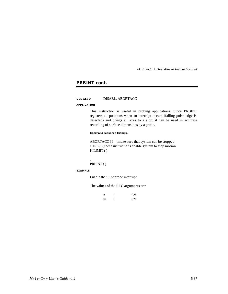## **PRBINT cont.**

#### **SEE ALSO** DISABL, ABORTACC

#### **APPLICATION**

This instruction is useful in probing applications. Since PRBINT registers all positions when an interrupt occurs (falling pulse edge is detected) and brings all axes to a stop, it can be used in accurate recording of surface dimensions by a probe.

#### *Command Sequence Example*

ABORTACC () ; make sure that system can be stopped CTRL ( ) ;these instructions enable system to stop motion KILIMIT ( )

#### PRBINT()

#### **EXAMPLE**

. .

Enable the \PR2 probe interrupt.

The values of the RTC arguments are:

| n | ٠ | 02 <sub>h</sub> |
|---|---|-----------------|
| m | ٠ | 02 <sub>h</sub> |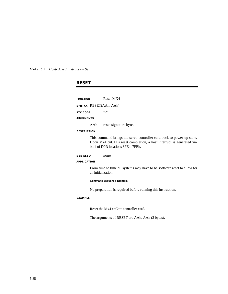#### **RESET**

| <b>FUNCTION</b>        | Reset MX4                                 |
|------------------------|-------------------------------------------|
| SYNTAX RESET(AAh, AAh) |                                           |
| <b>RTC CODE</b>        | 72h                                       |
| <b>ARGUMENTS</b>       |                                           |
| AAh                    | reset signature byte.                     |
| <b>DESCRIPTION</b>     |                                           |
|                        | TPL ! a compared in the form of the compa |

This command brings the servo controller card back to power-up state. Upon Mx4 cnC++'s reset completion, a host interrupt is generated via bit 4 of DPR locations 3FEh, 7FEh.

#### **SEE ALSO** none

#### **APPLICATION**

From time to time all systems may have to be software reset to allow for an initialization.

#### *Command Sequence Example*

No preparation is required before running this instruction.

#### **EXAMPLE**

Reset the Mx4 cnC++ controller card.

The arguments of RESET are AAh, AAh (2 bytes).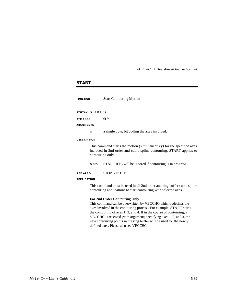## **START**

| <b>FUNCTION</b>                                                                                                                            |                  | <b>Start Contouring Motion</b>                                                                                                                                    |
|--------------------------------------------------------------------------------------------------------------------------------------------|------------------|-------------------------------------------------------------------------------------------------------------------------------------------------------------------|
|                                                                                                                                            | SYNTAX $STAT(n)$ |                                                                                                                                                                   |
| <b>RTC CODE</b>                                                                                                                            |                  | 6Dh                                                                                                                                                               |
| <b>ARGUMENTS</b>                                                                                                                           |                  |                                                                                                                                                                   |
|                                                                                                                                            | n                | a single byte, bit coding the axes involved.                                                                                                                      |
| <b>DESCRIPTION</b>                                                                                                                         |                  |                                                                                                                                                                   |
|                                                                                                                                            |                  | This command starts the motion (simultaneously) for the specified axes<br>included in 2nd order and cubic spline contouring. START applies to<br>contouring only. |
|                                                                                                                                            | Note:            | START RTC will be ignored if contouring is in progress.                                                                                                           |
| <b>SEE ALSO</b>                                                                                                                            |                  | STOP, VECCHG                                                                                                                                                      |
| <b>APPLICATION</b>                                                                                                                         |                  |                                                                                                                                                                   |
| This command must be used in all 2nd order and ring buffer cubic spline<br>contouring applications to start contouring with selected axes. |                  |                                                                                                                                                                   |
|                                                                                                                                            |                  |                                                                                                                                                                   |

#### **For 2nd Order Contouring Only**

This command can be overwritten by VECCHG which redefines the axes involved in the contouring process. For example, START starts the contouring of axes 1, 3, and 4. If in the course of contouring, a VECCHG is received (with argument) specifying axes 1, 2, and 3, the new contouring points in the ring buffer will be used for the newly defined axes. Please also see VECCHG.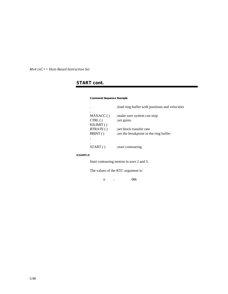## **START cont.**

#### *Command Sequence Example*

|           | load ring buffer with positions and velocities |
|-----------|------------------------------------------------|
|           |                                                |
| MAXACC()  | ; make sure system can stop                    |
| CTRL()    | ; set gains                                    |
| KILIMIT() |                                                |
| BTRATE()  | set block transfer rate                        |
| BBINT()   | set the breakpoint in the ring buffer          |
|           |                                                |
|           |                                                |
| START()   | ; start contouring                             |

#### **EXAMPLE**

Start contouring motion in axes 2 and 3.

The values of the RTC argument is:

n : 06h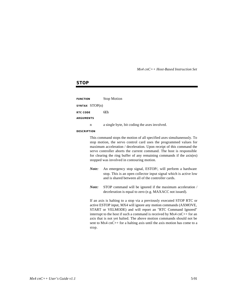#### **STOP**

| <b>FUNCTION</b>  | <b>Stop Motion</b>                           |
|------------------|----------------------------------------------|
| SYNTAX STOP(n)   |                                              |
| RTC CODE         | 6Eh                                          |
| <b>ARGUMENTS</b> |                                              |
| n                | a single byte, bit coding the axes involved. |
|                  |                                              |

#### **DESCRIPTION**

This command stops the motion of all specified axes simultaneously. To stop motion, the servo control card uses the programmed values for maximum acceleration / deceleration. Upon receipt of this command the servo controller aborts the current command. The host is responsible for clearing the ring buffer of any remaining commands if the axis(es) stopped was involved in contouring motion.

- *Note:* An emergency stop signal, ESTOP/, will perform a hardware stop. This is an open collector input signal which is active low and is shared between all of the controller cards.
- *Note:* STOP command will be ignored if the maximum acceleration / deceleration is equal to zero (e.g. MAXACC not issued).

If an axis is halting to a stop via a previously executed STOP RTC or active ESTOP input, MX4 will ignore any motion commands (AXMOVE, START or VELMODE) and will report an "RTC Command Ignored" interrupt to the host if such a command is received by Mx4 cnC++ for an axis that is not yet halted. The above motion commands should not be sent to Mx4 cnC++ for a halting axis until the axis motion has come to a stop.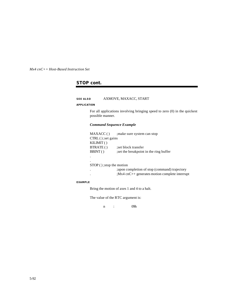## **STOP cont.**

#### **SEE ALSO** AXMOVE, MAXACC, START

#### **APPLICATION**

For all applications involving bringing speed to zero (0) in the quickest possible manner.

#### *Command Sequence Example*

| MAXACC ( )                 | ; make sure system can stop                    |
|----------------------------|------------------------------------------------|
| CTRL(); set gains          |                                                |
| KILIMIT ()                 |                                                |
| BTRATE()                   | set block transfer                             |
| BBINT()                    | set the breakpoint in the ring buffer          |
|                            |                                                |
|                            |                                                |
| $STOP()$ ; stop the motion |                                                |
|                            | ; upon completion of stop (command) trajectory |
| ٠                          | ;Mx4 cnC++ generates motion complete interrupt |
|                            |                                                |

#### **EXAMPLE**

Bring the motion of axes 1 and 4 to a halt.

The value of the RTC argument is:

n : 09h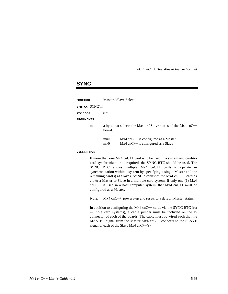## **SYNC**

| <b>FUNCTION</b> | Master / Slave Select                                                                                         |  |  |  |  |
|-----------------|---------------------------------------------------------------------------------------------------------------|--|--|--|--|
| SYNTAX SYNC(m)  |                                                                                                               |  |  |  |  |
| RTC CODE        | 87h                                                                                                           |  |  |  |  |
| ARGUMENTS       |                                                                                                               |  |  |  |  |
| m               | a byte that selects the Master / Slave status of the Mx4 cnC $++$<br>board.                                   |  |  |  |  |
|                 | $Mx4$ cnC++ is configured as a Master<br>$m=0$ :<br>$Mx4$ cnC++ is configured as a Slave<br>$m\not\equiv 0$ : |  |  |  |  |

#### **DESCRIPTION**

If more than one Mx4 cnC++ card is to be used in a system and card-tocard synchronization is required, the SYNC RTC should be used. The SYNC RTC allows multiple Mx4 cnC++ cards to operate in synchronization within a system by specifying a single Master and the remaining card(s) as Slaves. SYNC establishes the Mx4 cnC++ card as either a Master or Slave in a multiple card system. If only one (1) Mx4  $cnC++$  is used in a host computer system, that Mx4  $cnC++$  must be configured as a Master.

*Note:* Mx4 cnC++ powers-up and resets to a default Master status.

In addition to configuring the Mx4 cnC++ cards via the SYNC RTC (for multiple card systems), a cable jumper must be included on the J5 connector of each of the boards. The cable must be wired such that the MASTER signal from the Master Mx4 cnC++ connects to the SLAVE signal of each of the Slave Mx4 cnC++(s).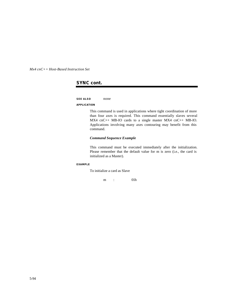## **SYNC cont.**

#### **SEE ALSO** none

**APPLICATION**

This command is used in applications where tight coordination of more than four axes is required. This command essentially slaves several MX4 cnC++ MB-IO cards to a single master MX4 cnC++ MB-IO. Applications involving many axes contouring may benefit from this command.

#### *Command Sequence Example*

This command must be executed immediately after the initialization. Please remember that the default value for m is zero (i.e., the card is initialized as a Master).

#### **EXAMPLE**

To initialize a card as Slave

m : 01h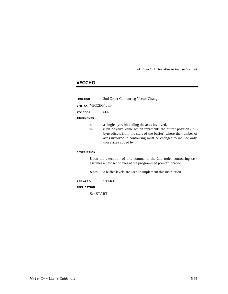## **VECCHG**

| 2nd Order Contouring Vector Change<br><b>FUNCTION</b>                            |                                                                                                                                    |                                                                                                                                                                                                  |  |  |  |
|----------------------------------------------------------------------------------|------------------------------------------------------------------------------------------------------------------------------------|--------------------------------------------------------------------------------------------------------------------------------------------------------------------------------------------------|--|--|--|
|                                                                                  | SYNTAX VECCHG(n, m)                                                                                                                |                                                                                                                                                                                                  |  |  |  |
| RTC CODE                                                                         |                                                                                                                                    | 6Fh                                                                                                                                                                                              |  |  |  |
| <b>ARGUMENTS</b>                                                                 |                                                                                                                                    |                                                                                                                                                                                                  |  |  |  |
| a single byte, bit coding the axes involved.<br>n<br>m<br>those axes coded by n. |                                                                                                                                    | 8 bit positive value which represents the buffer position (in 8<br>byte offsets from the start of the buffer) where the number of<br>axes involved in contouring must be changed to include only |  |  |  |
| <b>DESCRIPTION</b>                                                               |                                                                                                                                    |                                                                                                                                                                                                  |  |  |  |
|                                                                                  | Upon the execution of this command, the 2nd order contouring task<br>assumes a new set of axes at the programmed pointer location. |                                                                                                                                                                                                  |  |  |  |
|                                                                                  | 3 buffer levels are used to implement this instruction.<br>Note:                                                                   |                                                                                                                                                                                                  |  |  |  |
| <b>SEE ALSO</b>                                                                  |                                                                                                                                    | <b>START</b>                                                                                                                                                                                     |  |  |  |
| <b>APPLICATION</b>                                                               |                                                                                                                                    |                                                                                                                                                                                                  |  |  |  |
|                                                                                  | See START.                                                                                                                         |                                                                                                                                                                                                  |  |  |  |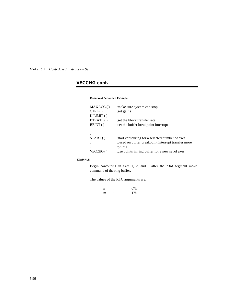## **VECCHG cont.**

#### *Command Sequence Example*

| MAXACC()   | ; make sure system can stop                         |
|------------|-----------------------------------------------------|
| CTRL()     | set gains                                           |
| KILIMIT()  |                                                     |
| BTRATE()   | set the block transfer rate                         |
| BBINT()    | ; set the buffer breakpoint interrupt               |
|            |                                                     |
|            |                                                     |
| START()    | start contouring for a selected number of axes      |
|            | ;based on buffer breakpoint interrupt transfer more |
|            | ; points                                            |
| VECCHG ( ) | use points in ring buffer for a new set of axes     |

#### **EXAMPLE**

Begin contouring in axes 1, 2, and 3 after the 23rd segment move command of the ring buffer.

The values of the RTC arguments are:

| n | 07 <sub>h</sub> |
|---|-----------------|
| m | 17 <sub>h</sub> |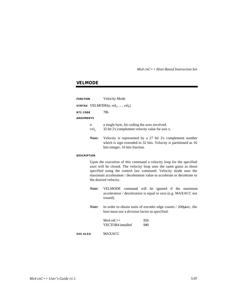#### **VELMODE**

| <b>FUNCTION</b>  |                       | Velocity Mode                                                                                                                                                    |  |  |
|------------------|-----------------------|------------------------------------------------------------------------------------------------------------------------------------------------------------------|--|--|
|                  |                       | SYNTAX VELMODE $(n, vel_1, , vel_4)$                                                                                                                             |  |  |
| <b>RTC CODE</b>  |                       | 70h                                                                                                                                                              |  |  |
| <b>ARGUMENTS</b> |                       |                                                                                                                                                                  |  |  |
|                  | n<br>vel <sub>v</sub> | a single byte, bit coding the axes involved.<br>32 bit 2's complement velocity value for axis x.                                                                 |  |  |
|                  | Note:                 | Velocity is represented by a 27 bit 2's complement number<br>which is sign extended to 32 bits. Velocity is partitioned as 16<br>bits integer, 16 bits fraction. |  |  |

#### **DESCRIPTION**

Upon the execution of this command a velocity loop for the specified axes will be closed. The velocity loop uses the same gains as those specified using the control law command. Velocity mode uses the maximum acceleration / deceleration value to accelerate or decelerate to the desired velocity.

- *Note:* VELMODE command will be ignored if the maximum acceleration / deceleration is equal to zero (e.g. MAXACC not issued).
- *Note:* In order to obtain units of encoder edge counts / 200μsec, the host must use a division factor as specified:

| $Mx4$ cnC++       | 816 |
|-------------------|-----|
| VECTOR4 installed | 840 |

**SEE ALSO** MAXACC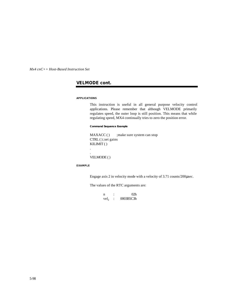#### **VELMODE cont.**

#### **APPLICATIONS**

This instruction is useful in all general purpose velocity control applications. Please remember that although VELMODE primarily regulates speed, the outer loop is still position. This means that while regulating speed, MX4 continually tries to zero the position error.

*Command Sequence Example*

MAXACC ( ) ; make sure system can stop CTRL (); set gains KILIMIT ( ) . . VELMODE ( )

#### **EXAMPLE**

Engage axis 2 in velocity mode with a velocity of 3.71 counts/200μsec.

The values of the RTC arguments are:

n : 02h  $vel<sub>2</sub>$ : : 0003B5C3h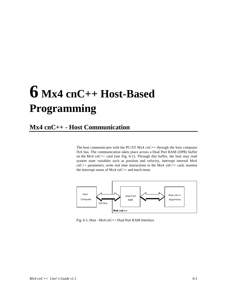## **Mx4 cnC++ - Host Communication**

The host communicates with the PC/AT Mx4 cnC++ through the host computer ISA bus. The communication takes place across a Dual Port RAM (DPR) buffer on the Mx4 cnC++ card (see Fig. 6-1). Through this buffer, the host may read system state variables such as position and velocity, interrupt internal Mx4 cnC++ parameters, write real time instructions to the Mx4 cnC++ card, monitor the interrupt status of Mx4 cnC++ and much more.



Fig. 6-1: Host - Mx4 cnC++ Dual Port RAM Interface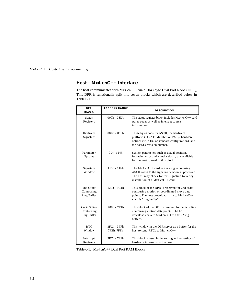## **Host - Mx4 cnC++ Interface**

The host communicates with Mx4 cnC++ via a 2048 byte Dual Port RAM (DPR\_. This DPR is functionally split into seven blocks which are described below in Table 6-1.

| <b>DPR</b><br><b>BLOCK</b>                       | <b>ADDRESS RANGE</b>      | <b>DESCRIPTION</b>                                                                                                                                                                             |  |
|--------------------------------------------------|---------------------------|------------------------------------------------------------------------------------------------------------------------------------------------------------------------------------------------|--|
| <b>Status</b><br>Registers                       | $000h - 08Dh$             | The status register block includes Mx4 cnC++ card<br>status codes as well as interrupt source<br>information.                                                                                  |  |
| Hardware<br>Signature                            | $08Eh - 093h$             | These bytes code, in ASCII, the hardware<br>platform (PC/AT, Multibus or VME), hardware<br>options (with I/O or standard configuration), and<br>the board's revision number.                   |  |
| Parameter<br>Updates                             | 094-114h                  | System parameters such as actual position,<br>following error and actual velocity are available<br>for the host to read in this block.                                                         |  |
| Signature<br>Window                              | $115h - 11Fh$             | The $Mx4$ cnC++ card writes a signature using<br>ASCII codes to the signature window at power-up.<br>The host may check for this signature to verify<br>installation of a $Mx4$ cn $C++$ card. |  |
| 2nd Order<br>Contouring<br><b>Ring Buffer</b>    | $120h - 3C1h$             | This block of the DPR is reserved for 2nd order<br>contouring motion or coordinated move data<br>points. The host downloads data to Mx4 cnC++<br>via this "ring buffer".                       |  |
| Cubic Spline<br>Contouring<br><b>Ring Buffer</b> | 400h - 7F1h               | This block of the DPR is reserved for cubic spline<br>contouring motion data points. The host<br>downloads data to Mx4 cnC++ via this "ring<br>buffer".                                        |  |
| RTC<br>Window                                    | 3FCh - 3FFh<br>7FEh, 7FFh | This window in the DPR serves as a buffer for the<br>host to send RTCs to $Mx4$ cnC++.                                                                                                         |  |
| Interrupt<br>Registers                           | 3FCh - 7FFh               | This block is used in the setting and re-setting of<br>hardware interrupts to the host.                                                                                                        |  |

Table 6-1: Mx4 cnC++ Dual Port RAM Blocks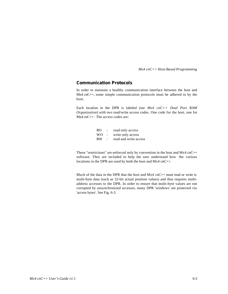#### **Communication Protocols**

In order to maintain a healthy communication interface between the host and Mx4 cnC++, some simple communication protocols must be adhered to by the host.

Each location in the DPR is labeled (see *Mx4 cnC++ Dual Port RAM Organization*) with two read/write access codes. One code for the host, one for Mx4 cnC++. The access codes are:

| RO.            | read only access      |
|----------------|-----------------------|
| W <sub>O</sub> | write only access     |
| <b>RW</b>      | read and write access |

These "restrictions" are enforced only by convention in the host and Mx4 cnC++ software. They are included to help the user understand how the various locations in the DPR are used by both the host and Mx4 cnC++.

Much of the data in the DPR that the host and  $Mx4$  cnC++ must read or write is multi-byte data (such as 32-bit actual position values) and thus requires multiaddress accesses to the DPR. In order to ensure that multi-byte values are not corrupted by unsynchronized accesses, many DPR 'windows' are protected via 'access bytes'. See Fig. 6-3.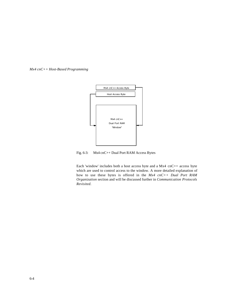



Fig. 6-3: Mx4 cnC++ Dual Port RAM Access Bytes

Each 'window' includes both a host access byte and a Mx4 cnC++ access byte which are used to control access to the window. A more detailed explanation of how to use these bytes is offered in the *Mx4 cnC++ Dual Port RAM Organization* section and will be discussed further in *Communication Protocols Revisited*.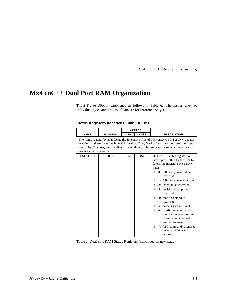# **Mx4 cnC++ Dual Port RAM Organization**

The 2 Kbyte DPR is partitioned as follows in Table 6. (The names given to individual bytes and groups of data are for reference only.)

|                                                                                                                                                                                                                                                                                                                      |                | <b>ACCESS</b> |             |                                                                                                                                                                                                                                                                                                                                                                                                                                                                                                                                       |  |  |
|----------------------------------------------------------------------------------------------------------------------------------------------------------------------------------------------------------------------------------------------------------------------------------------------------------------------|----------------|---------------|-------------|---------------------------------------------------------------------------------------------------------------------------------------------------------------------------------------------------------------------------------------------------------------------------------------------------------------------------------------------------------------------------------------------------------------------------------------------------------------------------------------------------------------------------------------|--|--|
| <b>NAME</b>                                                                                                                                                                                                                                                                                                          | <b>ADDRESS</b> | <b>DSP</b>    | <b>HOST</b> | <b>DESCRIPTION</b>                                                                                                                                                                                                                                                                                                                                                                                                                                                                                                                    |  |  |
| The status register bytes indicate the interrupt status of $Mx4$ cnC++. $Mx4$ cnC++ updates<br>or writes to these locations in an OR fashion. Thus, Mx4 cnC++ does not reset interrupt<br>status bits. The host, after reading or recognizing an interrupt status register must reset<br>bits at its own discretion. |                |               |             |                                                                                                                                                                                                                                                                                                                                                                                                                                                                                                                                       |  |  |
| DSPSTAT1                                                                                                                                                                                                                                                                                                             | 000h           | RW            | RW          | $Mx4$ cnC++ status register for<br>interrupts. Polled by the host to<br>determine internal $Mx4$ cn $C++$<br>status.<br>bit 0: following error halt and<br>interrupt<br>bit 1: following error interrupt<br>bit 2: index pulse interrupt<br>bit 3: position breakpoint<br>interrupt<br>bit 4: motion complete<br>interrupt<br>bit 5: probe signal interrupt<br>bit 6: conflicting commands<br>(ignore the new motion-<br>related command and<br>send an interrupt)<br>bit 7: RTC command is ignored<br>because STOP is in<br>progress |  |  |

#### **Status Registers (locations 000h - 08Dh)**

Table 6: Dual Port RAM Status Registers (continued on next page)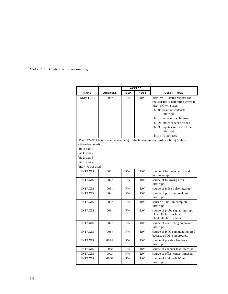|                    |                  | <b>ACCESS</b> |             |                                                                                      |
|--------------------|------------------|---------------|-------------|--------------------------------------------------------------------------------------|
| <b>NAME</b>        | <b>ADDRESS</b>   | <b>DSP</b>    | <b>HOST</b> | <b>DESCRIPTION</b>                                                                   |
| DSPSTAT2           | 009h             | <b>RW</b>     | <b>RW</b>   | Mx4 cnC++ status register for<br>register for to determine internal                  |
|                    |                  |               |             | $Mx4$ cnC++. status.                                                                 |
|                    |                  |               |             | bit 0: positive feedback                                                             |
|                    |                  |               |             | interrupt                                                                            |
|                    |                  |               |             | bit 1: encoder lost interrupt                                                        |
|                    |                  |               |             | bit 2: offset cancel finished                                                        |
|                    |                  |               |             | bit 3: inputs (limit switch/fault)<br>interrupt                                      |
|                    |                  |               |             | bits 4-7: not used                                                                   |
|                    |                  |               |             | The INTAXIS bytes code the source(s) of the interrupt(s) by setting a bit(s) (unless |
| otherwise noted):  |                  |               |             |                                                                                      |
| bit 0: axis 1      |                  |               |             |                                                                                      |
| bit $1: axis 2$    |                  |               |             |                                                                                      |
| bit $2: axis 3$    |                  |               |             |                                                                                      |
| bit $3: axis 4$    |                  |               |             |                                                                                      |
| bits 4-7: not used |                  |               |             |                                                                                      |
| <b>INTAXIS</b>     | 001h             | RW            | RW          | source of following error and                                                        |
|                    |                  |               |             | halt interrupt                                                                       |
| <b>INTAXIS</b>     | 002h             | <b>RW</b>     | <b>RW</b>   | source of following error<br>interrupt                                               |
| <b>INTAXIS</b>     | 003h             | <b>RW</b>     | <b>RW</b>   | source of index pulse interrupt                                                      |
| <b>INTAXIS</b>     | 004h             | <b>RW</b>     | <b>RW</b>   | source of position breakpoint<br>interrupt                                           |
| <b>INTAXIS</b>     | 005h             | <b>RW</b>     | RW          | source of motion complete                                                            |
|                    |                  |               |             | interrupt                                                                            |
| <b>INTAXIS</b>     | 006h             | RW            | RW          | source of probe signal interrupt                                                     |
|                    |                  |               |             | low nibble : echo m                                                                  |
|                    |                  |               |             | high nibble : echo n                                                                 |
| <b>INTAXIS</b>     | 007h             | <b>RW</b>     | <b>RW</b>   | source of conflicting commands<br>interrupt                                          |
| <b>INTAXIS</b>     | 008h             | <b>RW</b>     | <b>RW</b>   | source of RTC command ignored<br>because STOP is in progress                         |
| <b>INTAXIS</b>     | 00Ah             | <b>RW</b>     | RW          | source of positive feedback                                                          |
|                    |                  |               |             | interrupt                                                                            |
| <b>INTAXIS</b>     | 00Bh             | RW            | RW          | source of encoder loss interrupt                                                     |
| <b>INTAXIS</b>     | 00C <sub>h</sub> | <b>RW</b>     | <b>RW</b>   | source of offset cancel finished                                                     |
| <b>INTAXIS</b>     | 00D <sub>h</sub> | RW            | RW          | source of limit switch/fault                                                         |
|                    |                  |               |             | interrupt                                                                            |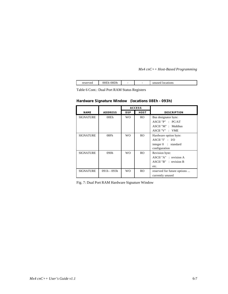|  | $\sim$ 11 | $\sim$ | ations<br>. |
|--|-----------|--------|-------------|
|  |           |        |             |

Table 6 Cont.: Dual Port RAM Status Registers

|                  |                  | <b>ACCESS</b> |                |                                   |
|------------------|------------------|---------------|----------------|-----------------------------------|
| <b>NAME</b>      | <b>ADDRESS</b>   | <b>DSP</b>    | <b>HOST</b>    | <b>DESCRIPTION</b>                |
| <b>SIGNATURE</b> | 08E <sub>h</sub> | <b>WO</b>     | RO.            | Bus designator byte:              |
|                  |                  |               |                | ASCII "P" : PC/AT                 |
|                  |                  |               |                | ASCII "M": Multibus               |
|                  |                  |               |                | ASCII "V" : VME                   |
| <b>SIGNATURE</b> | 08Fh             | <b>WO</b>     | R <sub>O</sub> | Hardware option byte:             |
|                  |                  |               |                | ASCII "I" $\div$ I/O              |
|                  |                  |               |                | integer 0 : standard              |
|                  |                  |               |                | configuration                     |
| <b>SIGNATURE</b> | 090h             | <b>WO</b>     | RO.            | Revision byte:                    |
|                  |                  |               |                | $\triangle$ SCII "A" : revision A |
|                  |                  |               |                | ASCH "B" : revision B             |
|                  |                  |               |                | etc.                              |
| <b>SIGNATURE</b> | $091h - 093h$    | <b>WO</b>     | R <sub>O</sub> | reserved for future options       |
|                  |                  |               |                | currently unused                  |

## **Hardware Signature Window (locations 08Eh - 093h)**

Fig. 7: Dual Port RAM Hardware Signature Window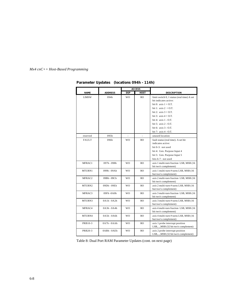

|             |                | <b>ACCESS</b> |           |                                                                  |
|-------------|----------------|---------------|-----------|------------------------------------------------------------------|
| <b>NAME</b> | <b>ADDRESS</b> | <b>DSP</b>    | HOST      | DESCRIPTION                                                      |
| LIMSW       | 094h           | <b>WO</b>     | RO.       | limit switch 0, 1 status (real time) A set                       |
|             |                |               |           | bit indicates active:                                            |
|             |                |               |           | bit 0: $axis 1 + O.T$ .                                          |
|             |                |               |           | bit 1: $axis 2 + O.T.$                                           |
|             |                |               |           | bit 2: $axis 3 + O.T.$                                           |
|             |                |               |           | bit 3: $axis 4 + O.T.$                                           |
|             |                |               |           | bit 4: $axis 1 - O.T$ .                                          |
|             |                |               |           | bit 5: axis 2 - O.T.                                             |
|             |                |               |           | bit 6: $axis 3 - O.T$ .                                          |
|             |                |               |           | bit 7: axis 4 - O.T.                                             |
| reserved    | 095h           |               |           | unused location                                                  |
| FAULT       | 096h           | WO            | <b>RO</b> | fault status (real time). A set bit                              |
|             |                |               |           | indicates active:                                                |
|             |                |               |           | bit 0-3: not used                                                |
|             |                |               |           | bit 4: Gen. Purpose Input 4                                      |
|             |                |               |           | bit 5: Gen. Purpose Input 5                                      |
|             |                |               |           | bits 6-7: not used                                               |
| MFRAC1      | 097h - 098h    | WO            | RO.       | axis 1 multi-turn fraction LSB, MSB (16                          |
|             |                |               |           | bit two's complement)                                            |
| MTURN1      | 099h - 09Ah    | WO            | <b>RO</b> | axis 1 multi-turn # turns LSB, MSB (16                           |
|             |                |               |           | but two's complement)                                            |
| MFRAC2      | 09Bh - 09Ch    | WO            | RO.       | axis 2 multi-turn fraction LSB, MSB (16)                         |
|             |                |               |           | bit two's complement)                                            |
| MTURN2      | 09Dh - 09Eh    | WΟ            | RO.       | axis 2 multi-turn # turns LSB, MSB (16)                          |
|             |                |               |           | but two's complement)                                            |
| MFRAC3      | 09Fh-0A0h      | WO            | <b>RO</b> | axis 3 multi-turn fraction LSB, MSB (16<br>bit two's complement) |
| MTURN3      | $0A1h - 0A2h$  | <b>WO</b>     | RO.       | axis 3 multi-turn # turns LSB, MSB (16                           |
|             |                |               |           | but two's complement)                                            |
| MFRAC4      | 0A3h - 0A4h    | WO            | RO.       | axis 4 multi-turn fraction LSB, MSB (16)                         |
|             |                |               |           | bit two's complement)                                            |
| MTURN4      | 0A5h - 0A6h    | WO            | RO.       | axis 4 multi-turn # turns LSB, MSB (16                           |
|             |                |               |           | but two's complement)                                            |
| PRB10-3     | $0A7h - 0AAh$  | WO            | RO.       | axis 1 probe interrupt position                                  |
|             |                |               |           | LSB,, MSB (32 bit two's complement)                              |
| PRB20-3     | 0ABh - 0AEh    | WO            | <b>RO</b> | axis 2 probe interrupt position                                  |
|             |                |               |           | LSB,, MSB (32 bit two's complement)                              |

**Parameter Updates (locations 094h - 114h)**

Table 8: Dual Port RAM Parameter Updates (cont. on next page)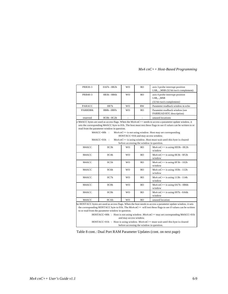| PRB30-3        | $0$ AFh - $0$ B2h | <b>WO</b> | <sub>RO</sub> | axis 3 probe interrupt position<br>LSB,, MSB (32 bit two's complement)        |
|----------------|-------------------|-----------|---------------|-------------------------------------------------------------------------------|
| PRB40-3        | $0B3h - 0B6h$     | WO        | <b>RO</b>     | axis 4 probe interrupt position<br>$LSB$ , $MSB$<br>(32 bit two's complement) |
| PARACC         | 0B7h              | <b>WO</b> | <b>RW</b>     | Parameter readback window m echo                                              |
| <b>PARRDBK</b> | $0B8h - 0BFh$     | <b>WO</b> | <b>RO</b>     | Parameter readback window (see<br>PARREAD RTC description)                    |
| reserved       | $OC0h - OC2h$     |           |               | unused locations                                                              |

e M4ACC bytes are used as access flags. When the Mx4 cnC++ needs to access a parameter update window, it sets the corresponding M4ACC byte to 01h. The host must test these flags to see if values can be written to or read from the parameter window in question.

| M4ACC=00h : | $Mx4cnC++$ is not using window. Host may set corresponding |
|-------------|------------------------------------------------------------|
|             | HOSTACC=01h and may access window.                         |

| $MAACC=01h$ :<br>$Mx4cnC++$ is using window. Host must wait until this byte is cleared<br>before accessing the window in question.                                                                                                                                               |         |           |                |                                              |  |
|----------------------------------------------------------------------------------------------------------------------------------------------------------------------------------------------------------------------------------------------------------------------------------|---------|-----------|----------------|----------------------------------------------|--|
| M4ACC                                                                                                                                                                                                                                                                            | 0C3h    | <b>WO</b> | RO.            | $Mx4 cnC++$ is using $0D3h - 0E2h$<br>window |  |
| M4ACC                                                                                                                                                                                                                                                                            | $0C_4h$ | <b>WO</b> | RO.            | $Mx4 cnC++$ is using $0E3h - 0F2h$<br>window |  |
| M4ACC                                                                                                                                                                                                                                                                            | 0C5h    | <b>WO</b> | RO.            | $Mx4 cnC++$ is using $0F3h - 102h$<br>window |  |
| M4ACC                                                                                                                                                                                                                                                                            | 0C6h    | <b>WO</b> | R <sub>O</sub> | $Mx4 cnC++$ is using 103h - 112h<br>window   |  |
| M4ACC                                                                                                                                                                                                                                                                            | 0C7h    | <b>WO</b> | RO.            | $Mx4 cnC++$ is using $113h - 114h$<br>window |  |
| M4ACC                                                                                                                                                                                                                                                                            | 0C8h    | <b>WO</b> | RO.            | $Mx4 cnC++$ is using $0A7h - 0B6h$<br>window |  |
| M4ACC                                                                                                                                                                                                                                                                            | 0C9h    | <b>WO</b> | RO.            | $Mx4 cnC++$ is using 097h - 0A6h<br>window   |  |
| M4ACC                                                                                                                                                                                                                                                                            | 0CAh    | <b>WO</b> | RO.            | unused location                              |  |
| he HOSTACC bytes are used as access flags. When the host needs to access a parameter update window, it sets<br>the corresponding HOSTACC byte to 01h. The $Mx4$ cnC++ will test these flags to see if values can be written<br>to or read from the parameter window in question. |         |           |                |                                              |  |
| HOSTACC=00h : Host is not using window. $Mx4$ cnC++ may set corresponding M4ACC=01h                                                                                                                                                                                              |         |           |                |                                              |  |

Table 8 cont.: Dual Port RAM Parameter Updates (cont. on next page)

and may access window.

HOSTACC=01h : Host is using window. Mx4 cnC++ must wait until this byte is cleared before accessing the window in question.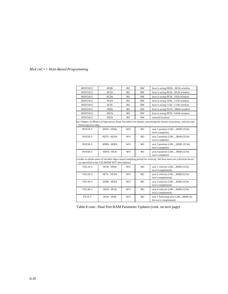| HOSTACC               | 0CBh                                           | <b>RO</b>      | <b>RW</b> | host is using 0D3h - 0E2h window                                                                                  |
|-----------------------|------------------------------------------------|----------------|-----------|-------------------------------------------------------------------------------------------------------------------|
| <b>HOSTACC</b>        | 0 <sub>CC</sub> h                              | <b>RO</b>      | RW.       | host is using 0E3h - 0F2h window                                                                                  |
| <b>HOSTACC</b>        | 0CDh                                           | R <sub>O</sub> | <b>RW</b> | host is using 0F3h - 102h window                                                                                  |
| <b>HOSTACC</b>        | 0CEh                                           | <b>RO</b>      | <b>RW</b> | host is using 103h - 112h window                                                                                  |
| HOSTACC               | 0CFh                                           | <b>RO</b>      | <b>RW</b> | host is using 113h - 114h window                                                                                  |
| HOSTACC               | 0D <sub>0</sub> h                              | <b>RO</b>      | <b>RW</b> | host is using 0A7h - 0B6h window                                                                                  |
| <b>HOSTACC</b>        | 0D1h                                           | <b>RO</b>      | <b>RW</b> | host is using 097h - 0A6h window                                                                                  |
| HOSTACC               | 0D2h                                           | <b>RO</b>      | <b>RW</b> | unused location                                                                                                   |
| following error data. |                                                |                |           | See Chapter 4's Modes of Operation, State Variables for details concerning the format of position, velocity and   |
| POS10-3               | $0D3h - 0D6h$                                  | <b>WO</b>      | RO.       | axis 1 position LSB,, MSB (32 bit)<br>two's complete)                                                             |
| POS <sub>20</sub> -3  | $0D7h - 0DAh$                                  | <b>WO</b>      | <b>RO</b> | axis 2 position LSB,, MSB (32 bit<br>two's complete)                                                              |
| POS30-3               | 0DBh - 0DEh                                    | <b>WO</b>      | <b>RO</b> | axis 3 position LSB,, MSB (32 bit)<br>two's complete)                                                             |
| POS <sub>40</sub> -3  | $0$ D $Fh - 0E2h$                              | <b>WO</b>      | <b>RO</b> | axis 4 position LSB,, MSB (32 bit<br>two's complete)                                                              |
|                       | (as specified in the VELMODE RTC description). |                |           | In order to obtain units of encoder edge counts/sampling period for velocity, the host must use a division factor |
| <b>VEL10-3</b>        | 0E3h - 0E6h                                    | <b>WO</b>      | RO.       | axis 1 velocity LSB,, MSB (32 bit)<br>two's complement)                                                           |
| <b>VEL20-3</b>        | $0E7h - 0EAh$                                  | <b>WO</b>      | <b>RO</b> | axis 2 velocity LSB,, MSB (32 bit<br>two's complement)                                                            |
| <b>VEL30-3</b>        | 0EBh - 0EEh                                    | <b>WO</b>      | <b>RO</b> | axis 3 velocity LSB,, MSB (32 bit<br>two's complement)                                                            |
| <b>VEL40-3</b>        | 0EFh - 0F2h                                    | <b>WO</b>      | <b>RO</b> | axis 4 velocity LSB,, MSB (32 bit<br>two's complement)                                                            |
| FE10-3                | 0F3h - 0F6h                                    | <b>WO</b>      | <b>RO</b> | axis 1 following error LSB,MSB (32<br>bit two's complement)                                                       |

Table 8 cont.: Dual Port RAM Parameter Updates (cont. on next page)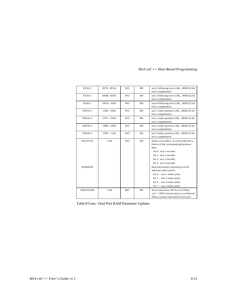| FE20-3          | 0F7h - 0FAh   | <b>WO</b> | <b>RO</b>      | axis 2 following error LSB,MSB (32 bit<br>two's complement)                                 |
|-----------------|---------------|-----------|----------------|---------------------------------------------------------------------------------------------|
| FE30-3          | 0FBh - 0FEh   | <b>WO</b> | R <sub>O</sub> | axis 3 following error LSB,MSB (32 bit)<br>two's complement)                                |
| FE40-3          | 0FFh - 102h   | WO        | RO             | axis 4 following error LSB,MSB (32 bit<br>two's complement)                                 |
| $IND10-3$       | $103h - 106h$ | <b>WO</b> | <b>RO</b>      | axis 1 index position LSB,MSB (32 bit<br>two's complement)                                  |
| $IND20-3$       | 107h - 10Ah   | <b>WO</b> | RO             | axis 2 index position LSB,MSB (32 bit<br>two's complement)                                  |
| <b>IND30-3</b>  | 10Bh - 10Eh   | <b>WO</b> | <b>RO</b>      | axis 3 index position LSB,MSB (32 bit<br>two's complement)                                  |
| $IND40-3$       | 10Fh - 112h   | <b>WO</b> | RO             | axis 4 index position LSB,MSB (32 bit<br>two's complement)                                  |
| <b>ENCSTAT</b>  | 113h          | <b>WO</b> | RO             | Status of encoders. A set bit indicates a<br>failure of the corresponding hardware<br>item: |
|                 |               |           |                | bit 0: axis 1 encoder                                                                       |
|                 |               |           |                | bit 1: axis 2 encoder                                                                       |
|                 |               |           |                | bit 2: axis 3 encoder                                                                       |
|                 |               |           |                | bit 3: axis 4 encoder                                                                       |
| <b>MARKER</b>   |               |           |                | Real time marker reporting (a set bit<br>indicates index pulse)                             |
|                 |               |           |                | bit 4 : axis 1 index pulse                                                                  |
|                 |               |           |                | bit $5: axis 2 index pulse$                                                                 |
|                 |               |           |                | bit $6: axis 3 index pulse$                                                                 |
|                 |               |           |                | bit $7: axis 4 index pulse$                                                                 |
| <b>SERVOCHK</b> | 114h          | RW        | RO             | Servo check byte. Bit 0 is set if Mx4                                                       |
|                 |               |           |                | $cnC++$ DSP internal stack is overflowed.                                                   |
|                 |               |           |                | Then a system reset may be necessary.                                                       |

Table 8 Cont.: Dual Port RAM Parameter Updates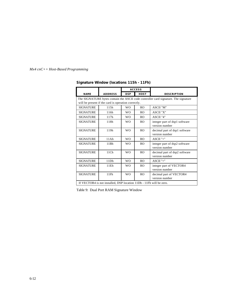|                                                                     |                                                                                     | <b>ACCESS</b>  |                |                               |  |  |  |
|---------------------------------------------------------------------|-------------------------------------------------------------------------------------|----------------|----------------|-------------------------------|--|--|--|
| <b>NAME</b>                                                         | <b>ADDRESS</b>                                                                      | <b>DSP</b>     | <b>HOST</b>    | <b>DESCRIPTION</b>            |  |  |  |
|                                                                     | The SIGNATURE bytes contain the ASCII code controller card signature. The signature |                |                |                               |  |  |  |
| will be present if the card is operation correctly.                 |                                                                                     |                |                |                               |  |  |  |
| <b>SIGNATURE</b>                                                    | 115h                                                                                | <b>WO</b>      | R <sub>O</sub> | <b>ASCII "M"</b>              |  |  |  |
| <b>SIGNATURE</b>                                                    | 116h                                                                                | <b>WO</b>      | RO.            | <b>ASCII "X"</b>              |  |  |  |
| <b>SIGNATURE</b>                                                    | 117h                                                                                | <b>WO</b>      | R <sub>O</sub> | ASCII "4"                     |  |  |  |
| <b>SIGNATURE</b>                                                    | 118h                                                                                | <b>WO</b>      | RO.            | integer part of dsp1 software |  |  |  |
|                                                                     |                                                                                     |                |                | version number                |  |  |  |
| <b>SIGNATURE</b>                                                    | 119h                                                                                | <b>WO</b>      | R <sub>O</sub> | decimal part of dsp1 software |  |  |  |
|                                                                     |                                                                                     |                |                | version number                |  |  |  |
| <b>SIGNATURE</b>                                                    | 11Ah                                                                                | <b>WO</b>      | R <sub>O</sub> | $ASCII "+"$                   |  |  |  |
| <b>SIGNATURE</b>                                                    | 11Bh                                                                                | W <sub>O</sub> | R <sub>O</sub> | integer part of dsp2 software |  |  |  |
|                                                                     |                                                                                     |                |                | version number                |  |  |  |
| <b>SIGNATURE</b>                                                    | 11 <sub>Ch</sub>                                                                    | <b>WO</b>      | <b>RO</b>      | decimal part of dsp2 software |  |  |  |
|                                                                     |                                                                                     |                |                | version number                |  |  |  |
| <b>SIGNATURE</b>                                                    | 11D <sub>h</sub>                                                                    | <b>WO</b>      | R <sub>O</sub> | $ASCII "+"$                   |  |  |  |
| <b>SIGNATURE</b>                                                    | 11Eh                                                                                | <b>WO</b>      | R <sub>O</sub> | integer part of VECTOR4       |  |  |  |
|                                                                     |                                                                                     |                |                | version number                |  |  |  |
| <b>SIGNATURE</b>                                                    | 11Fh                                                                                | <b>WO</b>      | R <sub>O</sub> | decimal part of VECTOR4       |  |  |  |
|                                                                     |                                                                                     |                |                | version number                |  |  |  |
| If VECTOR4 is not installed, DSP location 11Dh - 11Fh will be zero. |                                                                                     |                |                |                               |  |  |  |

**Signature Window (locations 115h - 11Fh)**

Table 9: Dual Port RAM Signature Window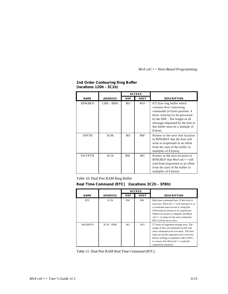|                |                   |                | <b>ACCESS</b>  |                                                                                                                                                                                                                                                  |
|----------------|-------------------|----------------|----------------|--------------------------------------------------------------------------------------------------------------------------------------------------------------------------------------------------------------------------------------------------|
| <b>NAME</b>    | <b>ADDRESS</b>    | <b>DSP</b>     | <b>HOST</b>    | <b>DESCRIPTION</b>                                                                                                                                                                                                                               |
| <b>RINGBUF</b> | 120h - 3BFh       | R <sub>O</sub> | W <sub>O</sub> | 672 byte ring buffer which<br>contains host contouring<br>commands (4 bytes position, 4<br>bytes velocity) to be processed<br>by the DSP The length of all<br>messages deposited by the host in<br>this buffer must be a multiple of<br>8 bytes. |
| <b>INPTR</b>   | 3C <sub>0</sub> h | RO.            | RW             | Pointer to the next free location<br>in RINGBUF that the host will<br>write to (expressed as an offset<br>from the start of the buffer in<br>multiples of 8 bytes).                                                                              |
| <b>OUTPTR</b>  | 3C1h              | RW             | RO.            | Pointer to the next location in<br>RINGBUF that $Mx4$ cn $C_{++}$ will<br>read from (expressed as an offset<br>from the start of the buffer in<br>multiples of 8 bytes).                                                                         |

### **2nd Order Contouring Ring Buffer (locations 120h - 3C1h)**

Table 10: Dual Port RAM Ring Buffer

### **Real Time Command (RTC) (locations 3C2h - 3FBh)**

|                |                |            | <b>ACCESS</b> |                                                                                                                                                                                                                                                                                      |
|----------------|----------------|------------|---------------|--------------------------------------------------------------------------------------------------------------------------------------------------------------------------------------------------------------------------------------------------------------------------------------|
| <b>NAME</b>    | <b>ADDRESS</b> | <b>DSP</b> | <b>HOST</b>   | <b>DESCRIPTION</b>                                                                                                                                                                                                                                                                   |
| RTC.           | 3C2h           | <b>RW</b>  | <b>RW</b>     | Real time command byte. If this byte is<br>non-zero, $Mx4$ cnC++ will interpret it as<br>a command and execute it, using the<br>following locations as its arguments.<br>When execution is complete and Mx4<br>$cnC++$ is ready for the next command,<br>RTC will be set to zero.    |
| <b>ARGMNTS</b> | $3C3h - 3FBh$  | RO.        | <b>WO</b>     | 57 bytes of argument storage area. The<br>usage of this area depends on the real<br>time command to be executed. The host<br>must set up the argument area correctly<br>before writing a command code to RTC,<br>to ensure that $Mx4 \text{ cnC++ reads the}$<br>arguments properly. |

Table 11: Dual Port RAM Real Time Command (RTC)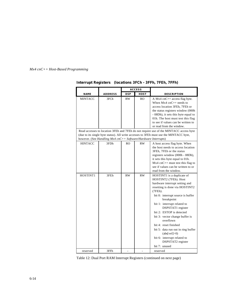

|                |                                                                |                | <b>ACCESS</b> |                                                                                                                                                                                                                                                                                               |
|----------------|----------------------------------------------------------------|----------------|---------------|-----------------------------------------------------------------------------------------------------------------------------------------------------------------------------------------------------------------------------------------------------------------------------------------------|
| <b>NAME</b>    | <b>ADDRESS</b>                                                 | <b>DSP</b>     | <b>HOST</b>   | <b>DESCRIPTION</b>                                                                                                                                                                                                                                                                            |
| <b>MINTACC</b> | 3FCh                                                           | <b>RW</b>      | RO.           | A Mx4 cnC $++$ access flag byte.<br>When $Mx4$ cnC++ needs to<br>access location 3FEh, 7FEh or<br>the status registers window (000h<br>- 08Dh), it sets this byte equal to<br>01h. The host must test this flag<br>to see if values can be written to<br>or read from the window.             |
|                |                                                                |                |               | Read accesses to location 3FEh and 7FEh do not require use of the MINTACC access byte                                                                                                                                                                                                         |
|                |                                                                |                |               | (due to its single byte status). All write accesses to 3FEh must use the MINTACC byte,                                                                                                                                                                                                        |
|                | however. (See Handling Mx4 cnC++ Software/Hardware Interrupts) |                |               |                                                                                                                                                                                                                                                                                               |
| <b>HINTACC</b> | 3FDh                                                           | R <sub>O</sub> | <b>RW</b>     | A host access flag byte. When<br>the host needs to access location<br>3FEh, 7FEh or the status<br>registers window (000h - 08Dh),<br>it sets this byte equal to 01h.<br>$Mx4$ cnC++ must test this flag to<br>see if values can be written to or<br>read from the window.                     |
| HOSTINT1       | 3FEh                                                           | <b>RW</b>      | RW            | HOSTINT1 is a duplicate of<br>HOSTINT2 (7FEh). Host<br>hardware interrupt setting and<br>resetting is done via HOSTINT2<br>(7FEh).<br>bit 0: interrupt source is buffer                                                                                                                       |
|                |                                                                |                |               | breakpoint<br>bit 1: interrupt related to<br>DSPSTAT1 register<br>bit 2: ESTOP is detected<br>bit 3: vector change buffer is<br>overflown<br>bit 4: reset finished<br>bit 5: data run out in ring buffer<br>(abs[vel]>0)<br>bit 6: interrupt related to<br>DSPSTAT2 register<br>bit 7: unused |
| reserved       | 3FFh                                                           |                |               | reserved                                                                                                                                                                                                                                                                                      |

**Interrupt Registers (locations 3FCh - 3FFh, 7FEh, 7FFh)**

Table 12: Dual Port RAM Interrupt Registers (continued on next page)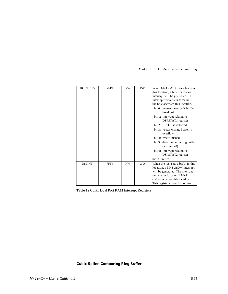| HOSTINT2      | 7FEh | <b>RW</b> | <b>RW</b> | When $Mx4$ cnC++ sets a bit(s) in                |
|---------------|------|-----------|-----------|--------------------------------------------------|
|               |      |           |           | this location, a host 'hardware'                 |
|               |      |           |           | interrupt will be generated. The                 |
|               |      |           |           | interrupt remains in force until                 |
|               |      |           |           | the host accesses this location.                 |
|               |      |           |           | bit 0: interrupt source is buffer<br>breakpoint  |
|               |      |           |           | bit 1: interrupt related to<br>DSPSTAT1 register |
|               |      |           |           | bit 2: ESTOP is detected                         |
|               |      |           |           | bit 3: vector change buffer is                   |
|               |      |           |           | overflown                                        |
|               |      |           |           | bit 4: reset finished                            |
|               |      |           |           | bit 5: data run out in ring buffer               |
|               |      |           |           | (abs[vel]>0)                                     |
|               |      |           |           | bit 6: interrupt related to                      |
|               |      |           |           | DSPSTAT2 register                                |
|               |      |           |           | bit 7: unused                                    |
| <b>DSPINT</b> | 7FFh | <b>RW</b> | <b>WO</b> | When the lost sets a bit(s) in this              |
|               |      |           |           | location, a $Mx4$ cnC++ interrupt                |
|               |      |           |           | will be generated. The interrupt                 |
|               |      |           |           | remains in force until Mx4                       |
|               |      |           |           | $cnC++$ accesses this location.                  |
|               |      |           |           | This register currently not used.                |

Table 12 Cont.: Dual Port RAM Interrupt Registers

**Cubic Spline Contouring Ring Buffer**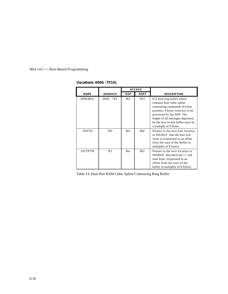|                |                |            | <b>ACCESS</b>  |                                                                                                                                                                                                                                                                |
|----------------|----------------|------------|----------------|----------------------------------------------------------------------------------------------------------------------------------------------------------------------------------------------------------------------------------------------------------------|
| <b>NAME</b>    | <b>ADDRESS</b> | <b>DSP</b> | <b>HOST</b>    | <b>DESCRIPTION</b>                                                                                                                                                                                                                                             |
| <b>RINGBUF</b> | 400h - 7EF     | RO.        | W <sub>O</sub> | 672 byte ring buffer which<br>contains host cubic spline<br>contouring commands (4 bytes<br>position, 4 bytes velocity) to be<br>processed by the DSP. The<br>length of all messages deposited<br>by the host in this buffer must be<br>a multiple of 8 bytes. |
| <b>INPTR</b>   | <b>7F0</b>     | <b>RO</b>  | RW             | Pointer to the next free location<br>in INGBUF that the host will<br>write to (expressed as an offset<br>from the start of the buffer in<br>multiples of 8 bytes).                                                                                             |
| <b>OUTPTR</b>  | 7F1            | $R_{W}$    | RO.            | Pointer to the next location in<br>INGBUF that $Mx4$ cnC $++$ will<br>read from (expressed as an<br>offset from the start of the<br>buffer in multiples of 8 bytes).                                                                                           |

**(locations 400h -7F1h)**

Table 13: Dual Port RAM Cubic Spline Contouring Ring Buffer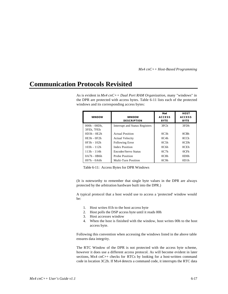## **Communication Protocols Revisited**

As is evident in *Mx4 cnC++ Dual Port RAM Organization*, many "windows" in the DPR are protected with access bytes. Table 6-11 lists each of the protected windows and its corresponding access bytes:

| <b>WINDOW</b>                 | <b>WINDOW</b><br><b>DESCRIPTION</b> | Mx4<br><b>ACCESS</b><br><b>BYTE</b> | <b>HOST</b><br><b>ACCESS</b><br><b>BYTE</b> |
|-------------------------------|-------------------------------------|-------------------------------------|---------------------------------------------|
| $000h - 08Dh$ .<br>3FEh. 7FEh | Interrupt and Status Registers      | 3FCh                                | 3FD <sub>h</sub>                            |
| $0D3h - 0E2h$                 | <b>Actual Position</b>              | 0C3h                                | $0$ CBh                                     |
| $0E3h - 0F2h$                 | <b>Actual Velocity</b>              | $0C_4h$                             | 0CC <sub>h</sub>                            |
| $0F3h - 102h$                 | <b>Following Error</b>              | 0C <sub>5h</sub>                    | 0CDh                                        |
| $103h - 112h$                 | <b>Index Position</b>               | 0C <sub>6h</sub>                    | $0$ CEh                                     |
| $113h - 114h$                 | Encoder/Servo Status                | 0C7h                                | $0$ CFh                                     |
| $0A7h - 0B6h$                 | Probe Position                      | 0C8h                                | OD <sub>0</sub> h                           |
| $097h - 0A6h$                 | Multi-Turn Position                 | 0C9h                                | 0D1h                                        |

Table 6-11: Access Bytes for DPR Windows

(It is noteworthy to remember that single byte values in the DPR are always protected by the arbitration hardware built into the DPR.)

A typical protocol that a host would use to access a 'protected' window would be:

- 1. Host writes 01h to the host access byte
- 2. Host polls the DSP access byte until it reads 00h
- 3. Host accesses window
- 4. When the host is finished with the window, host writes 00h to the host access byte.

Following this convention when accessing the windows listed in the above table ensures data integrity.

The RTC Window of the DPR is not protected with the access byte scheme, however it does use a different access protocol. As will become evident in later sections, Mx4 cnC++ checks for RTCs by looking for a host-written command code in location 3C2h. If Mx4 detects a command code, it interrupts the RTC data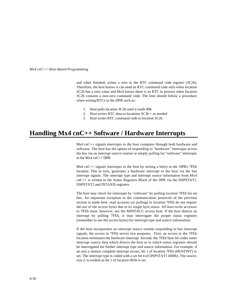and when finished, writes a zero to the RTC command code register (3C2h). Therefore, the host knows it can send an RTC command code only when location 3C2h has a zero value and Mx4 knows there is an RTC to process when location 3C2h contains a non-zero command code. The host should follow a procedure when writing RTCs to the DPR such as:

- 1. Host polls location 3C2h until it reads 00h
- 2. Host writes RTC data to locations 3C3h + as needed
- 3. Host writes RTC command code to location 3C2h

## **Handling Mx4 cnC++ Software / Hardware Interrupts**

Mx4 cnC++ signals interrupts to the host computer through both hardware and software. The host has the option of responding to "hardware" interrupts across the bus via an interrupt source routine or simply polling for "software" interrupts in the Mx4 cnC++ DPR.

Mx4 cnC $++$  signals interrupts to the host by setting a bit(s) in the DPR's 7FEh location. This in turn, generates a hardware interrupt to the host via the bus interrupt signals. The interrupt type and interrupt source information from Mx4 cnC++ is written to the Status Registers Block of the DPR via the DSPSTAT1, DSPSTAT2 and INTAXIS registers.

The host may check for interrupts by "software" by polling location 7FEh for set bits. An important exception to the communication protocols of the previous section is made here: read accesses (or polling) to location 7FEh do not require the use of the access bytes due to its single byte status. All host-write accesses to 7FEh must, however, use the MINTACC access byte. If the host detects an interrupt by polling 7FEh, it may interrogate the proper status registers (remember to use the access bytes) for interrupt type and source information.

If the host incorporates an interrupt source routine responding to bus interrupt signals, the access to 7FEh serves two purposes. First, an access to the 7FEh location terminates the hardware interrupt. Second, the 7FEh byte bit codes some interrupt source data which directs the host as to which status registers should be interrogated for further interrupt type and source information. For example, if an axis z motion complete interrupt occurs, bit 1 of location 7FEh (HOSTINT) is set. The interrupt type is coded with a set bit 4 of DSPSTAT1 (000h). The source, axis 2, is evident as bit 1 of location 005h is set.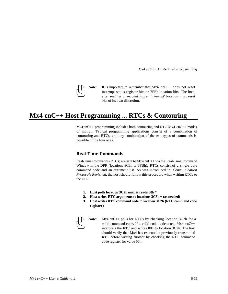

*Note*: It is important to remember that Mx4 cnC++ does not reset interrupt status register bits or 7FEh location bits. The host, after reading or recognizing an 'interrupt' location must reset bits of its own discretion.

# **Mx4 cnC++ Host Programming ... RTCs & Contouring**

Mx4 cnC++ programming includes both contouring and RTC Mx4 cnC++ modes of motion. Typical programming applications consist of a combination of contouring and RTCs, and any combination of the two types of commands is possible of the four axes.

### **Real-Time Commands**

Real-Time Commands (RTCs) are sent to Mx4 cnC++ via the Real-Time Command Window in the DPR (locations 3C3h to 3FBh). RTCs consist of a single byte command code and an argument list. As was introduced in *Communication Protocols Revisited*, the host should follow this procedure when writing RTCs to the DPR:

- **1. Host polls location 3C2h until it reads 00h \***
- **2. Host writes RTC arguments to locations 3C3h + (as needed)**
- **3. Host writes RTC command code to location 3C2h (RTC command code register)**



*Note*: Mx4 cnC++ polls for RTCs by checking location 3C2h for a valid command code. If a valid code is detected, Mx4 cnC++ interprets the RTC and writes 00h to location 3C2h. The host should verify that Mx4 has executed a previously transmitted RTC before writing another by checking the RTC command code register for value 00h.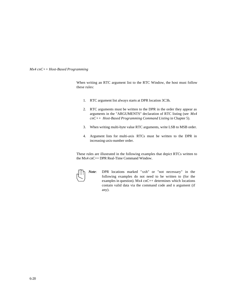When writing an RTC argument list to the RTC Window, the host must follow these rules:

- 1. RTC argument list always starts at DPR location 3C3h.
- 2. RTC arguments must be written to the DPR in the order they appear as arguments in the "ARGUMENTS" declaration of RTC listing (see *Mx4 cnC++ Host-Based Programming Command Listing* in Chapter 5).
- 3. When writing multi-byte value RTC arguments, write LSB to MSB order.
- 4. Argument lists for multi-axis RTCs must be written to the DPR in increasing-axis-number order.

These rules are illustrated in the following examples that depict RTCs written to the Mx4 cnC++ DPR Real-Time Command Window.



*Note*: DPR locations marked "xxh" or "not necessary" in the following examples do not need to be written to (for the examples in question). Mx4 cnC++ determines which locations contain valid data via the command code and n argument (if any).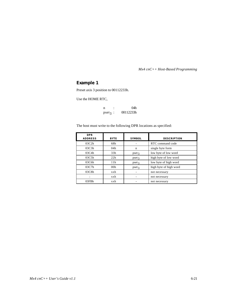## **Example 1**

Preset axis 3 position to 00112233h.

Use the HOME RTC,

n : 04h  $pset<sub>3</sub>:$ : 00112233h

The host must write to the following DPR locations as specified:

| <b>DPR</b>        |                 |               |                        |
|-------------------|-----------------|---------------|------------------------|
| <b>ADDRESS</b>    | <b>BYTE</b>     | <b>SYMBOL</b> | <b>DESCRIPTION</b>     |
| 03C2h             | 68h             |               | RTC command code       |
| 03C3h             | 04h             | n             | single byte form       |
| 03C <sub>4h</sub> | 33h             | pset 3        | low byte of low word   |
| 03C5h             | 22h             | pset 3        | high byte of low word  |
| 03C6h             | 11h             | pset          | low byte of high word  |
| 03C7h             | 00 <sub>h</sub> | pset 3        | high byte of high word |
| 03C8h             | xxh             |               | not necessary          |
|                   | xxh             |               | not necessary          |
| 03FBh             | xxh             |               | not necessary          |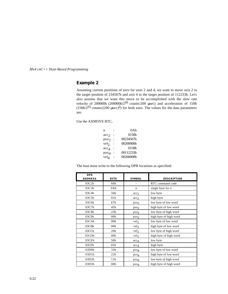### **Example 2**

Assuming current positions of zero for axes 2 and 4, we want to move axis 2 to the target position of 234567h and axis 4 to the target position of 112233h. Let's also assume that we want this move to be accomplished with the slew rate velocity of 200000h (200000h/2<sup>16</sup> counts/200  $\mu$ sec) and acceleration of 150h  $(150h/2^{15}$  counts/(200 µsec)<sup>2</sup>) for both axes. The values for the data parameters are:

Use the AXMOVE RTC,

| n                |   | 0Ah       |
|------------------|---|-----------|
| acc <sub>2</sub> |   | 0150h     |
| $pos_2$          | : | 00234567h |
| vel <sub>2</sub> |   | 00200000h |
| acc <sub>4</sub> |   | 0150h     |
| pos <sub>4</sub> | ÷ | 00112233h |
| $vel_4$          |   | 00200000h |

The host must write to the following DPR locations as specified:

| <b>DPR</b>     |                 |                  |                        |
|----------------|-----------------|------------------|------------------------|
| <b>ADDRESS</b> | <b>BYTE</b>     | <b>SYMBOL</b>    | <b>DESCRIPTION</b>     |
| 03C2h          | 60h             |                  | RTC command code       |
| 03C3h          | 0Ah             | n                | single byte for n      |
| 03C4h          | 50h             | acc <sub>2</sub> | low byte               |
| 03C5h          | 01h             | acc <sub>2</sub> | high byte              |
| 03C6h          | 67h             | pos <sub>2</sub> | low byte of low word   |
| 03C7h          | 45h             | pos <sub>2</sub> | high byte of low word  |
| 03C8h          | 23h             | pos <sub>2</sub> | low byte of high word  |
| 03C9h          | 00h             | pos <sub>2</sub> | high byte of high word |
| 03CAh          | 00h             | vel <sub>2</sub> | low byte of low word   |
| 03CBh          | 00 <sub>h</sub> | vel <sub>2</sub> | high byte of low word  |
| 03CCh          | 20 <sub>h</sub> | vel <sub>2</sub> | low byte of high word  |
| 03CDh          | 00h             | vel <sub>2</sub> | high byte of high word |
| 03CEh          | 50h             | acc <sub>4</sub> | low byte               |
| 03CFh          | 01 <sub>h</sub> | acc <sub>4</sub> | high byte              |
| 03D0h          | 33h             | pos <sub>4</sub> | low byte of low word   |
| 03D1h          | 22h             | pos <sub>4</sub> | high byte of low word  |
| 03D2h          | 11 <sub>h</sub> | $pos_4$          | low byte of high word  |
| 03D3h          | 00h             | $pos_4$          | high byte of high word |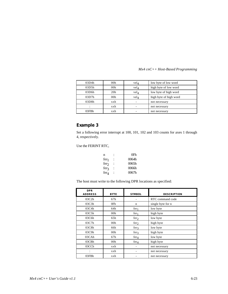| 03D4h | 00 <sub>h</sub> | $vel_4$        | low byte of low word   |
|-------|-----------------|----------------|------------------------|
| 03D5h | 00 <sub>h</sub> | $vel_4$        | high byte of low word  |
| 03D6h | 20 <sub>h</sub> | $vel_4$        | low byte of high word  |
| 03D7h | 00 <sub>h</sub> | $vel_{\Delta}$ | high byte of high word |
| 03D8h | xxh             |                | not necessary          |
|       | xxh             |                | not necessary          |
| 03FBh | xxh             |                | not necessary          |

## **Example 3**

Set a following error interrupt at 100, 101, 102 and 103 counts for axes 1 through 4, respectively.

Use the FERINT RTC,

| n                | 0Fh   |
|------------------|-------|
| fer <sub>1</sub> | 0064h |
| fer $2$          | 0065h |
| fer <sub>3</sub> | 0066h |
| fer $\Delta$     | 0067h |

The host must write to the following DPR locations as specified:

| <b>DPR</b><br><b>ADDRESS</b> | <b>BYTE</b>     | <b>SYMBOL</b>       | <b>DESCRIPTION</b> |
|------------------------------|-----------------|---------------------|--------------------|
|                              |                 |                     |                    |
| 03C2h                        | 67h             |                     | RTC command code   |
| 03C3h                        | 0Fh             | n                   | single byte for n  |
| 03C4h                        | 64h             | fer <sub>1</sub>    | low byte           |
| 03C5h                        | 00 <sub>h</sub> | fer <sub>1</sub>    | high byte          |
| 03C6h                        | 65h             | $f$ er <sub>2</sub> | low byte           |
| 03C7h                        | 00 <sub>h</sub> | fer <sub>2</sub>    | high byte          |
| 03C8h                        | 66h             | fer <sub>3</sub>    | low byte           |
| 03C9h                        | 00 <sub>h</sub> | ferz                | high byte          |
| 03CAh                        | 67h             | $fer_4$             | low byte           |
| 03CBh                        | 00 <sub>h</sub> | $fer_4$             | high byte          |
| 03CCh                        | xxh             |                     | not necessary      |
| ÷                            | xxh             |                     | not necessary      |
| 03FBh                        | xxh             |                     | not necessary      |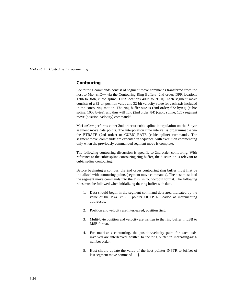### **Contouring**

Contouring commands consist of segment move commands transferred from the host to Mx4 cnC++ via the Contouring Ring Buffers [2nd order; DPR locations 120h to 3bfh, cubic spline; DPR locations 400h to 7EFh]. Each segment move consists of a 32-bit position value and 32-bit velocity value for each axis included in the contouring motion. The ring buffer size is (2nd order; 672 bytes) (cubic spline; 1008 bytes), and thus will hold (2nd order; 84) (cubic spline; 126) segment move [position, velocity] commands'.

Mx4 cnC++ performs either 2nd order or cubic spline interpolation on the 8-byte segment move data points. The interpolation time interval is programmable via the BTRATE (2nd order) or CUBIC\_RATE (cubic spline) commands. The segment move 'commands' are executed in sequence, with execution commencing only when the previously commanded segment move is complete.

The following contouring discussion is specific to 2nd order contouring. With reference to the cubic spline contouring ring buffer, the discussion is relevant to cubic spline contouring.

Before beginning a contour, the 2nd order contouring ring buffer must first be initialized with contouring points (segment move commands). The host must load the segment move commands into the DPR in round-robin format. The following rules must be followed when initializing the ring buffer with data.

- 1. Data should begin in the segment command data area indicated by the value of the Mx4 cnC++ pointer OUTPTR, loaded at incrementing addresses.
- 2. Position and velocity are interleaved, position first.
- 3. Multi-byte position and velocity are written to the ring buffer in LSB to MSB format.
- 4. For multi-axis contouring, the position/velocity pairs for each axis involved are interleaved, written to the ring buffer in increasing-axisnumber order.
- 5. Host should update the value of the host pointer INPTR to [offset of last segment move command + 1].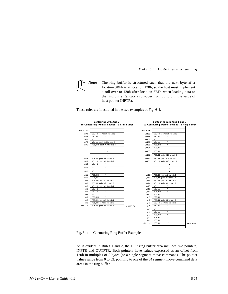

*Note:* The ring buffer is structured such that the next byte after location 3BFh is at location 120h; so the host must implement a roll-over to 120h after location 3BFh when loading data to the ring buffer (and/or a roll-over from 83 to 0 in the value of host pointer INPTR).

These rules are illustrated in the two examples of Fig. 6-4.



Fig. 6-4: Contouring Ring Buffer Example

As is evident in Rules 1 and 2, the DPR ring buffer area includes two pointers, INPTR and OUTPTR. Both pointers have values expressed as an offset from 120h in multiples of 8 bytes (or a single segment move command). The pointer values range from 0 to 83, pointing to one of the 84 segment move command data areas in the ring buffer.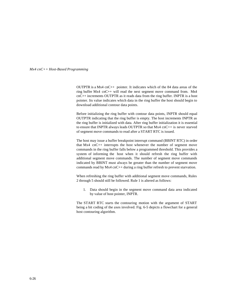OUTPTR is a Mx4 cnC++ pointer. It indicates which of the 84 data areas of the ring buffer Mx4 cnC++ will read the next segment move command from. Mx4 cnC++ increments OUTPTR as it reads data from the ring buffer. INPTR is a host pointer. Its value indicates which data in the ring buffer the host should begin to download additional contour data points.

Before initializing the ring buffer with contour data points, INPTR should equal OUTPTR indicating that the ring buffer is empty. The host increments INPTR as the ring buffer is initialized with data. After ring buffer initialization it is essential to ensure that INPTR always leads OUTPTR so that Mx4 cnC++ is never starved of segment move commands to read after a START RTC is issued.

The host may issue a buffer breakpoint interrupt command (BBINT RTC) in order that Mx4 cnC++ interrupts the host whenever the number of segment move commands in the ring buffer falls below a programmed threshold. This provides a system of informing the host when it should refresh the ring buffer with additional segment move commands. The number of segment move commands indicated by BBINT must always be greater than the number of segment move commands read by Mx4 cnC++ during a ring buffer refresh to prevent starvation.

When refreshing the ring buffer with additional segment move commands, Rules 2 through 5 should still be followed. Rule 1 is altered as follows:

1. Data should begin in the segment move command data area indicated by value of host pointer, INPTR.

The START RTC starts the contouring motion with the argument of START being a bit coding of the axes involved. Fig. 6-5 depicts a flowchart for a general host contouring algorithm.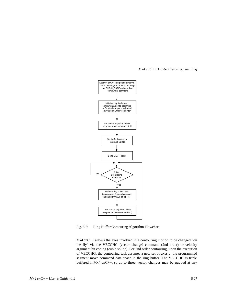

*Mx4 cnC++ Host-Based Programming*

Fig. 6-5: Ring Buffer Contouring Algorithm Flowchart

Mx4 cnC++ allows the axes involved in a contouring motion to be changed "on the fly" via the VECCHG (vector change) command (2nd order) or velocity argument bit coding (cubic spline). For 2nd order contouring, upon the execution of VECCHG, the contouring task assumes a new set of axes at the programmed segment move command data space in the ring buffer. The VECCHG is triple buffered in Mx4 cnC++, so up to three vector changes may be queued at any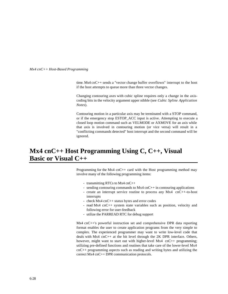time. Mx4 cnC++ sends a "vector change buffer overflown" interrupt to the host if the host attempts to queue more than three vector changes.

Changing contouring axes with cubic spline requires only a change in the axiscoding bits in the velocity argument upper nibble (see *Cubic Spline Application Notes*).

Contouring motion in a particular axis may be terminated with a STOP command, or if the emergency stop ESTOP\_ACC input is active. Attempting to execute a closed loop motion command such as VELMODE or AXMOVE for an axis while that axis is involved in contouring motion (or vice versa) will result in a "conflicting commands detected" host interrupt and the second command will be ignored.

# **Mx4 cnC++ Host Programming Using C, C++, Visual Basic or Visual C++**

Programming for the Mx4 cnC++ card with the Host programming method may involve many of the following programming items:

- transmitting RTCs to Mx4 cnC++
- sending contouring commands to Mx4 cnC++ in contouring applications
- create an interrupt service routine to process any Mx4 cnC++-to-host interrupts
- check Mx4 cnC++ status bytes and error codes
- read Mx4 cnC++ system state variables such as position, velocity and following error for user-feedback
- utilize the PARREAD RTC for debug support

Mx4 cnC++'s powerful instruction set and comprehensive DPR data reporting format enables the user to create application programs from the very simple to complex. The experienced programmer may want to write low-level code that deals with Mx4 cnC++ at the bit level through the 2K DPR interface. Others, however, might want to start out with higher-level Mx4 cnC++ programming; utilizing pre-defined functions and routines that take care of the lower-level Mx4 cnC++ programming aspects such as reading and writing bytes and utilizing the correct Mx4 cnC++ DPR communication protocols.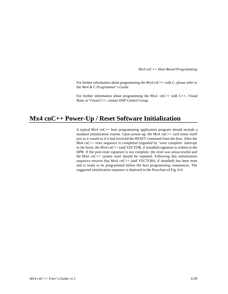For further information about programming the Mx4 cnC++ with C, please refer to the *Mx4 & C Programmer's Guide*.

For further information about programming the Mx4 cnC++ with C++, Visual Basic or Visual C++, contact DSP Control Group.

# **Mx4 cnC++ Power-Up / Reset Software Initialization**

A typical Mx4 cnC++ host programming application program should include a standard initialization routine. Upon power-up, the Mx4 cnC++ card resets itself just as it would as if it had received the RESET command from the host. After the Mx4 cnC++ reset sequence is completed (signaled by 'reset complete' interrupt to the host), the Mx4 cnC++ (and VECTOR, if installed) signature is written to the DPR. If the post-reset signature is not complete, the reset was unsuccessful and the Mx4 cnC++ system reset should be repeated. Following this initialization sequence ensures that Mx4 cnC++ (and VECTOR4, if installed) has been reset and is ready to be programmed before the host programming commences. The suggested initialization sequence is depicted in the flowchart of Fig. 6-6.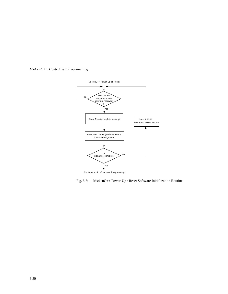



Fig. 6-6: Mx4 cnC++ Power-Up / Reset Software Initialization Routine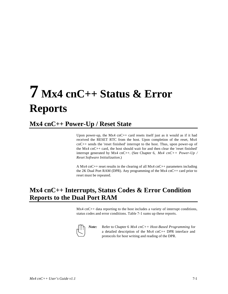# **7 Mx4 cnC++ Status & Error Reports**

# **Mx4 cnC++ Power-Up / Reset State**

Upon power-up, the Mx4  $cnC++$  card resets itself just as it would as if it had received the RESET RTC from the host. Upon completion of the reset, Mx4 cnC++ sends the 'reset finished' interrupt to the host. Thus, upon power-up of the Mx4 cnC++ card, the host should wait for and then clear the 'reset finished' interrupt generated by Mx4 cnC++. (See Chapter 6, *Mx4 cnC++ Power-Up / Reset Software Initialization*.)

A Mx4 cnC++ reset results in the clearing of all Mx4 cnC++ parameters including the 2K Dual Port RAM (DPR). Any programming of the Mx4 cnC++ card prior to reset must be repeated.

# **Mx4 cnC++ Interrupts, Status Codes & Error Condition Reports to the Dual Port RAM**

Mx4 cnC++ data reporting to the host includes a variety of interrupt conditions, status codes and error conditions. Table 7-1 sums up these reports.



*Note:* Refer to Chapter 6 *Mx4 cnC++ Host-Based Programming* for a detailed description of the Mx4 cnC++ DPR interface and protocols for host writing and reading of the DPR.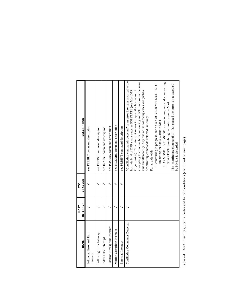| NAME                                                                                  | INTERRUPT<br><b>TSOH</b> | ENABLED<br><b>RTC</b> | <b>DESCRIPTION</b>                                                                                                                                                                                                                                                                                                                                                                                                                                                                                                                                                                                                                                                                                                                  |
|---------------------------------------------------------------------------------------|--------------------------|-----------------------|-------------------------------------------------------------------------------------------------------------------------------------------------------------------------------------------------------------------------------------------------------------------------------------------------------------------------------------------------------------------------------------------------------------------------------------------------------------------------------------------------------------------------------------------------------------------------------------------------------------------------------------------------------------------------------------------------------------------------------------|
| Following Error and Halt<br>Interrupt                                                 |                          |                       | see FERHLT command description                                                                                                                                                                                                                                                                                                                                                                                                                                                                                                                                                                                                                                                                                                      |
| Following Error Interrupt                                                             | ₹                        |                       | see FERINT command description                                                                                                                                                                                                                                                                                                                                                                                                                                                                                                                                                                                                                                                                                                      |
| Index Pulse Interrupt                                                                 |                          |                       | see INXINT command description                                                                                                                                                                                                                                                                                                                                                                                                                                                                                                                                                                                                                                                                                                      |
| Position Breakpoint Interrupt                                                         |                          |                       | see POSBRK command description                                                                                                                                                                                                                                                                                                                                                                                                                                                                                                                                                                                                                                                                                                      |
| Motion Complete Interrupt                                                             |                          |                       | see MCENBL command description                                                                                                                                                                                                                                                                                                                                                                                                                                                                                                                                                                                                                                                                                                      |
| External Interrupt                                                                    | ₹                        |                       | see PRBINT command description                                                                                                                                                                                                                                                                                                                                                                                                                                                                                                                                                                                                                                                                                                      |
| Conflicting Commands Detected                                                         |                          |                       | "Conflicting commands detected" is an error interrupt reported to the<br>attempting to combine both contouring and RTC motion in the same<br>2. AXMOVE or VELMODE motion in progress, and a contouring<br>1. contouring in progress, and an AXMOVE or VELMODE RTC<br>The "conflicting command(s)" that caused the error is not executed<br>Organization). This interrupt serves to report the host error of<br>host via bit 6 of DPR status register DSPSTAT1 (see Mx4 DPR<br>axis simultaneously. Any one of the following cases will yield a<br>START RTC involving that axis is sent to Mx4.<br>"conflicting commands detected" interrupt.<br>involving that axis is sent to Mx4<br>by Mx4, it is discarded.<br>For an axis with |
| Table 7-1: Mx4 Interrupts, Status Codes and Error Conditions (continued on next page) |                          |                       |                                                                                                                                                                                                                                                                                                                                                                                                                                                                                                                                                                                                                                                                                                                                     |

| $\begin{bmatrix} 1 & 0 & 0 & 0 \\ 0 & 0 & 0 & 0 \\ 0 & 0 & 0 & 0 \\ 0 & 0 & 0 & 0 \\ 0 & 0 & 0 & 0 \\ 0 & 0 & 0 & 0 \\ 0 & 0 & 0 & 0 \\ 0 & 0 & 0 & 0 \\ 0 & 0 & 0 & 0 & 0 \\ 0 & 0 & 0 & 0 & 0 \\ 0 & 0 & 0 & 0 & 0 \\ 0 & 0 & 0 & 0 & 0 & 0 \\ 0 & 0 & 0 & 0 & 0 & 0 \\ 0 & 0 & 0 & 0 & 0 & 0 & 0 \\ 0 & 0 & 0 & 0 & 0 & $ |
|------------------------------------------------------------------------------------------------------------------------------------------------------------------------------------------------------------------------------------------------------------------------------------------------------------------------------|
|                                                                                                                                                                                                                                                                                                                              |
|                                                                                                                                                                                                                                                                                                                              |
|                                                                                                                                                                                                                                                                                                                              |
|                                                                                                                                                                                                                                                                                                                              |
|                                                                                                                                                                                                                                                                                                                              |
|                                                                                                                                                                                                                                                                                                                              |
|                                                                                                                                                                                                                                                                                                                              |
|                                                                                                                                                                                                                                                                                                                              |
|                                                                                                                                                                                                                                                                                                                              |
|                                                                                                                                                                                                                                                                                                                              |
|                                                                                                                                                                                                                                                                                                                              |
|                                                                                                                                                                                                                                                                                                                              |
|                                                                                                                                                                                                                                                                                                                              |
| $\frac{1}{2}$                                                                                                                                                                                                                                                                                                                |
|                                                                                                                                                                                                                                                                                                                              |
|                                                                                                                                                                                                                                                                                                                              |
|                                                                                                                                                                                                                                                                                                                              |
|                                                                                                                                                                                                                                                                                                                              |
|                                                                                                                                                                                                                                                                                                                              |
|                                                                                                                                                                                                                                                                                                                              |
| .<br>.<br>.<br>:                                                                                                                                                                                                                                                                                                             |
| ļ                                                                                                                                                                                                                                                                                                                            |
| l<br>;<br>;<br>;                                                                                                                                                                                                                                                                                                             |
|                                                                                                                                                                                                                                                                                                                              |
| 50000                                                                                                                                                                                                                                                                                                                        |
|                                                                                                                                                                                                                                                                                                                              |
|                                                                                                                                                                                                                                                                                                                              |
|                                                                                                                                                                                                                                                                                                                              |
|                                                                                                                                                                                                                                                                                                                              |
|                                                                                                                                                                                                                                                                                                                              |
| I                                                                                                                                                                                                                                                                                                                            |
|                                                                                                                                                                                                                                                                                                                              |
|                                                                                                                                                                                                                                                                                                                              |
|                                                                                                                                                                                                                                                                                                                              |
| l                                                                                                                                                                                                                                                                                                                            |
|                                                                                                                                                                                                                                                                                                                              |
|                                                                                                                                                                                                                                                                                                                              |
|                                                                                                                                                                                                                                                                                                                              |
|                                                                                                                                                                                                                                                                                                                              |
| ļ                                                                                                                                                                                                                                                                                                                            |
|                                                                                                                                                                                                                                                                                                                              |
|                                                                                                                                                                                                                                                                                                                              |
|                                                                                                                                                                                                                                                                                                                              |
|                                                                                                                                                                                                                                                                                                                              |
| j<br>$\frac{1}{1}$                                                                                                                                                                                                                                                                                                           |
| Į                                                                                                                                                                                                                                                                                                                            |
|                                                                                                                                                                                                                                                                                                                              |
|                                                                                                                                                                                                                                                                                                                              |
| ì<br>ך<br>ר                                                                                                                                                                                                                                                                                                                  |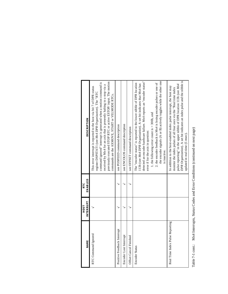| NAME                            | INTERRUPT<br><b>TSOH</b> | ENABLED<br><b>RTC</b> | <b>DESCRIPTION</b>                                                                                                                                                                                                                                                                                                                                                                                                                                                  |
|---------------------------------|--------------------------|-----------------------|---------------------------------------------------------------------------------------------------------------------------------------------------------------------------------------------------------------------------------------------------------------------------------------------------------------------------------------------------------------------------------------------------------------------------------------------------------------------|
| RTC Command Ignored             |                          |                       | previously executed STOP RTC or active ESTOP/ input. The motion<br>command ignored" interrupt is generated when a motion command is<br>received by Mx4 for an axis that is presently halting to a stop via a<br>This error interrupt is reported to the host via bit 7 of DPR status<br>register DSPSTAT1 (see Mx4 DPR Organization). The "RTC<br>commands are the AXMOVE, START or VELMODE RTCs.                                                                   |
| Positive Feedback Interrupt     |                          |                       | see POSFEED command description                                                                                                                                                                                                                                                                                                                                                                                                                                     |
| Encoder Lost Interrupt          |                          |                       | see ENCOLOS command description                                                                                                                                                                                                                                                                                                                                                                                                                                     |
| Offset Cancel Finished          |                          |                       | see OFFSET command description                                                                                                                                                                                                                                                                                                                                                                                                                                      |
| <b>Encoder Status</b>           |                          |                       | the encoder signals (A or B) actively toggles while the other one<br>detected an encoder hardware failure. Mx4 reports an "encoder status"<br>The "encoder status" is reported to the lower nibble of DPR location<br>2. the encoder feedback to Mx4 is losing encoder pulses or one of<br>113h (see Mx4 DPR Organization). A set bit indicates that Mx4 has<br>1. the following error count is $>$ 300h, and<br>error if for the axis in question:<br>is inactive. |
| Real Time Index Pulse Reporting |                          |                       | DPR Organization). A set bit indicates an index pulse and the nibble is<br>pulse reporting" in the upper nibble of DPR location 113h (see Mx4<br>In addition to the host-enabled index pulse interrupt, the host may<br>monitor the index pulses of all four axes via the "Real time index<br>updated in real-time (5 msec).                                                                                                                                        |

Table 7-1 cont.: Mx4 Interrupts, Status Codes and Error Conditions (continued on next page) Table 7-1 cont.: Mx4 Interrupts, Status Codes and Error Conditions (continued on next page)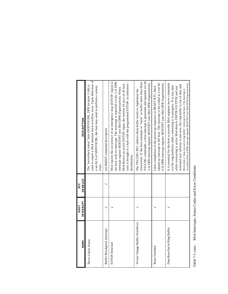| NAME                           | INTERRUPT<br><b>TSOH</b> | ENABLED<br><b>RTC</b> | <b>DESCRIPTION</b>                                                                                                                                                                                                                                                                                                                                                                                                                                           |
|--------------------------------|--------------------------|-----------------------|--------------------------------------------------------------------------------------------------------------------------------------------------------------------------------------------------------------------------------------------------------------------------------------------------------------------------------------------------------------------------------------------------------------------------------------------------------------|
| Servo Check Status             |                          |                       | used to report a Mx4 internal stack overflow error. Upon detection of<br>The "servocheck status" byte (SERVOCHK, DPR location 114h) is<br>a set bit 0 of SERVOCHK, the host may need to perform a system<br>reset.                                                                                                                                                                                                                                           |
| Buffer Breakpoint Interrupt    | >                        |                       | see BBINT command description                                                                                                                                                                                                                                                                                                                                                                                                                                |
| <b>ESTOP</b> Detected          |                          |                       | Mx4 reports the occurrence of an emergency stop (ESTOP/input) to<br>the host with an interrupt. The interrupt is reported via bit 2 of DPR<br>axes is brought to a halt with the programmed ESTOP/ acceleration /<br>Mx4 detects an active ESTOP/input, the motion (if any) of all four<br>interrupt register HOSTINT (see Mx4 DPR Organization). When<br>deceleration.                                                                                      |
| Vector Change Buffer Overflown |                          |                       | VECCHG commands, a host interrupt is generated and reported via bit<br>instruction. If the host attempts to "stack" or buffer more than three<br>3 of DPR interrupt register HOSTINT (see Mx4 DPR Organization).<br>The VECCHG RTC utilizes three buffer levels to implement the                                                                                                                                                                             |
| Reset Finished                 |                          |                       | 4 of DPR interrupt register HOSTINT (see Mx4 DPR Organization).<br>signals an interrupt to the host. The interrupt is bit-coded as a set bit<br>Upon completion of the power-up sequence or RESET RTC, Mx4                                                                                                                                                                                                                                                   |
| Data Run-Out In Ring Buffer    |                          |                       | It is essential for the host to provide Mx4 segment move commands<br>recorded in bits of DPR interrupt register HOSTINT (see Mx4 DPR Organization).<br>activated axis velocity is not zero, the ring buffer is out of data and<br>via the ring buffer(s) while contouring is in progress. If at any time<br>while contouring is active Mx4 detects INPTR=OUTPTR and any<br>Mx4 sends a "data run-out in ring buffer" interrupt to the host. The interrupt is |

Table 7-1 cont.: Mx4 Interrupts, Status Codes and Error Conditions Table 7-1 cont.: Mx4 Interrupts, Status Codes and Error Conditions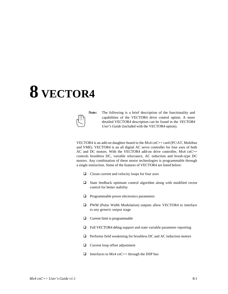

*Note:* The following is a brief description of the functionality and capabilities of the VECTOR4 drive control option. A more detailed VECTOR4 description can be found in the *VECTOR4 User's Guide* (included with the VECTOR4 option).

VECTOR4 is an add-on daughter-board to the Mx4 cnC++ card (PC/AT, Multibus and VME). VECTOR4 is an all digital AC servo controller for four axes of both AC and DC motors. With the VECTOR4 add-on drive controller, Mx4 cnC++ controls brushless DC, variable reluctance, AC induction and brush-type DC motors. Any combination of these motor technologies is programmable through a single instruction. Some of the features of VECTOR4 are listed below:

- $\Box$  Closes current and velocity loops for four axes
- $\Box$  State feedback optimum control algorithm along with modified vector control for better stability
- $\Box$  Programmable power electronics parameters
- $\Box$  PWM (Pulse Width Modulation) outputs allow VECTOR4 to interface to any generic output stage
- $\Box$  Current limit is programmable
- $\Box$  Full VECTOR4 debug support and state variable parameter reporting
- $\Box$  Performs field weakening for brushless DC and AC induction motors
- $\Box$  Current loop offset adjustment
- $\Box$  Interfaces to Mx4 cnC++ through the DSP bus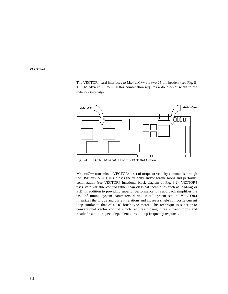The VECTOR4 card interfaces to Mx4 cnC++ via two 25-pin headers (see Fig. 8- 1). The Mx4 cnC++/VECTOR4 combination requires a double-slot width in the host bus card cage.



Fig. 8-1: PC/AT Mx4 cnC++ with VECTOR4 Option

Mx4 cnC++ transmits to VECTOR4 a set of torque or velocity commands through the DSP bus. VECTOR4 closes the velocity and/or torque loops and performs commutation (see VECTOR4 functional block diagram of Fig. 8-2). VECTOR4 uses state variable control rather than classical techniques such as lead-lag or PID. In addition to providing superior performance, this approach simplifies the task of tuning system parameters during initial system set-up. VECTOR4 linearizes the torque and current relations and closes a single composite current loop similar to that of a DC brush-type motor. This technique is superior to conventional vector control which requires closing three current loops and results in a motor-speed dependent current loop frequency response.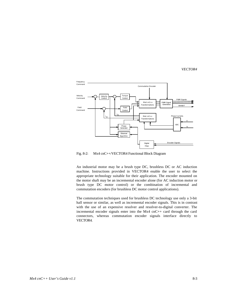

Fig. 8-2: Mx4 cnC++/VECTOR4 Functional Block Diagram

An industrial motor may be a brush type DC, brushless DC or AC induction machine. Instructions provided in VECTOR4 enable the user to select the appropriate technology suitable for their application. The encoder mounted on the motor shaft may be an incremental encoder alone (for AC induction motor or brush type DC motor control) or the combination of incremental and commutation encoders (for brushless DC motor control applications).

The commutation techniques used for brushless DC technology use only a 3-bit hall sensor or similar, as well as incremental encoder signals. This is in contrast with the use of an expensive resolver and resolver-to-digital converter. The incremental encoder signals enter into the Mx4 cnC++ card through the card connectors, whereas commutation encoder signals interface directly to VECTOR4.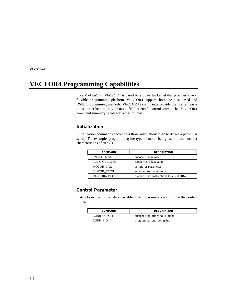# **VECTOR4 Programming Capabilities**

Like Mx4 cnC++, VECTOR4 is based on a powerful kernel that provides a very flexible programming platform. VECTOR4 supports both the host based and DSPL programming methods. VECTOR4's commands provide the user an easyto-use interface to VECTOR4's field-oriented control core. The VECTOR4 command summary is categorized as follows:

### **Initialization**

Initialization commands encompass those instructions used to define a particular set-up. For example, programming the type of motor being used or the encoder characteristics of an axis.

| <b>COMMAND</b>       | <b>DESCRIPTION</b>                    |
|----------------------|---------------------------------------|
| ENCOD MAG            | encoder line number                   |
| <b>FLUX CURRENT</b>  | bipolar field flux value              |
| MOTOR PAR            | set motor parameter                   |
| <b>MOTOR TECH</b>    | select motor technology               |
| <b>VECTOR4 BLOCK</b> | block further instructions to VECTOR4 |

### **Control Parameter**

Instructions used to set state variable control parameters and to tune the control loops.

| COMMAND            | <b>DESCRIPTION</b>             |
|--------------------|--------------------------------|
| <b>CURR OFFSET</b> | current loop offset adjustment |
| CURR PID           | program current loop gains     |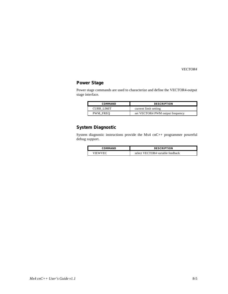## **Power Stage**

Power stage commands are used to characterize and define the VECTOR4-output stage interface.

| COMMAND           | <b>DESCRIPTION</b>               |
|-------------------|----------------------------------|
| <b>CURR LIMIT</b> | current limit setting            |
| <b>PWM FREO</b>   | set VECTOR4 PWM output frequency |

## **System Diagnostic**

System diagnostic instructions provide the Mx4 cnC++ programmer powerful debug support.

| COMMAND  | <b>DESCRIPTION</b>               |
|----------|----------------------------------|
| VIEWVEC. | select VECTOR4 variable feedback |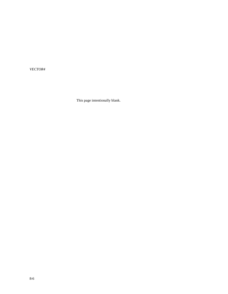This page intentionally blank.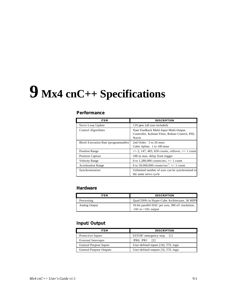### **Performance**

| ITEM                                | <b>DESCRIPTION</b>                                                                                  |
|-------------------------------------|-----------------------------------------------------------------------------------------------------|
| Servo Loop Update                   | 120 µsec (all axes included)                                                                        |
| Control Algorithms                  | State Feedback Multi-Input Multi-Output<br>Controller, Kalman Filter, Robust Control, PID,<br>Notch |
| Block Execution Rate (programmable) | 2nd Order: 5 to 20 msec<br>Cubic Spline: 1 to 100 msec                                              |
| <b>Position Range</b>               | $+/- 2$ , 147, 483, 650 counts, rollover, $+/- 1$ count                                             |
| <b>Position Capture</b>             | 100 ns max. delay from trigger                                                                      |
| <b>Velocity Range</b>               | 0 to 1,280,000 counts/sec, $\pm$ /- 1 count                                                         |
| <b>Acceleration Range</b>           | 0 to 50,000,000 counts/sec <sup>2</sup> , +/- 1 count                                               |
| Synchronization                     | Unlimited number of axes can be synchronized to<br>the same servo cycle                             |

### **Hardware**

| ITEM          | <b>DESCRIPTION</b>                                                          |
|---------------|-----------------------------------------------------------------------------|
| Processing    | Quad DSPs in Hyper-Cube Architecture, 36 MIPS                               |
| Analog Output | 16-bit parallel DAC per axis, 300 uV resolution,<br>$-10v$ to $+10v$ output |

## **Input/Output**

| <b>ITFM</b>             | <b>DESCRIPTION</b>                  |
|-------------------------|-------------------------------------|
| Protective Inputs       | ESTOP/ emergency stop               |
| External Interrupts     | /PR0, /PR1<br>12 I                  |
| General Purpose Inputs  | User-defined inputs [10], TTL logic |
| General Purpose Outputs | User-defined outputs [3], TTL logic |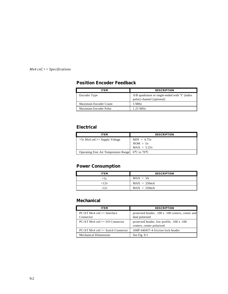## **Position Encoder Feedback**

| ITFM                  | <b>DESCRIPTION</b>                                                          |
|-----------------------|-----------------------------------------------------------------------------|
| Encoder Type          | A/B quadrature or single-ended with "I" (index<br>pulse) channel [optional] |
| Maximum Encoder Count | 5 MHz                                                                       |
| Maximum Encoder Pulse | $1.25 \text{ MHz}$                                                          |

## **Electrical**

| <b>ITEM</b>                                                           | <b>DESCRIPTION</b> |
|-----------------------------------------------------------------------|--------------------|
| $+5v$ Mx4 cnC $++$ Supply Voltage                                     | $MIN = 4.75v$      |
|                                                                       | $NOM = 5v$         |
|                                                                       | $MAX = 5.25v$      |
| Operating Free Air Temperature Range $0^{\circ}$ C to 70 $^{\circ}$ C |                    |

## **Power Consumption**

| <b>ITEM</b> | <b>DESCRIPTION</b> |
|-------------|--------------------|
| $+5v$       | $MAX = 3A$         |
| $+12v$      | $MAX = 250mA$      |
| $-12v$      | $MAX = 250mA$      |

### **Mechanical**

| <b>ITFM</b>                              | <b>DESCRIPTION</b>                                                      |
|------------------------------------------|-------------------------------------------------------------------------|
| $PC/AT Mx4 cnC++ Interface$<br>Connector | protected header, .100 x .100 centers, center and<br>dual polarized     |
| $PC/AT Mx4 cnC++ I/O$ Connector          | protected header, low profile, .100 x .100<br>centers, center polarized |
| $PC/AT$ Mx4 cn $C++$ Synch Connector     | AMP 640457-4 friction lock header                                       |
| <b>Mechanical Dimensions</b>             | See Fig. $9-1$                                                          |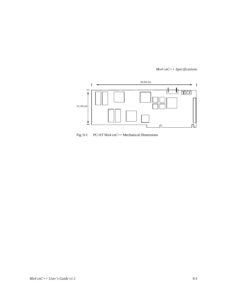

Fig. 9-1: PC/AT Mx4 cnC++ Mechanical Dimensions